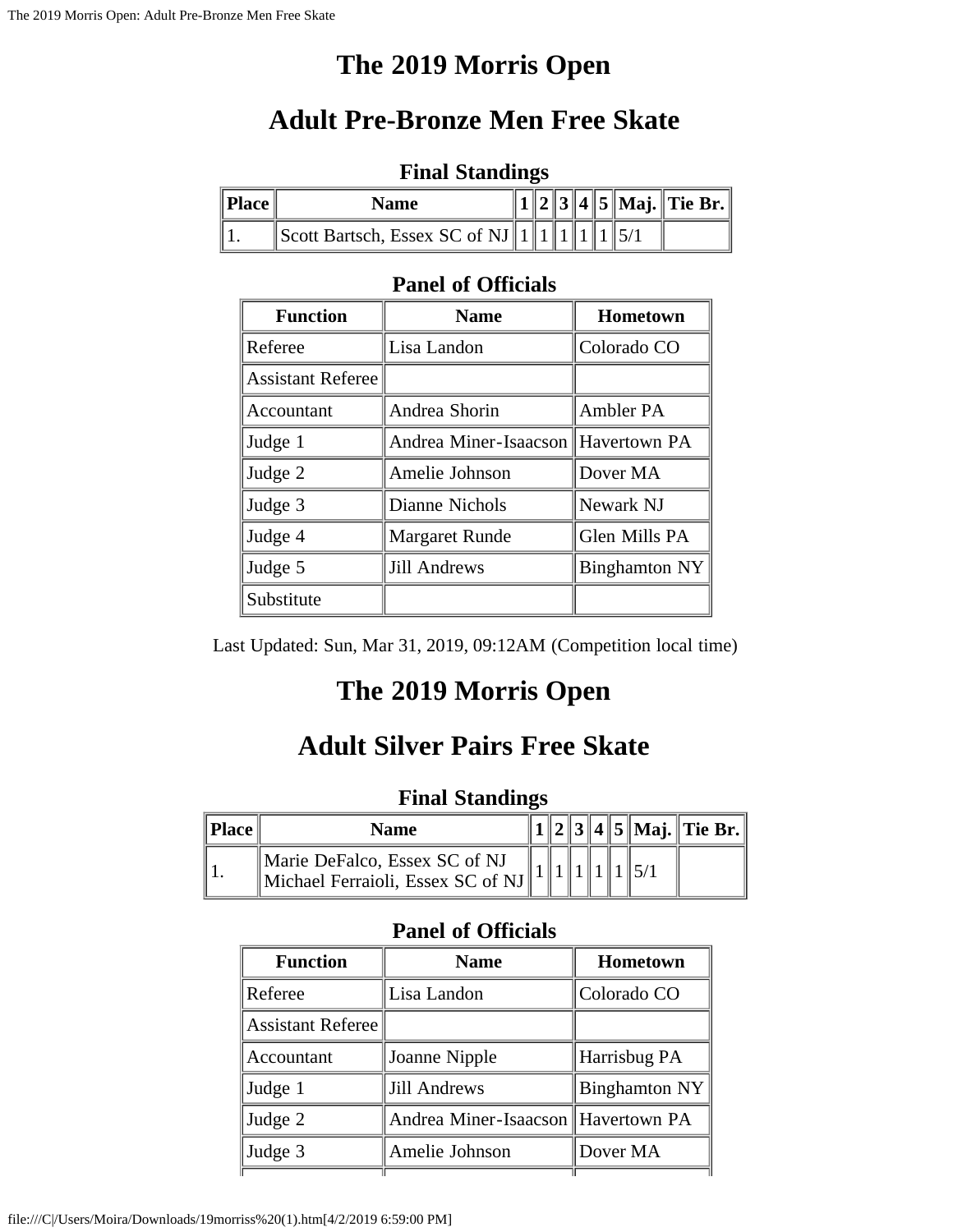# **The 2019 Morris Open**

# **Adult Pre-Bronze Men Free Skate**

|                   | $\blacksquare$                                                        |  |  |  |  |  |  |                      |  |  |  |
|-------------------|-----------------------------------------------------------------------|--|--|--|--|--|--|----------------------|--|--|--|
| $\parallel$ Place | <b>Name</b>                                                           |  |  |  |  |  |  | 2 3 4 5 Maj. Tie Br. |  |  |  |
|                   | $\parallel$ Scott Bartsch, Essex SC of NJ $\parallel$ 1 $\parallel$ 1 |  |  |  |  |  |  |                      |  |  |  |

#### **Final Standings**

#### **Panel of Officials**

| <b>Function</b>          | <b>Name</b>                        | Hometown      |
|--------------------------|------------------------------------|---------------|
| Referee                  | Lisa Landon                        | Colorado CO   |
| <b>Assistant Referee</b> |                                    |               |
| Accountant               | Andrea Shorin                      | Ambler PA     |
| Judge 1                  | Andrea Miner-Isaacson Havertown PA |               |
| Judge 2                  | Amelie Johnson                     | Dover MA      |
| Judge 3                  | Dianne Nichols                     | Newark NJ     |
| Judge 4                  | <b>Margaret Runde</b>              | Glen Mills PA |
| Judge 5                  | <b>Jill Andrews</b>                | Binghamton NY |
| Substitute               |                                    |               |

Last Updated: Sun, Mar 31, 2019, 09:12AM (Competition local time)

# **The 2019 Morris Open**

# **Adult Silver Pairs Free Skate**

### **Final Standings**

| <b>Place</b> | Name                                                               |  |  |  | $2  3  4  5  $ Maj. Tie Br. |
|--------------|--------------------------------------------------------------------|--|--|--|-----------------------------|
|              | Marie DeFalco, Essex SC of NJ<br>Michael Ferraioli, Essex SC of NJ |  |  |  |                             |

| <b>Function</b>   | <b>Name</b>                        | Hometown             |
|-------------------|------------------------------------|----------------------|
| Referee           | Lisa Landon                        | Colorado CO          |
| Assistant Referee |                                    |                      |
| Accountant        | Joanne Nipple                      | Harrisbug PA         |
| Judge 1           | <b>Jill Andrews</b>                | <b>Binghamton NY</b> |
| Judge 2           | Andrea Miner-Isaacson Havertown PA |                      |
| Judge 3           | Amelie Johnson                     | Dover MA             |
|                   |                                    |                      |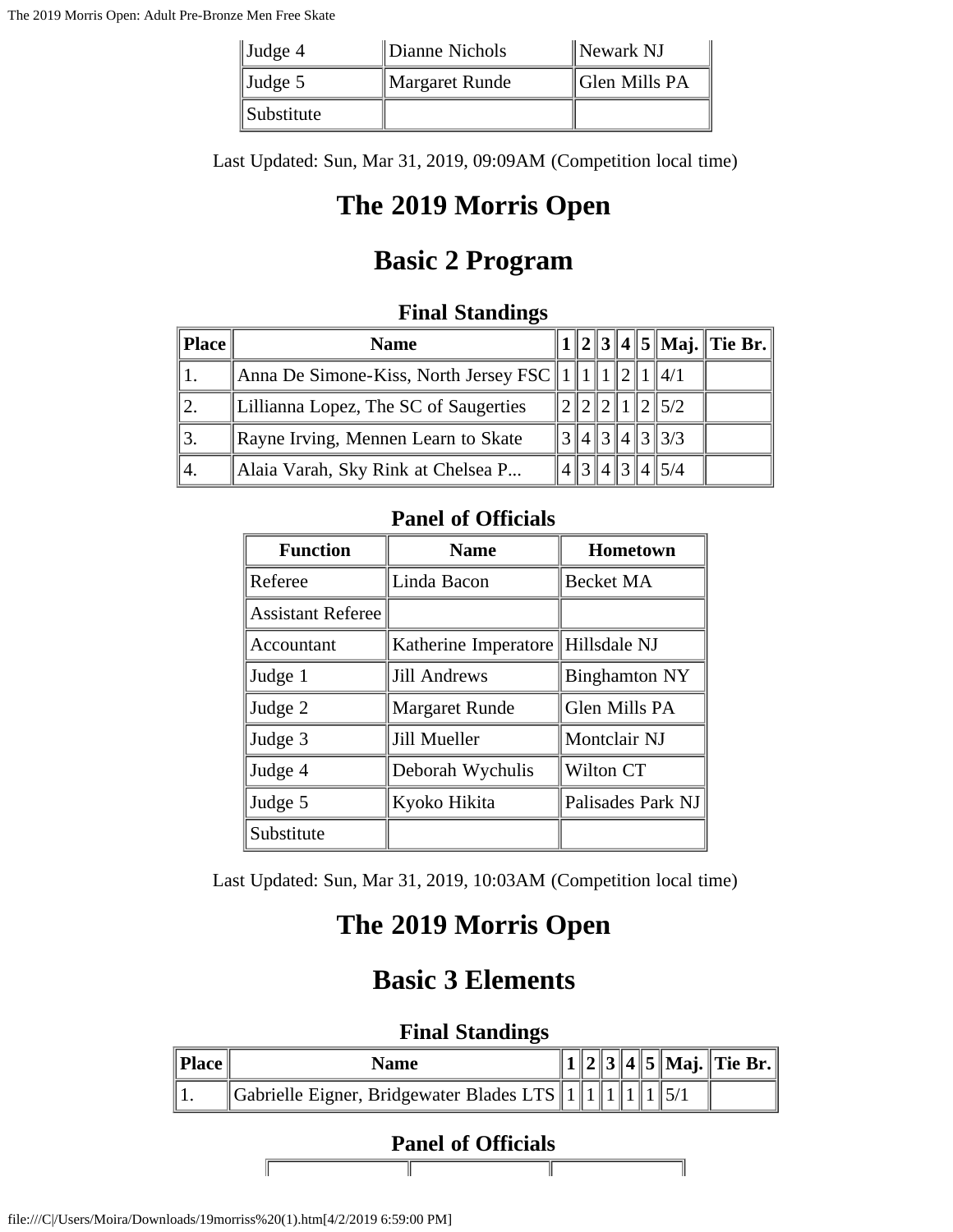| $\vert$ Judge 4   | Dianne Nichols | $\parallel$ Newark NJ |
|-------------------|----------------|-----------------------|
| $\vert$ Judge 5   | Margaret Runde | ∥Glen Mills PA        |
| <i>Substitute</i> |                |                       |

Last Updated: Sun, Mar 31, 2019, 09:09AM (Competition local time)

# **The 2019 Morris Open**

### **Basic 2 Program**

### **Final Standings**

| Place | <b>Name</b>                                    |  |         |  |                                   | $1  2  3  4  5  $ Maj. Tie Br. |
|-------|------------------------------------------------|--|---------|--|-----------------------------------|--------------------------------|
|       | Anna De Simone-Kiss, North Jersey FSC $  1  1$ |  |         |  | $\parallel$ 4/1                   |                                |
|       | Lillianna Lopez, The SC of Saugerties          |  |         |  | $\parallel$ 5/2                   |                                |
| 13.   | Rayne Irving, Mennen Learn to Skate            |  |         |  | $4\vert 3\vert 4\vert 3\vert 3/3$ |                                |
| '4.   | Alaia Varah, Sky Rink at Chelsea P             |  | 4  3  4 |  | $\parallel$ 5/4                   |                                |

#### **Panel of Officials**

| <b>Function</b>          | <b>Name</b>                       | Hometown             |
|--------------------------|-----------------------------------|----------------------|
| Referee                  | Linda Bacon                       | <b>Becket MA</b>     |
| <b>Assistant Referee</b> |                                   |                      |
| Accountant               | Katherine Imperatore Hillsdale NJ |                      |
| Judge 1                  | <b>Jill Andrews</b>               | <b>Binghamton NY</b> |
| Judge 2                  | <b>Margaret Runde</b>             | Glen Mills PA        |
| Judge 3                  | Jill Mueller                      | Montclair NJ         |
| Judge 4                  | Deborah Wychulis                  | Wilton CT            |
| Judge 5                  | Kyoko Hikita                      | Palisades Park NJ    |
| Substitute               |                                   |                      |

Last Updated: Sun, Mar 31, 2019, 10:03AM (Competition local time)

# **The 2019 Morris Open**

## **Basic 3 Elements**

#### **Final Standings**

| Place $\ $ | <b>Name</b>                                        |  |  |  | 1  2  3  4  5  Maj.  Tie Br. |
|------------|----------------------------------------------------|--|--|--|------------------------------|
|            | Gabrielle Eigner, Bridgewater Blades LTS    1    1 |  |  |  |                              |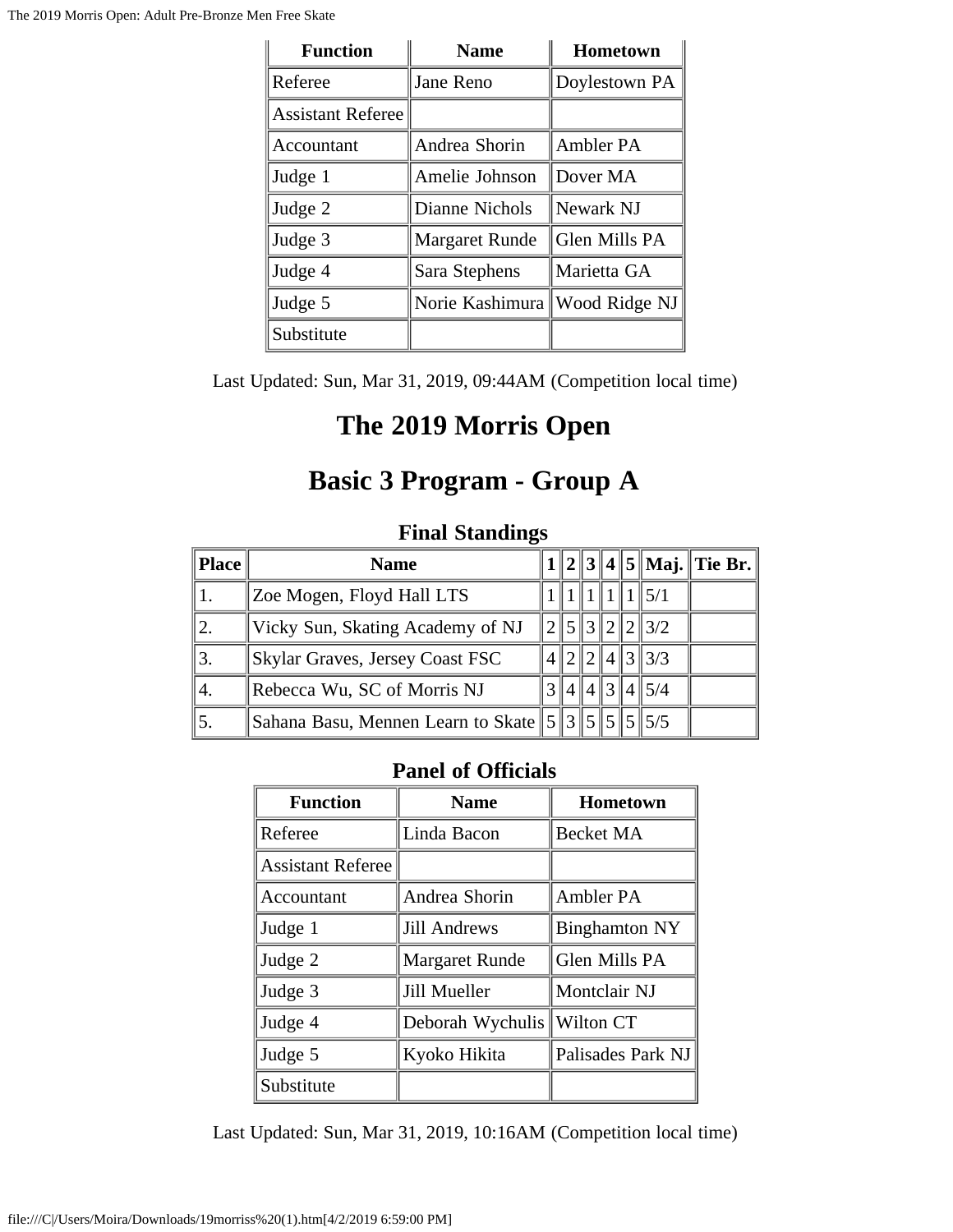| <b>Function</b>          | <b>Name</b>           | Hometown      |
|--------------------------|-----------------------|---------------|
| Referee                  | Jane Reno             | Doylestown PA |
| <b>Assistant Referee</b> |                       |               |
| Accountant               | Andrea Shorin         | Ambler PA     |
| Judge 1                  | Amelie Johnson        | Dover MA      |
| Judge 2                  | Dianne Nichols        | Newark NJ     |
| Judge 3                  | <b>Margaret Runde</b> | Glen Mills PA |
| Judge 4                  | Sara Stephens         | Marietta GA   |
| Judge 5                  | Norie Kashimura       | Wood Ridge NJ |
| Substitute               |                       |               |

Last Updated: Sun, Mar 31, 2019, 09:44AM (Competition local time)

## **The 2019 Morris Open**

## **Basic 3 Program - Group A**

### **Final Standings**

| Place            | <b>Name</b>                      |  |  |                                            | $1  2  3  4  5  $ Maj. Tie Br. |
|------------------|----------------------------------|--|--|--------------------------------------------|--------------------------------|
|                  | Zoe Mogen, Floyd Hall LTS        |  |  | 1111115/1                                  |                                |
| $\overline{2}$ . | Vicky Sun, Skating Academy of NJ |  |  | $\frac{15}{3}$ $\frac{2}{2}$ $\frac{2}{3}$ |                                |
|                  | Skylar Graves, Jersey Coast FSC  |  |  | $\ 4\ 3\ 3/3$                              |                                |
| 4.               | Rebecca Wu, SC of Morris NJ      |  |  | 4  4  3  4  5/4                            |                                |
|                  |                                  |  |  |                                            |                                |

#### **Panel of Officials**

| <b>Function</b>          | <b>Name</b>           | Hometown             |
|--------------------------|-----------------------|----------------------|
| Referee                  | Linda Bacon           | <b>Becket MA</b>     |
| <b>Assistant Referee</b> |                       |                      |
| Accountant               | Andrea Shorin         | Ambler PA            |
| Judge 1                  | <b>Jill Andrews</b>   | <b>Binghamton NY</b> |
| Judge 2                  | <b>Margaret Runde</b> | Glen Mills PA        |
| Judge 3                  | Jill Mueller          | Montclair NJ         |
| Judge 4                  | Deborah Wychulis      | Wilton CT            |
| Judge 5                  | Kyoko Hikita          | Palisades Park NJ    |
| Substitute               |                       |                      |

Last Updated: Sun, Mar 31, 2019, 10:16AM (Competition local time)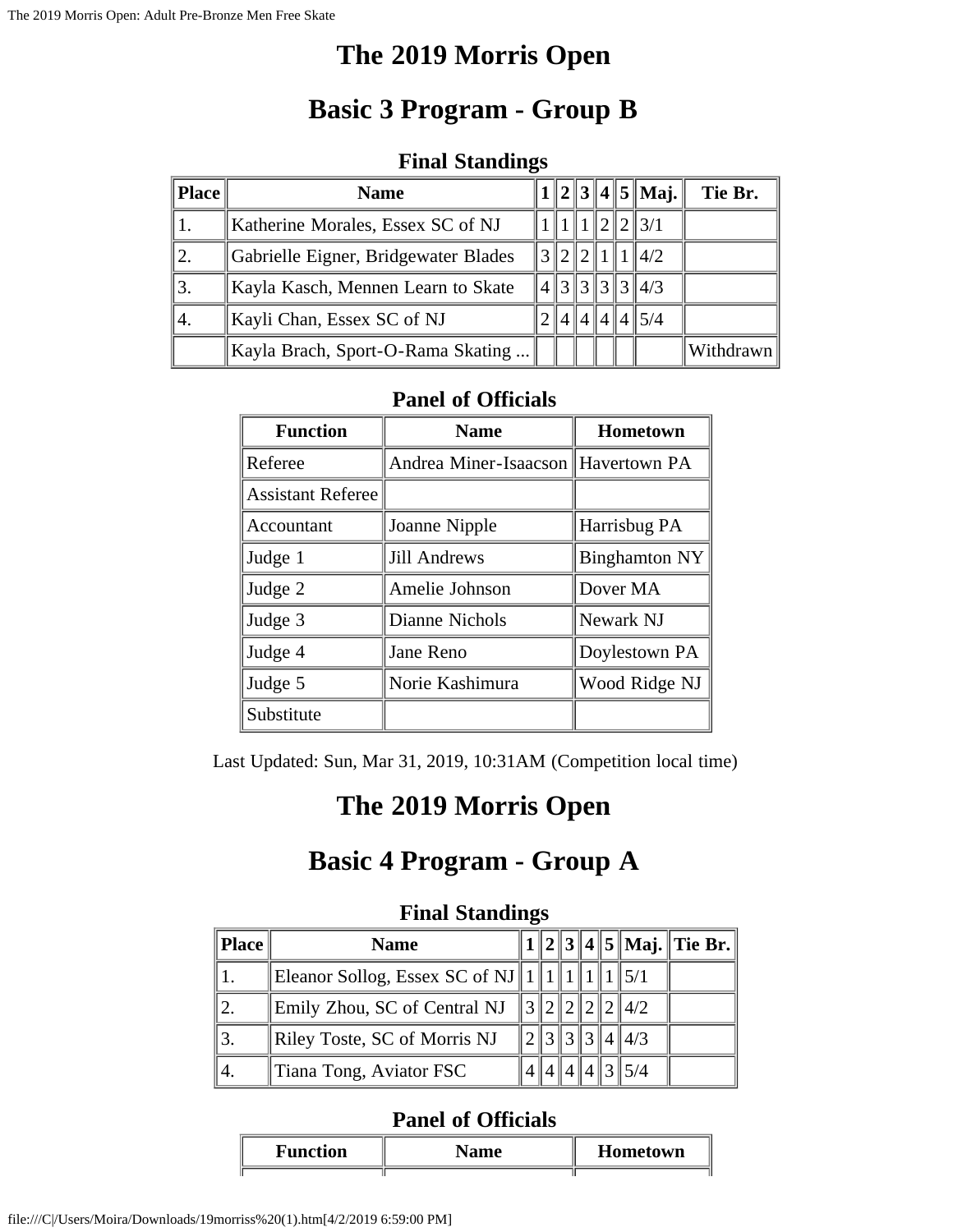### **The 2019 Morris Open**

# **Basic 3 Program - Group B**

#### **Final Standings**

| <b>Place</b> | <b>Name</b>                          |  |  | $1  2  3  4  5  $ Maj. | Tie Br.   |
|--------------|--------------------------------------|--|--|------------------------|-----------|
|              | Katherine Morales, Essex SC of NJ    |  |  | $\ 2\ 2\ 3/1$          |           |
|              | Gabrielle Eigner, Bridgewater Blades |  |  | 3  2  2  1  1  4/2     |           |
|              | Kayla Kasch, Mennen Learn to Skate   |  |  | $4\ 3\ 3\ 3\ 3\ 4/3$   |           |
| 4.           | Kayli Chan, Essex SC of NJ           |  |  | 4  4  4  4  5/4        |           |
|              | Kayla Brach, Sport-O-Rama Skating    |  |  |                        | Withdrawn |

### **Panel of Officials**

| <b>Function</b>          | <b>Name</b>                        | <b>Hometown</b>      |
|--------------------------|------------------------------------|----------------------|
| Referee                  | Andrea Miner-Isaacson Havertown PA |                      |
| <b>Assistant Referee</b> |                                    |                      |
| Accountant               | Joanne Nipple                      | Harrisbug PA         |
| Judge 1                  | <b>Jill Andrews</b>                | <b>Binghamton NY</b> |
| Judge 2                  | Amelie Johnson                     | Dover MA             |
| Judge 3                  | Dianne Nichols                     | Newark NJ            |
| Judge 4                  | Jane Reno                          | Doylestown PA        |
| Judge 5                  | Norie Kashimura                    | Wood Ridge NJ        |
| Substitute               |                                    |                      |

Last Updated: Sun, Mar 31, 2019, 10:31AM (Competition local time)

## **The 2019 Morris Open**

### **Basic 4 Program - Group A**

|       | r mar Duanames                           |  |  |  |  |  |               |                                |  |
|-------|------------------------------------------|--|--|--|--|--|---------------|--------------------------------|--|
| Place | <b>Name</b>                              |  |  |  |  |  |               | $1  2  3  4  5  $ Maj. Tie Br. |  |
|       | Eleanor Sollog, Essex SC of NJ    1    1 |  |  |  |  |  |               |                                |  |
|       | Emily Zhou, SC of Central NJ             |  |  |  |  |  | 3 2 2 2 2 4/2 |                                |  |
| 3.    | Riley Toste, SC of Morris NJ             |  |  |  |  |  | 3131414/3     |                                |  |
|       | Tiana Tong, Aviator FSC                  |  |  |  |  |  |               |                                |  |

#### **Final Standings**

| Function | <b>Hometown</b> |
|----------|-----------------|
|          |                 |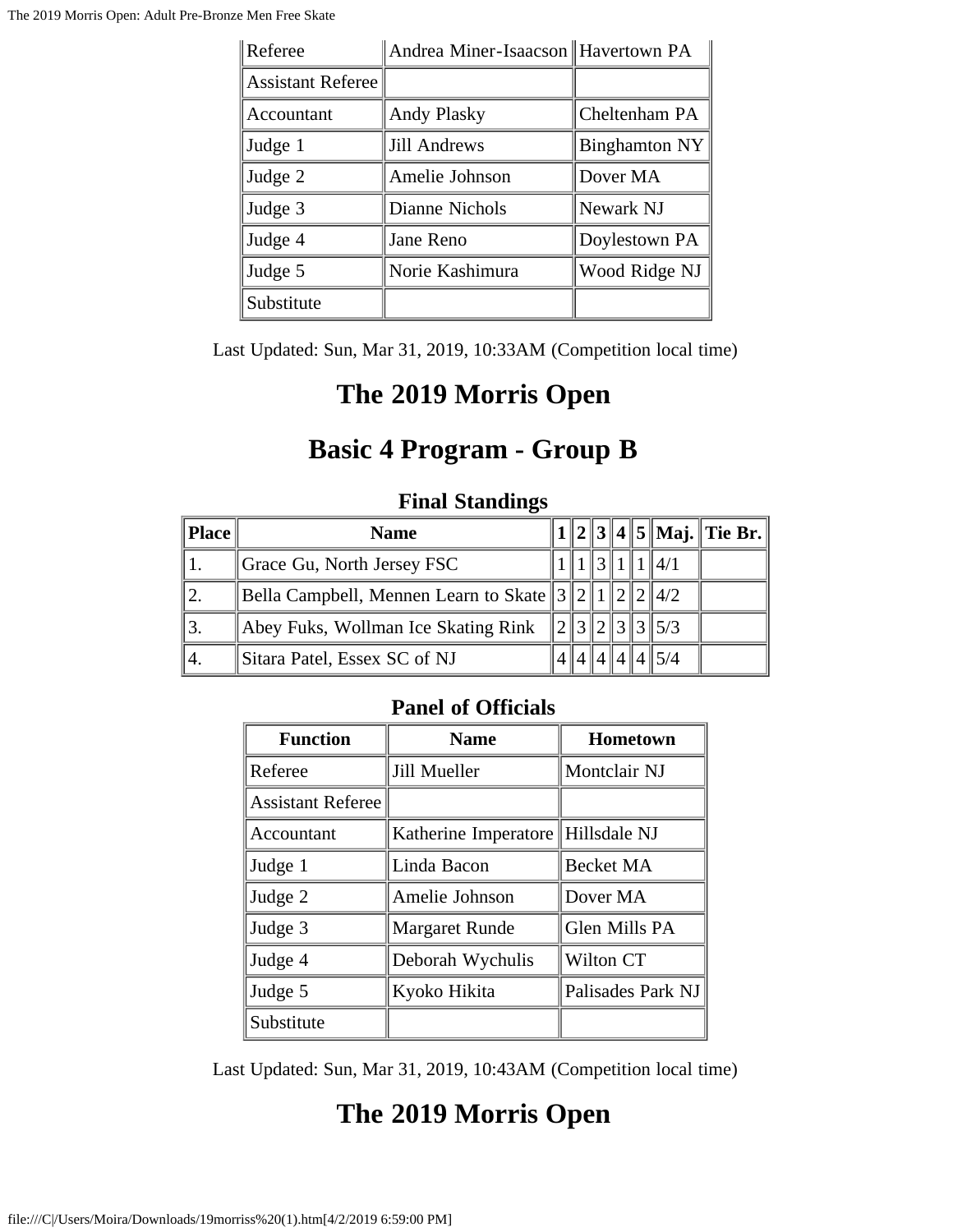| Referee                  | Andrea Miner-Isaacson Havertown PA |                      |
|--------------------------|------------------------------------|----------------------|
| <b>Assistant Referee</b> |                                    |                      |
| Accountant               | <b>Andy Plasky</b>                 | Cheltenham PA        |
| Judge 1                  | <b>Jill Andrews</b>                | <b>Binghamton NY</b> |
| Judge 2                  | Amelie Johnson                     | Dover MA             |
| Judge 3                  | Dianne Nichols                     | Newark NJ            |
| Judge 4                  | Jane Reno                          | Doylestown PA        |
| Judge 5                  | Norie Kashimura                    | Wood Ridge NJ        |
| Substitute               |                                    |                      |

Last Updated: Sun, Mar 31, 2019, 10:33AM (Competition local time)

### **The 2019 Morris Open**

## **Basic 4 Program - Group B**

| Place | <b>Name</b>                                        |                             |        |  |                     | 1    2    3    4    5    Maj.    Tie Br. |
|-------|----------------------------------------------------|-----------------------------|--------|--|---------------------|------------------------------------------|
|       | Grace Gu, North Jersey FSC                         |                             | प ? ∥ा |  | 4/1                 |                                          |
|       | Bella Campbell, Mennen Learn to Skate $3211222422$ |                             |        |  |                     |                                          |
|       | Abey Fuks, Wollman Ice Skating Rink                | $\mathcal{D}_{\mathcal{L}}$ |        |  | $\ 3\ 2\ 3\ 3\ 5/3$ |                                          |
| 4.    | Sitara Patel, Essex SC of NJ                       |                             |        |  | 414145/4            |                                          |

### **Final Standings**

### **Panel of Officials**

| <b>Function</b>          | <b>Name</b>                       | <b>Hometown</b>   |
|--------------------------|-----------------------------------|-------------------|
| Referee                  | Jill Mueller                      | Montclair NJ      |
| <b>Assistant Referee</b> |                                   |                   |
| Accountant               | Katherine Imperatore Hillsdale NJ |                   |
| Judge 1                  | Linda Bacon                       | <b>Becket MA</b>  |
| Judge 2                  | Amelie Johnson                    | Dover MA          |
| Judge 3                  | <b>Margaret Runde</b>             | Glen Mills PA     |
| Judge 4                  | Deborah Wychulis                  | Wilton CT         |
| Judge 5                  | Kyoko Hikita                      | Palisades Park NJ |
| Substitute               |                                   |                   |

Last Updated: Sun, Mar 31, 2019, 10:43AM (Competition local time)

# **The 2019 Morris Open**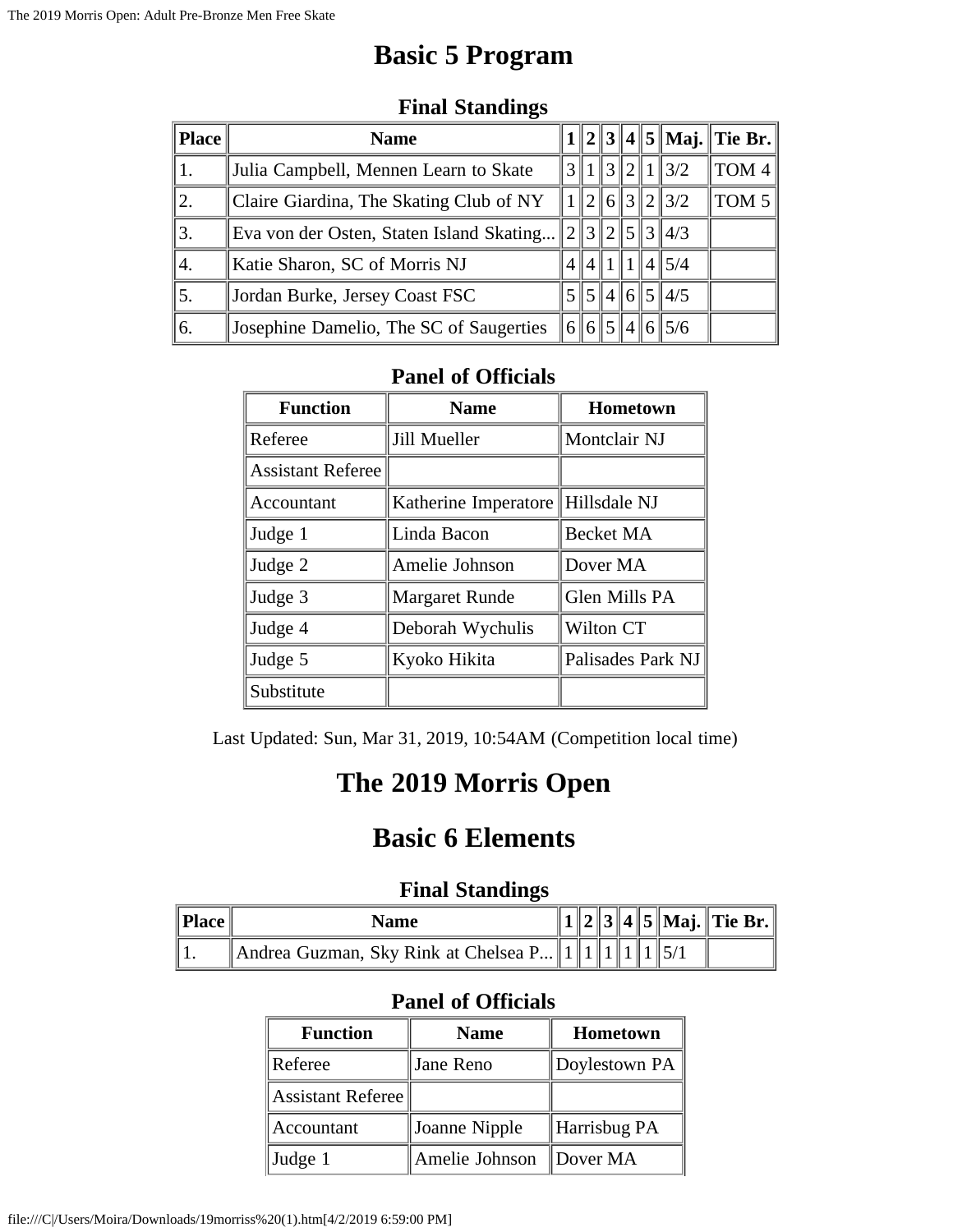## **Basic 5 Program**

| <b>Place</b> | <b>Name</b>                              |   |  |         |  |  |                     | $1  2  3  4  5  $ Maj. Tie Br. |
|--------------|------------------------------------------|---|--|---------|--|--|---------------------|--------------------------------|
| 1.           | Julia Campbell, Mennen Learn to Skate    |   |  |         |  |  | 3  1  3  2  1  3/2  | TOM <sub>4</sub>               |
| 2.           | Claire Giardina, The Skating Club of NY  |   |  |         |  |  | $\ 2\ 6\ 3\ 2\ 3/2$ | TOM <sub>5</sub>               |
| 3.           | Eva von der Osten, Staten Island Skating | 2 |  |         |  |  | 3 2 5 3 4/3         |                                |
| 4.           | Katie Sharon, SC of Morris NJ            |   |  | 4  1  1 |  |  | $4\frac{15}{4}$     |                                |
| 5.           | Jordan Burke, Jersey Coast FSC           |   |  |         |  |  | 5  5  4  6  5  4/5  |                                |
| 6.           | Josephine Damelio, The SC of Saugerties  |   |  |         |  |  | 6  6  5  4  6  5/6  |                                |

### **Final Standings**

#### **Panel of Officials**

| <b>Function</b>          | <b>Name</b>                       | Hometown          |
|--------------------------|-----------------------------------|-------------------|
| Referee                  | Jill Mueller                      | Montclair NJ      |
| <b>Assistant Referee</b> |                                   |                   |
| Accountant               | Katherine Imperatore Hillsdale NJ |                   |
| Judge 1                  | Linda Bacon                       | <b>Becket MA</b>  |
| Judge 2                  | Amelie Johnson                    | Dover MA          |
| Judge 3                  | <b>Margaret Runde</b>             | Glen Mills PA     |
| Judge 4                  | Deborah Wychulis                  | Wilton CT         |
| Judge 5                  | Kyoko Hikita                      | Palisades Park NJ |
| Substitute               |                                   |                   |

Last Updated: Sun, Mar 31, 2019, 10:54AM (Competition local time)

# **The 2019 Morris Open**

### **Basic 6 Elements**

### **Final Standings**

| <b>Name</b>                                              |  |  |  |  |
|----------------------------------------------------------|--|--|--|--|
| Andrea Guzman, Sky Rink at Chelsea P $\ 1\ 1\ 1\ 1\ 5/1$ |  |  |  |  |

| <b>Function</b>   | <b>Name</b>    | <b>Hometown</b> |
|-------------------|----------------|-----------------|
| Referee           | Jane Reno      | Doylestown PA   |
| Assistant Referee |                |                 |
| Accountant        | Joanne Nipple  | Harrisbug PA    |
| Judge 1           | Amelie Johnson | ∥Dover MA       |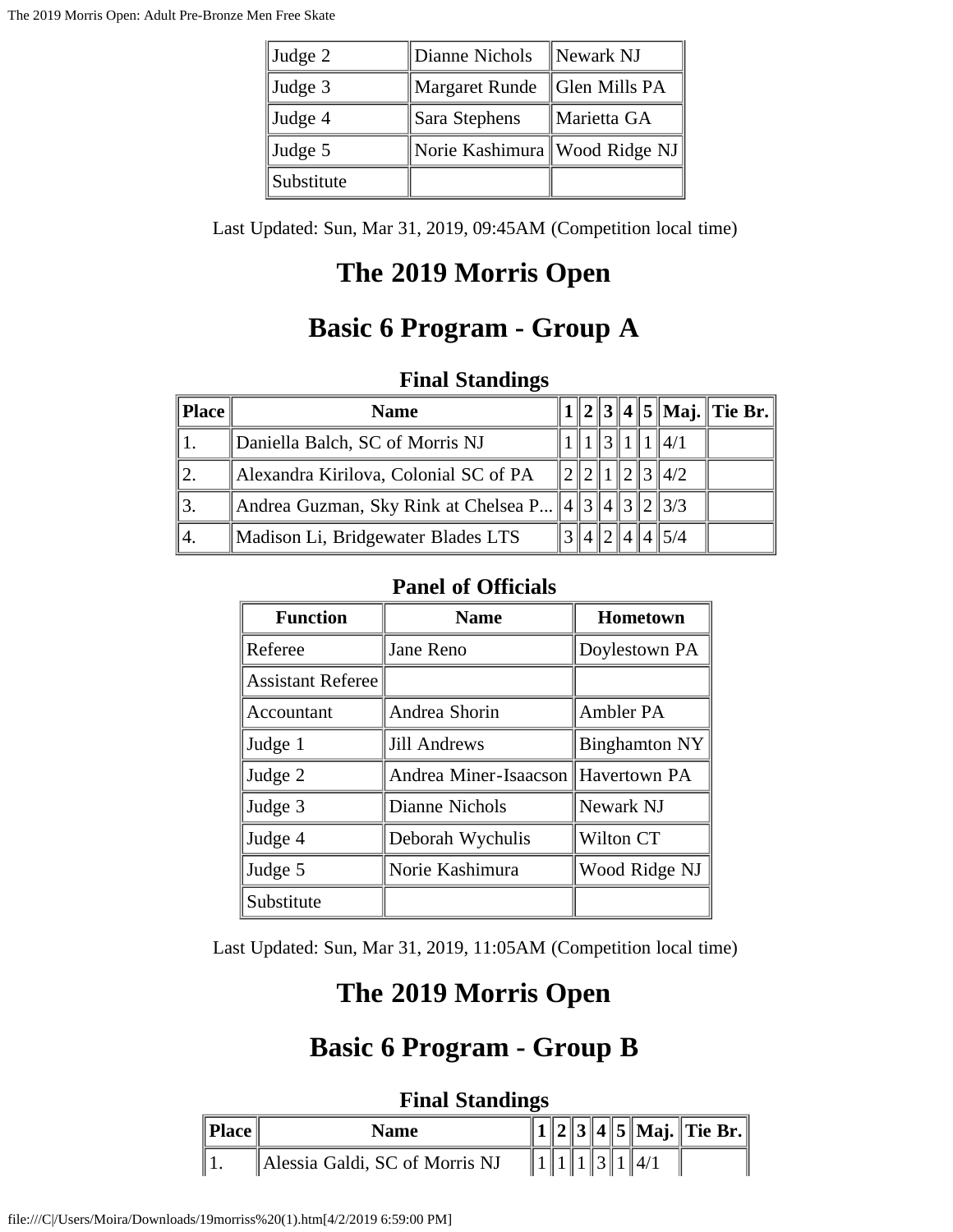| Judge 2    | Dianne Nichols                  | Newark NJ     |
|------------|---------------------------------|---------------|
| Judge 3    | <b>Margaret Runde</b>           | Glen Mills PA |
| Judge 4    | Sara Stephens                   | ∥Marietta GA  |
| Judge 5    | Norie Kashimura   Wood Ridge NJ |               |
| Substitute |                                 |               |

Last Updated: Sun, Mar 31, 2019, 09:45AM (Competition local time)

# **The 2019 Morris Open**

# **Basic 6 Program - Group A**

### **Final Standings**

| Place         | <b>Name</b>                                                 |  |            |  |                 | $1  2  3  4  5  $ Maj. Tie Br. |
|---------------|-------------------------------------------------------------|--|------------|--|-----------------|--------------------------------|
|               | Daniella Balch, SC of Morris NJ                             |  |            |  | $\parallel$ 4/1 |                                |
|               | Alexandra Kirilova, Colonial SC of PA                       |  |            |  | 121314/2        |                                |
| $^{\prime}3.$ | Andrea Guzman, Sky Rink at Chelsea P $  4  3  4  3  2  3/3$ |  |            |  |                 |                                |
| 4.            | Madison Li, Bridgewater Blades LTS                          |  | 4  2  4  4 |  | $\parallel$ 5/4 |                                |

### **Panel of Officials**

| <b>Function</b>          | <b>Name</b>                        | Hometown             |
|--------------------------|------------------------------------|----------------------|
| Referee                  | Jane Reno                          | Doylestown PA        |
| <b>Assistant Referee</b> |                                    |                      |
| Accountant               | Andrea Shorin                      | Ambler PA            |
| Judge 1                  | <b>Jill Andrews</b>                | <b>Binghamton NY</b> |
| Judge 2                  | Andrea Miner-Isaacson Havertown PA |                      |
| Judge 3                  | Dianne Nichols                     | Newark NJ            |
| Judge 4                  | Deborah Wychulis                   | Wilton CT            |
| Judge 5                  | Norie Kashimura                    | Wood Ridge NJ        |
| Substitute               |                                    |                      |

Last Updated: Sun, Mar 31, 2019, 11:05AM (Competition local time)

# **The 2019 Morris Open**

## **Basic 6 Program - Group B**

| " Place <sub>h</sub> | <b>Name</b>                    |  |  |  | $\ 1\ 2\ 3\ 4\ 5\ $ Maj. $\ $ Tie Br. $\ $ |
|----------------------|--------------------------------|--|--|--|--------------------------------------------|
|                      | Alessia Galdi, SC of Morris NJ |  |  |  |                                            |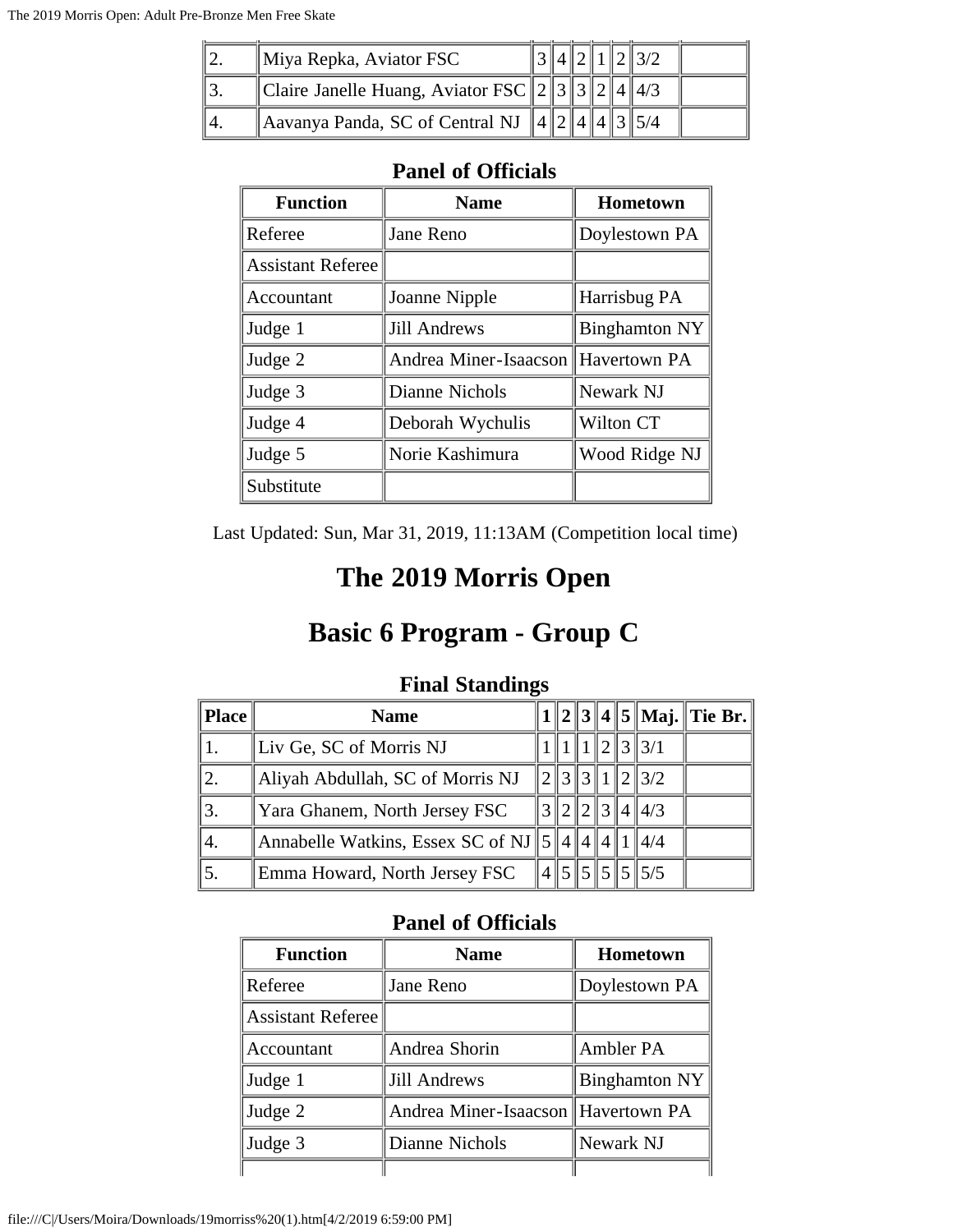| $\parallel$ Miya Repka, Aviator FSC              |  |  |  |  |
|--------------------------------------------------|--|--|--|--|
| Claire Janelle Huang, Aviator FSC $\ 2\ 3\ 3\ 2$ |  |  |  |  |
| Aavanya Panda, SC of Central NJ 4                |  |  |  |  |

| <b>Function</b>          | <b>Name</b>                        | <b>Hometown</b>      |
|--------------------------|------------------------------------|----------------------|
| Referee                  | Jane Reno                          | Doylestown PA        |
| <b>Assistant Referee</b> |                                    |                      |
| Accountant               | Joanne Nipple                      | Harrisbug PA         |
| Judge 1                  | <b>Jill Andrews</b>                | <b>Binghamton NY</b> |
| Judge 2                  | Andrea Miner-Isaacson Havertown PA |                      |
| Judge 3                  | Dianne Nichols                     | Newark NJ            |
| Judge 4                  | Deborah Wychulis                   | Wilton CT            |
| Judge 5                  | Norie Kashimura                    | Wood Ridge NJ        |
| Substitute               |                                    |                      |

Last Updated: Sun, Mar 31, 2019, 11:13AM (Competition local time)

## **The 2019 Morris Open**

## **Basic 6 Program - Group C**

| Place | <b>Name</b>                                         |  |   |  |                        | $1  2  3  4  5  $ Maj. Tie Br. |
|-------|-----------------------------------------------------|--|---|--|------------------------|--------------------------------|
|       | Liv Ge, SC of Morris NJ                             |  |   |  | 121313/1               |                                |
|       | Aliyah Abdullah, SC of Morris NJ                    |  |   |  | $\ 2\ 3\ 3\ 1\ 2\ 3/2$ |                                |
|       | Yara Ghanem, North Jersey FSC                       |  | 2 |  | $\ 3\ 4\ 4/3$          |                                |
| ۰4.   | Annabelle Watkins, Essex SC of NJ $\ 5\ 4\ 4\ 4\ 1$ |  |   |  | $\parallel$ 4/4        |                                |
|       | Emma Howard, North Jersey FSC                       |  |   |  | $4\,5\,5\,5\,5\,5\,5$  |                                |

#### **Final Standings**

| <b>Function</b>   | <b>Name</b>                        | <b>Hometown</b>      |
|-------------------|------------------------------------|----------------------|
| Referee           | Jane Reno                          | Doylestown PA        |
| Assistant Referee |                                    |                      |
| Accountant        | Andrea Shorin                      | Ambler PA            |
| Judge 1           | <b>Jill Andrews</b>                | <b>Binghamton NY</b> |
| $\vert$ Judge 2   | Andrea Miner-Isaacson Havertown PA |                      |
| Judge 3           | Dianne Nichols                     | Newark NJ            |
|                   |                                    |                      |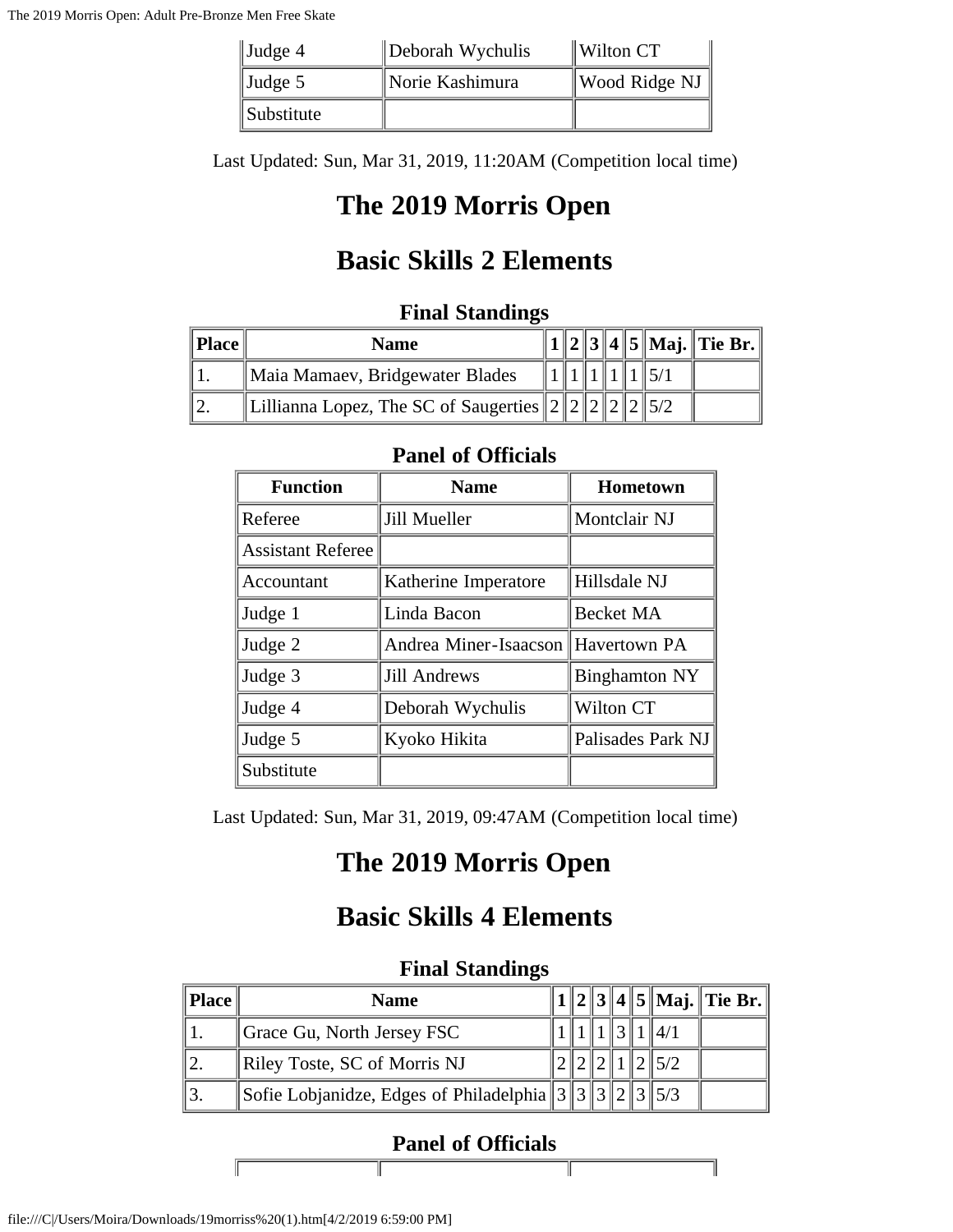| $\vert$ Judge 4 | Deborah Wychulis | $\parallel$ Wilton CT                 |
|-----------------|------------------|---------------------------------------|
| $\vert$ Judge 5 | Norie Kashimura  | $\parallel$ Wood Ridge NJ $\parallel$ |
| Substitute      |                  |                                       |

Last Updated: Sun, Mar 31, 2019, 11:20AM (Competition local time)

# **The 2019 Morris Open**

## **Basic Skills 2 Elements**

### **Final Standings**

| <b>Place</b> | <b>Name</b>                                          |  |  |  |  |
|--------------|------------------------------------------------------|--|--|--|--|
|              | Maia Mamaev, Bridgewater Blades                      |  |  |  |  |
|              | Lillianna Lopez, The SC of Saugerties $ 2  2  2  2 $ |  |  |  |  |

### **Panel of Officials**

| <b>Function</b>          | <b>Name</b>                        | Hometown             |
|--------------------------|------------------------------------|----------------------|
| Referee                  | Jill Mueller                       | Montclair NJ         |
| <b>Assistant Referee</b> |                                    |                      |
| Accountant               | Katherine Imperatore               | Hillsdale NJ         |
| Judge 1                  | Linda Bacon                        | <b>Becket MA</b>     |
| Judge 2                  | Andrea Miner-Isaacson Havertown PA |                      |
| Judge 3                  | Jill Andrews                       | <b>Binghamton NY</b> |
| Judge 4                  | Deborah Wychulis                   | Wilton CT            |
| Judge 5                  | Kyoko Hikita                       | Palisades Park NJ    |
| Substitute               |                                    |                      |

Last Updated: Sun, Mar 31, 2019, 09:47AM (Competition local time)

## **The 2019 Morris Open**

## **Basic Skills 4 Elements**

#### **Final Standings**

| <b>Place</b> | <b>Name</b>                                                                      |  |  |         | $1  2  3  4  5  $ Maj. Tie Br. |
|--------------|----------------------------------------------------------------------------------|--|--|---------|--------------------------------|
|              | Grace Gu, North Jersey FSC                                                       |  |  |         |                                |
|              | Riley Toste, SC of Morris NJ                                                     |  |  | 11215/2 |                                |
|              | Sofie Lobjanidze, Edges of Philadelphia $3 \mid 3 \mid 3 \mid 2 \mid 3 \mid 5/3$ |  |  |         |                                |

### **Panel of Officials**

Ш

I

file:///C|/Users/Moira/Downloads/19morriss%20(1).htm[4/2/2019 6:59:00 PM]

Г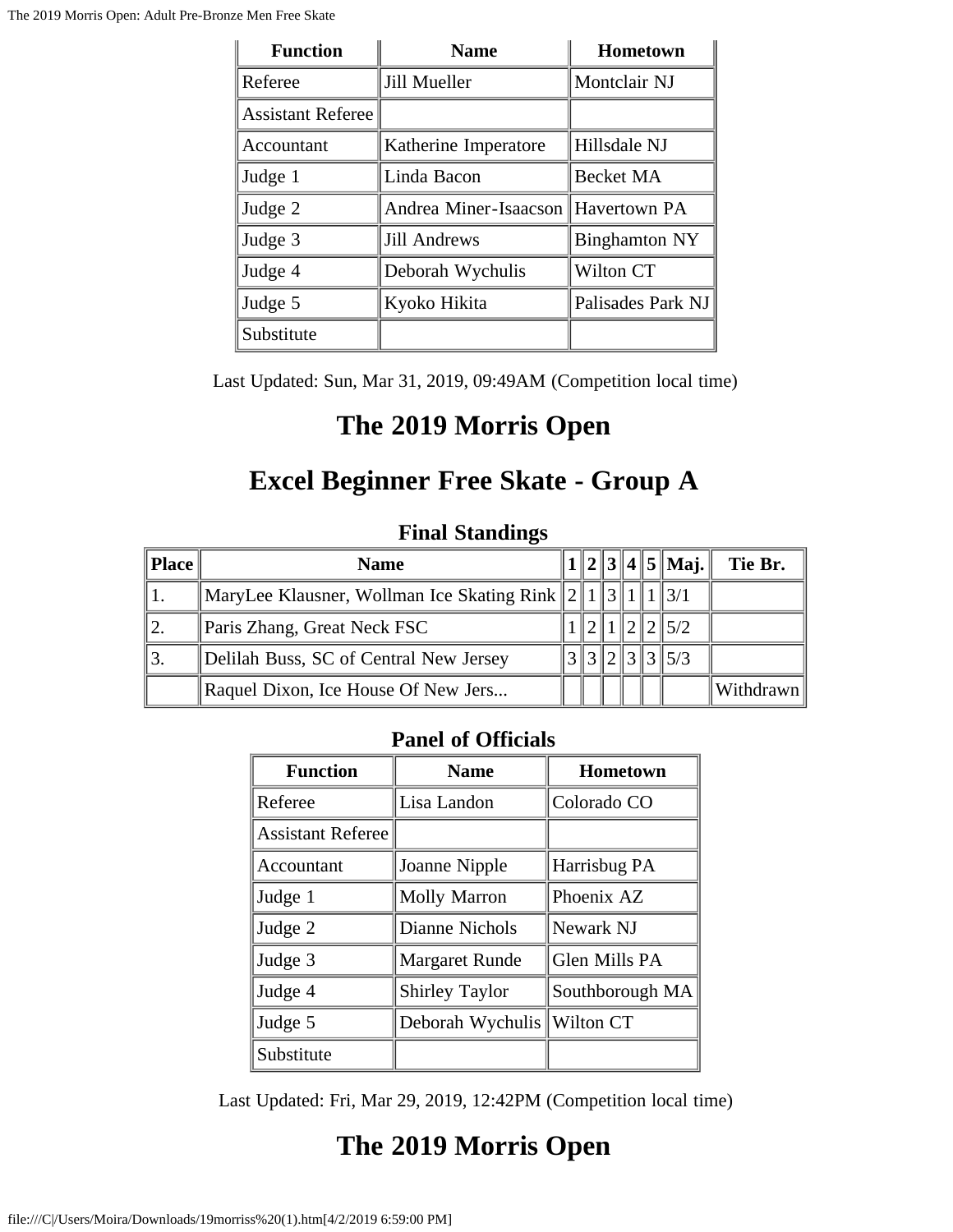| <b>Function</b>          | <b>Name</b>           | <b>Hometown</b>      |
|--------------------------|-----------------------|----------------------|
| Referee                  | Jill Mueller          | Montclair NJ         |
| <b>Assistant Referee</b> |                       |                      |
| Accountant               | Katherine Imperatore  | Hillsdale NJ         |
| Judge 1                  | Linda Bacon           | <b>Becket MA</b>     |
| Judge 2                  | Andrea Miner-Isaacson | Havertown PA         |
| Judge 3                  | <b>Jill Andrews</b>   | <b>Binghamton NY</b> |
| Judge 4                  | Deborah Wychulis      | Wilton CT            |
| Judge 5                  | Kyoko Hikita          | Palisades Park NJ    |
| Substitute               |                       |                      |

Last Updated: Sun, Mar 31, 2019, 09:49AM (Competition local time)

## **The 2019 Morris Open**

## **Excel Beginner Free Skate - Group A**

### **Final Standings**

| Place | <b>Name</b>                                                       |  |  | $  1  2  3  4  5  $ Maj. | Tie Br.   |
|-------|-------------------------------------------------------------------|--|--|--------------------------|-----------|
|       | MaryLee Klausner, Wollman Ice Skating Rink $\ 2\ 1\ 3\ 1\ 1\ 3/1$ |  |  |                          |           |
| 12.   | Paris Zhang, Great Neck FSC                                       |  |  | $\ 2\ 1\ 2\ 2\ 5/2$      |           |
| 13.   | Delilah Buss, SC of Central New Jersey                            |  |  | $3\,3\,2\,3\,3\,5/3$     |           |
|       | Raquel Dixon, Ice House Of New Jers                               |  |  |                          | Withdrawn |

### **Panel of Officials**

| <b>Function</b>          | <b>Name</b>           | Hometown        |
|--------------------------|-----------------------|-----------------|
| Referee                  | Lisa Landon           | Colorado CO     |
| <b>Assistant Referee</b> |                       |                 |
| Accountant               | Joanne Nipple         | Harrisbug PA    |
| Judge 1                  | <b>Molly Marron</b>   | Phoenix AZ      |
| Judge 2                  | Dianne Nichols        | Newark NJ       |
| Judge 3                  | <b>Margaret Runde</b> | Glen Mills PA   |
| Judge 4                  | <b>Shirley Taylor</b> | Southborough MA |
| Judge 5                  | Deborah Wychulis      | Wilton CT       |
| Substitute               |                       |                 |

Last Updated: Fri, Mar 29, 2019, 12:42PM (Competition local time)

# **The 2019 Morris Open**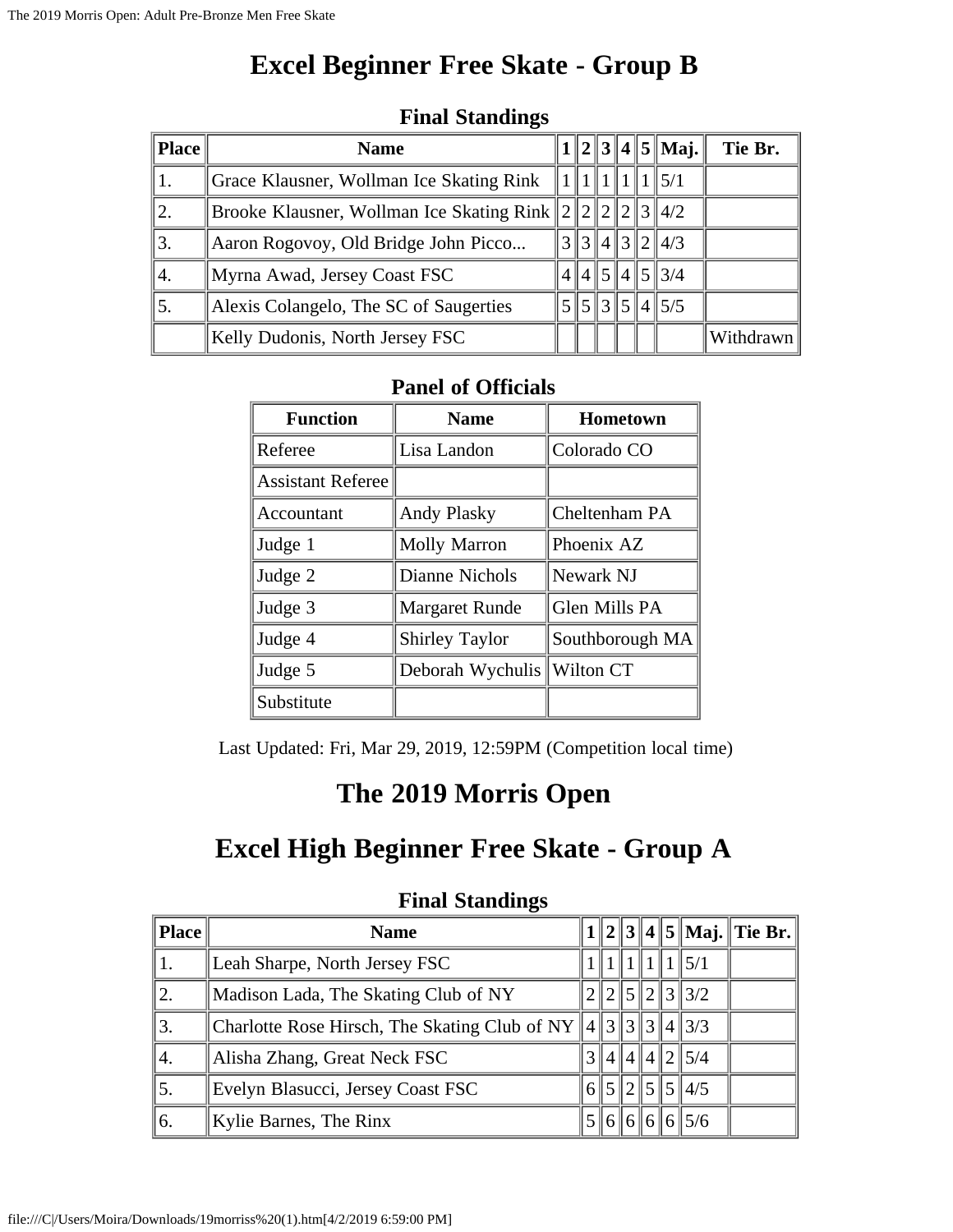## **Excel Beginner Free Skate - Group B**

| $\parallel$ Place $\parallel$ | <b>Name</b>                                        |  |  | $ 1  2  3  4  5  $ Maj.                          | Tie Br.   |
|-------------------------------|----------------------------------------------------|--|--|--------------------------------------------------|-----------|
|                               | Grace Klausner, Wollman Ice Skating Rink           |  |  | 1  1  5/1                                        |           |
| 2.                            | Brooke Klausner, Wollman Ice Skating Rink $222228$ |  |  |                                                  |           |
| 3.                            | Aaron Rogovoy, Old Bridge John Picco               |  |  | 3  3  4  3  2  4/3                               |           |
| 4.                            | Myrna Awad, Jersey Coast FSC                       |  |  | 4  4  5  4  5  3/4                               |           |
| 5.                            | Alexis Colangelo, The SC of Saugerties             |  |  | $5\frac{1}{5}$ 3 $\frac{1}{5}$ 4 $\frac{1}{5}$ 5 |           |
|                               | Kelly Dudonis, North Jersey FSC                    |  |  |                                                  | Withdrawn |

#### **Final Standings**

### **Panel of Officials**

| <b>Function</b>          | <b>Name</b>           | <b>Hometown</b> |
|--------------------------|-----------------------|-----------------|
| Referee                  | Lisa Landon           | Colorado CO     |
| <b>Assistant Referee</b> |                       |                 |
| Accountant               | <b>Andy Plasky</b>    | Cheltenham PA   |
| Judge 1                  | <b>Molly Marron</b>   | Phoenix AZ      |
| Judge 2                  | Dianne Nichols        | Newark NJ       |
| Judge 3                  | <b>Margaret Runde</b> | Glen Mills PA   |
| Judge 4                  | <b>Shirley Taylor</b> | Southborough MA |
| Judge 5                  | Deborah Wychulis      | Wilton CT       |
| Substitute               |                       |                 |

Last Updated: Fri, Mar 29, 2019, 12:59PM (Competition local time)

## **The 2019 Morris Open**

# **Excel High Beginner Free Skate - Group A**

|                  | $\sim$ $\sim$ $\sim$ $\sim$ $\sim$ $\sim$ $\sim$ $\sim$           |  |  |  |  |  |                    |                                |  |  |
|------------------|-------------------------------------------------------------------|--|--|--|--|--|--------------------|--------------------------------|--|--|
| Place            | <b>Name</b>                                                       |  |  |  |  |  |                    | $1  2  3  4  5  $ Maj. Tie Br. |  |  |
|                  | Leah Sharpe, North Jersey FSC                                     |  |  |  |  |  | 1111115/1          |                                |  |  |
| 2.               | Madison Lada, The Skating Club of NY                              |  |  |  |  |  | 2  2  5  2  3  3/2 |                                |  |  |
| $\overline{3}$ . | Charlotte Rose Hirsch, The Skating Club of NY $  4  3  3  4  3/3$ |  |  |  |  |  |                    |                                |  |  |
| 4.               | Alisha Zhang, Great Neck FSC                                      |  |  |  |  |  | 3  4  4  4  2  5/4 |                                |  |  |
| 5.               | Evelyn Blasucci, Jersey Coast FSC                                 |  |  |  |  |  | 6  5  2  5  5  4/5 |                                |  |  |
| 6.               | Kylie Barnes, The Rinx                                            |  |  |  |  |  | 5  6  6  6  5/6    |                                |  |  |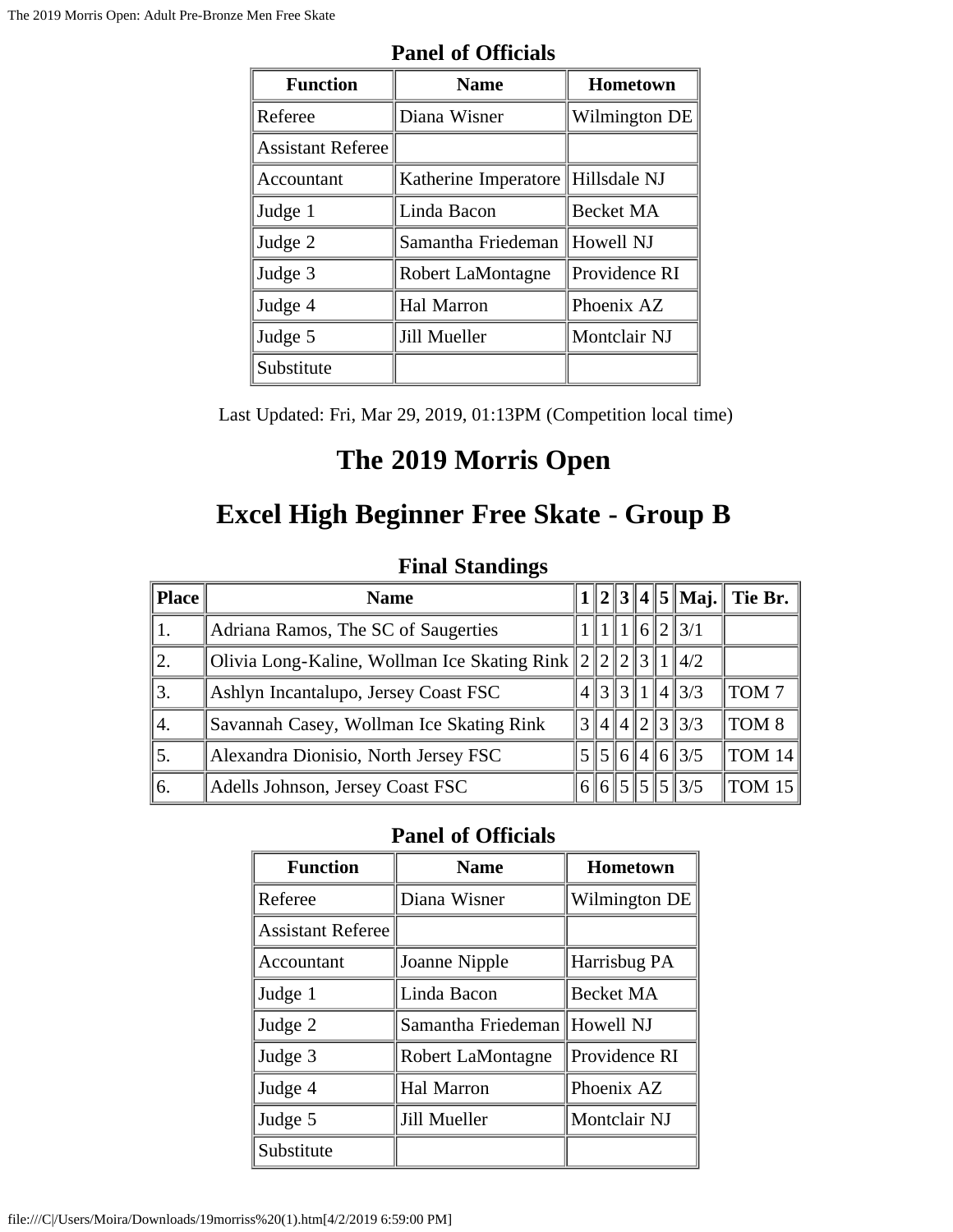| <b>Function</b>          | <b>Name</b>                       | Hometown      |
|--------------------------|-----------------------------------|---------------|
| Referee                  | Diana Wisner                      | Wilmington DE |
| <b>Assistant Referee</b> |                                   |               |
| Accountant               | Katherine Imperatore Hillsdale NJ |               |
| Judge 1                  | Linda Bacon                       | Becket MA     |
| Judge 2                  | Samantha Friedeman                | ∥Howell NJ    |
| Judge 3                  | Robert LaMontagne                 | Providence RI |
| Judge 4                  | Hal Marron                        | Phoenix AZ    |
| Judge 5                  | Jill Mueller                      | Montclair NJ  |
| Substitute               |                                   |               |

Last Updated: Fri, Mar 29, 2019, 01:13PM (Competition local time)

# **The 2019 Morris Open**

## **Excel High Beginner Free Skate - Group B**

### **Final Standings**

| <b>Place</b> | <b>Name</b>                                           |  |  |                    | $1  2  3  4  5  $ Maj. Tie Br. |
|--------------|-------------------------------------------------------|--|--|--------------------|--------------------------------|
|              | Adriana Ramos, The SC of Saugerties                   |  |  | 1  1  6  2  3/1    |                                |
| 12.          | Olivia Long-Kaline, Wollman Ice Skating Rink $222311$ |  |  | $\parallel$ 4/2    |                                |
| 13.          | Ashlyn Incantalupo, Jersey Coast FSC                  |  |  | 4  3  3  1  4  3/3 | TOM <sub>7</sub>               |
| 14.          | Savannah Casey, Wollman Ice Skating Rink              |  |  | 3 4 4 2 3 3/3      | TOM 8                          |
| 5.           | Alexandra Dionisio, North Jersey FSC                  |  |  | 5  5  6  4  6  3/5 | $\parallel$ tom 14 $\parallel$ |
| 6.           | Adells Johnson, Jersey Coast FSC                      |  |  | 6  6  5  5  5  3/5 | TOM 15                         |

| <b>Function</b>          | <b>Name</b>                  | Hometown         |
|--------------------------|------------------------------|------------------|
| Referee                  | Diana Wisner                 | Wilmington DE    |
| <b>Assistant Referee</b> |                              |                  |
| Accountant               | Joanne Nipple                | Harrisbug PA     |
| Judge 1                  | Linda Bacon                  | <b>Becket MA</b> |
| Judge 2                  | Samantha Friedeman Howell NJ |                  |
| Judge 3                  | Robert LaMontagne            | Providence RI    |
| Judge 4                  | Hal Marron                   | Phoenix AZ       |
| Judge 5                  | Jill Mueller                 | Montclair NJ     |
| Substitute               |                              |                  |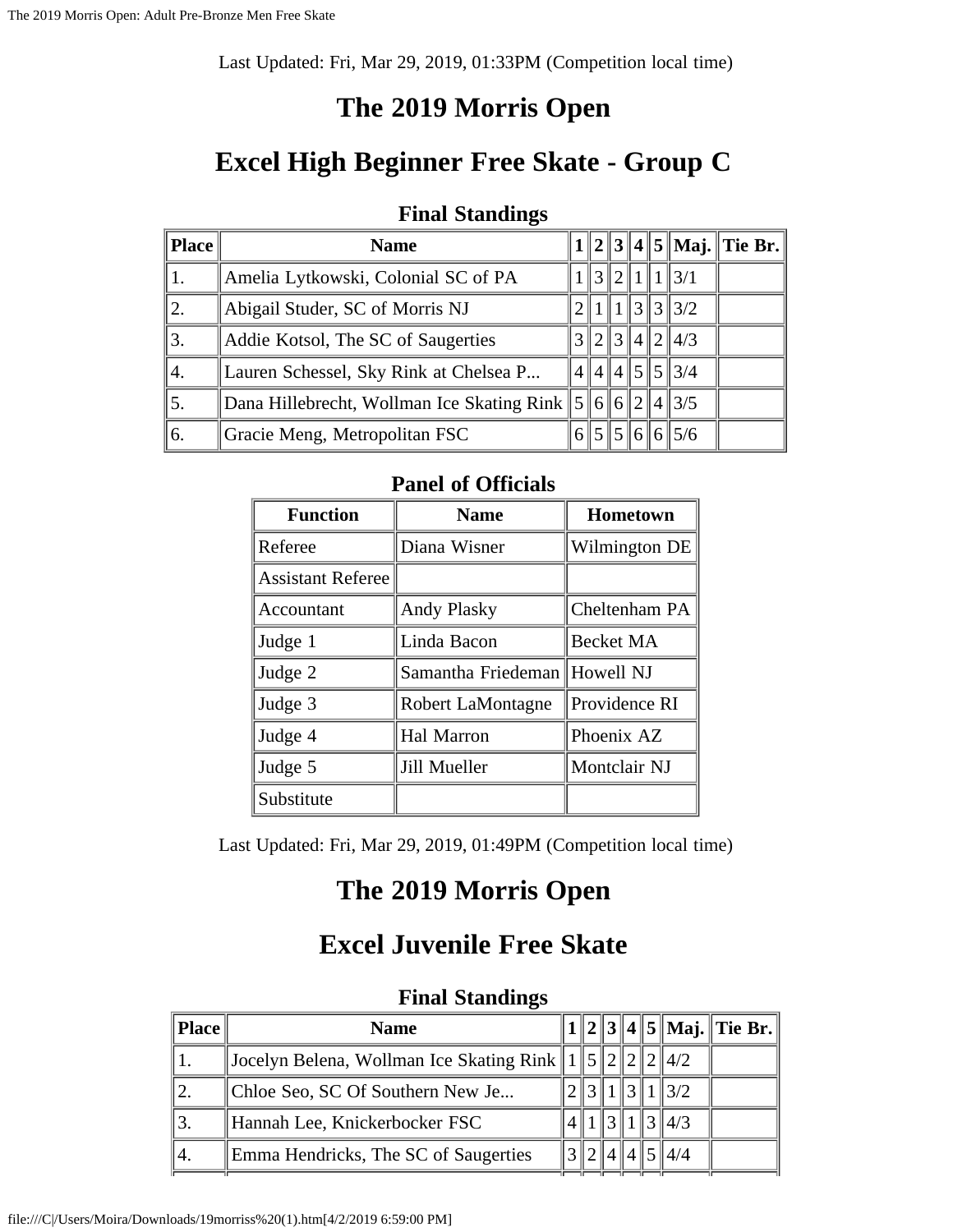Last Updated: Fri, Mar 29, 2019, 01:33PM (Competition local time)

### **The 2019 Morris Open**

## **Excel High Beginner Free Skate - Group C**

#### **Final Standings**

| <b>Place</b> | <b>Name</b>                                                       |  |                |                         | $1  2  3  4  5  $ Maj.    Tie Br. |
|--------------|-------------------------------------------------------------------|--|----------------|-------------------------|-----------------------------------|
|              | Amelia Lytkowski, Colonial SC of PA                               |  | $\ 3\ 2\ 1\ 1$ | $\parallel$ 3/1         |                                   |
| 12.          | Abigail Studer, SC of Morris NJ                                   |  |                | $1\, \,3\, \,3\, \,3/2$ |                                   |
| 3.           | Addie Kotsol, The SC of Saugerties                                |  |                | 3  2  3  4  2  4/3      |                                   |
| 4.           | Lauren Schessel, Sky Rink at Chelsea P                            |  |                | 414145534               |                                   |
|              | Dana Hillebrecht, Wollman Ice Skating Rink $\ 5\ 6\ 6\ 2\ 4\ 3/5$ |  |                |                         |                                   |
| 6.           | Gracie Meng, Metropolitan FSC                                     |  |                | 6  5  5  6  6  5/6      |                                   |

#### **Panel of Officials**

| <b>Function</b>          | <b>Name</b>                  | <b>Hometown</b> |
|--------------------------|------------------------------|-----------------|
| Referee                  | Diana Wisner                 | Wilmington DE   |
| <b>Assistant Referee</b> |                              |                 |
| Accountant               | <b>Andy Plasky</b>           | Cheltenham PA   |
| Judge 1                  | Linda Bacon                  | Becket MA       |
| Judge 2                  | Samantha Friedeman Howell NJ |                 |
| Judge 3                  | Robert LaMontagne            | Providence RI   |
| Judge 4                  | Hal Marron                   | Phoenix AZ      |
| Judge 5                  | Jill Mueller                 | Montclair NJ    |
| Substitute               |                              |                 |

Last Updated: Fri, Mar 29, 2019, 01:49PM (Competition local time)

### **The 2019 Morris Open**

### **Excel Juvenile Free Skate**

| <b>Place</b> | <b>Name</b>                                                              |  |  |               |                 | .1    2    3    4    5    Maj.    Tie Br. |
|--------------|--------------------------------------------------------------------------|--|--|---------------|-----------------|-------------------------------------------|
|              | Jocelyn Belena, Wollman Ice Skating Rink    1    5    2    2    2    4/2 |  |  |               |                 |                                           |
|              | Chloe Seo, SC Of Southern New Je                                         |  |  |               | $\parallel$ 3/2 |                                           |
|              | Hannah Lee, Knickerbocker FSC                                            |  |  | $\parallel$ 3 | $\ 4/3$         |                                           |
| ۰4.          | Emma Hendricks, The SC of Saugerties                                     |  |  |               | 4/4             |                                           |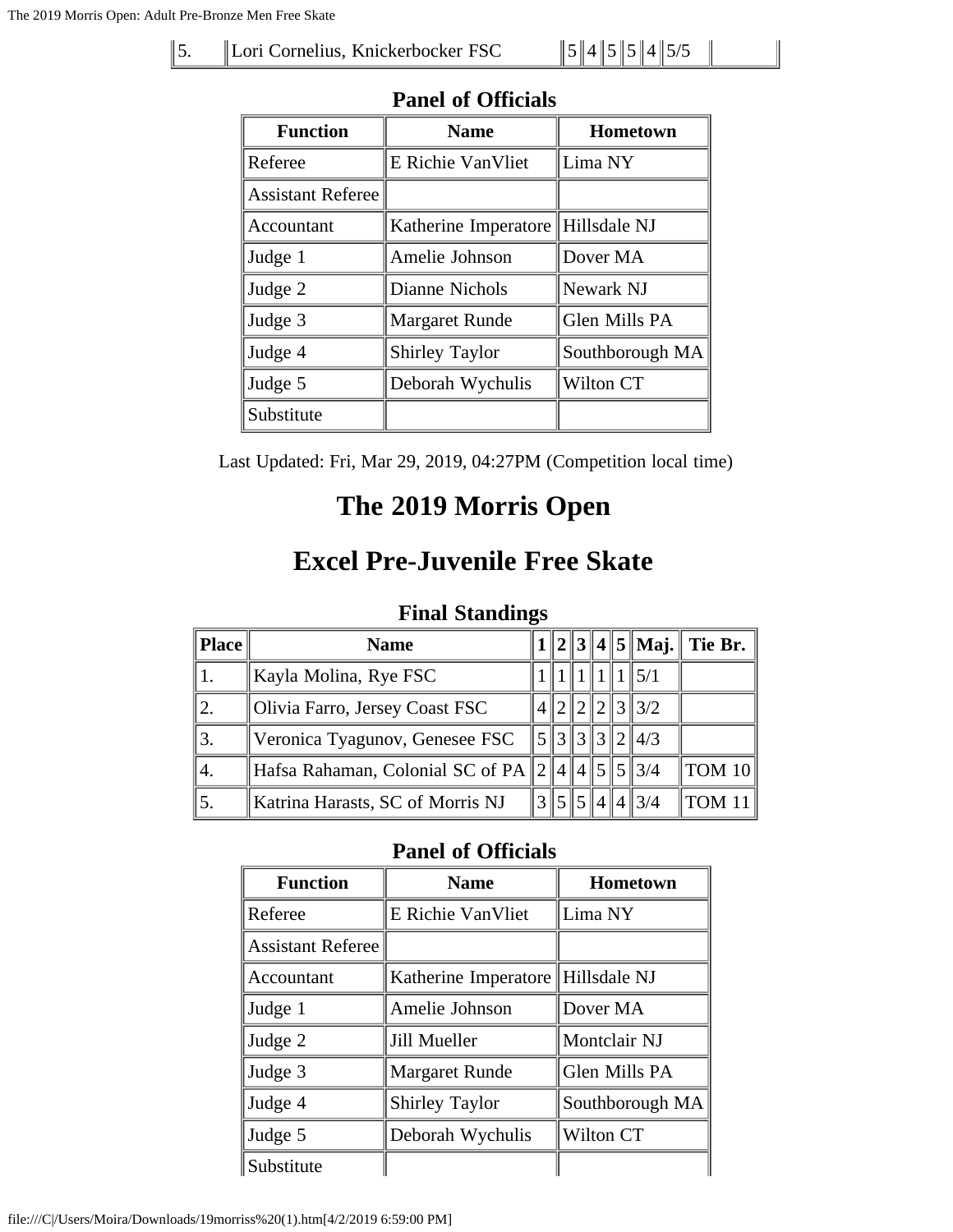5. | Lori Cornelius, Knickerbocker FSC  $||5||4||5||5||4||5/5$ 

| <b>Function</b>          | <b>Name</b>           | <b>Hometown</b> |  |  |  |  |  |  |  |
|--------------------------|-----------------------|-----------------|--|--|--|--|--|--|--|
| Referee                  | E Richie Van Vliet    | Lima NY         |  |  |  |  |  |  |  |
| <b>Assistant Referee</b> |                       |                 |  |  |  |  |  |  |  |
| Accountant               | Katherine Imperatore  | Hillsdale NJ    |  |  |  |  |  |  |  |
| Judge 1                  | Amelie Johnson        | Dover MA        |  |  |  |  |  |  |  |
| Judge 2                  | Dianne Nichols        | Newark NJ       |  |  |  |  |  |  |  |
| Judge 3                  | <b>Margaret Runde</b> | Glen Mills PA   |  |  |  |  |  |  |  |
| Judge 4                  | Shirley Taylor        | Southborough MA |  |  |  |  |  |  |  |
| Judge 5                  | Deborah Wychulis      | Wilton CT       |  |  |  |  |  |  |  |
| Substitute               |                       |                 |  |  |  |  |  |  |  |

### **Panel of Officials**

Last Updated: Fri, Mar 29, 2019, 04:27PM (Competition local time)

## **The 2019 Morris Open**

## **Excel Pre-Juvenile Free Skate**

#### **Final Standings**

| Place | <b>Name</b>                                       |            |  |     | $  2  3  4  5  $ Maj. Tie Br.  |
|-------|---------------------------------------------------|------------|--|-----|--------------------------------|
|       | Kayla Molina, Rye FSC                             |            |  | 5/1 |                                |
|       | Olivia Farro, Jersey Coast FSC                    |            |  | 3/2 |                                |
|       | Veronica Tyagunov, Genesee FSC                    | 5  3  3  3 |  | 4/3 |                                |
| 4.    | ∥Hafsa Rahaman, Colonial SC of PA   2   4   4   5 |            |  | 3/4 | $\parallel$ tom 10 $\parallel$ |
|       | Katrina Harasts, SC of Morris NJ                  |            |  | 3/4 | TOM 11                         |

| <b>Function</b>          | <b>Name</b>           | Hometown        |
|--------------------------|-----------------------|-----------------|
| Referee                  | E Richie VanVliet     | Lima NY         |
| <b>Assistant Referee</b> |                       |                 |
| Accountant               | Katherine Imperatore  | Hillsdale NJ    |
| Judge 1                  | Amelie Johnson        | Dover MA        |
| Judge 2                  | Jill Mueller          | Montclair NJ    |
| Judge 3                  | <b>Margaret Runde</b> | Glen Mills PA   |
| Judge 4                  | <b>Shirley Taylor</b> | Southborough MA |
| Judge 5                  | Deborah Wychulis      | Wilton CT       |
| Substitute               |                       |                 |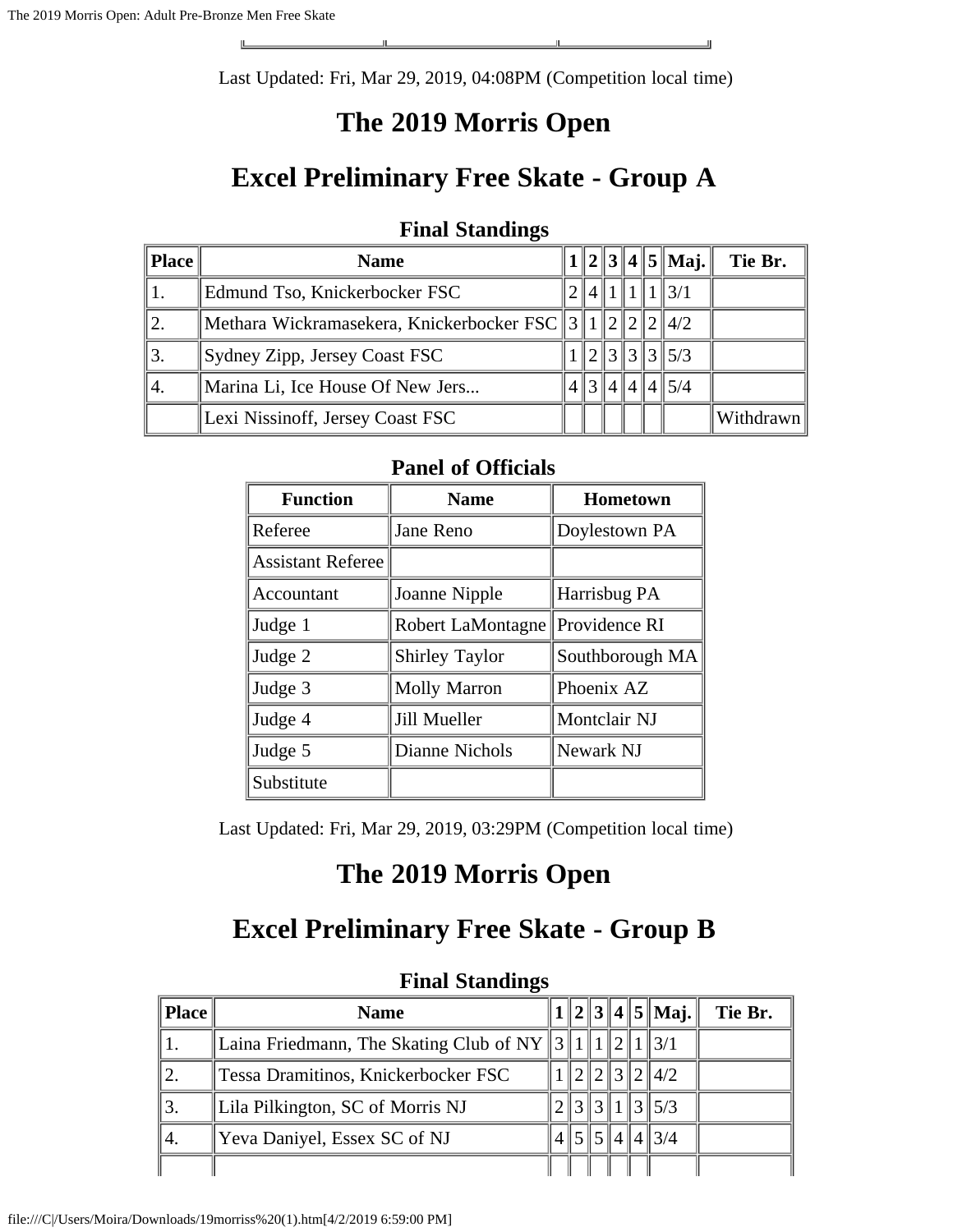Last Updated: Fri, Mar 29, 2019, 04:08PM (Competition local time)

 $\overline{\phantom{0}}$ 

### **The 2019 Morris Open**

## **Excel Preliminary Free Skate - Group A**

| <b>Final Standings</b> |
|------------------------|
|                        |

| <b>Place</b> | <b>Name</b>                                           |   |       |  | $1  2  3  4  5  $ Maj.   | Tie Br.   |
|--------------|-------------------------------------------------------|---|-------|--|--------------------------|-----------|
|              | Edmund Tso, Knickerbocker FSC                         |   | 4   1 |  | $\parallel$ 3/1          |           |
| 12.          | Methara Wickramasekera, Knickerbocker FSC 3 1 2 2 4/2 |   |       |  |                          |           |
| 3.           | Sydney Zipp, Jersey Coast FSC                         |   |       |  | $\ \,3\,\ 3\,\ 3\,\ 5/3$ |           |
| ٦4.          | Marina Li, Ice House Of New Jers                      | 4 |       |  | 414145/4                 |           |
|              | Lexi Nissinoff, Jersey Coast FSC                      |   |       |  |                          | Withdrawn |

#### **Panel of Officials**

| <b>Function</b>          | <b>Name</b>           | <b>Hometown</b> |
|--------------------------|-----------------------|-----------------|
| Referee                  | Jane Reno             | Doylestown PA   |
| <b>Assistant Referee</b> |                       |                 |
| Accountant               | Joanne Nipple         | Harrisbug PA    |
| Judge 1                  | Robert LaMontagne     | Providence RI   |
| Judge 2                  | <b>Shirley Taylor</b> | Southborough MA |
| Judge 3                  | <b>Molly Marron</b>   | Phoenix AZ      |
| Judge 4                  | Jill Mueller          | Montclair NJ    |
| Judge 5                  | Dianne Nichols        | Newark NJ       |
| Substitute               |                       |                 |

Last Updated: Fri, Mar 29, 2019, 03:29PM (Competition local time)

## **The 2019 Morris Open**

### **Excel Preliminary Free Skate - Group B**

|       | r mar Duanames                                           |  |  |  |  |  |                             |         |  |  |
|-------|----------------------------------------------------------|--|--|--|--|--|-----------------------------|---------|--|--|
| Place | <b>Name</b>                                              |  |  |  |  |  | $  2  3  4  5  $ Maj.       | Tie Br. |  |  |
|       | Laina Friedmann, The Skating Club of NY  3  1  2  1  3/1 |  |  |  |  |  |                             |         |  |  |
|       | Tessa Dramitinos, Knickerbocker FSC                      |  |  |  |  |  | 2 2 3 2 4/2                 |         |  |  |
|       | Lila Pilkington, SC of Morris NJ                         |  |  |  |  |  | 3131135/3                   |         |  |  |
| 4.    | Yeva Daniyel, Essex SC of NJ                             |  |  |  |  |  | $4\,$   5   5   4   4   3/4 |         |  |  |
|       |                                                          |  |  |  |  |  |                             |         |  |  |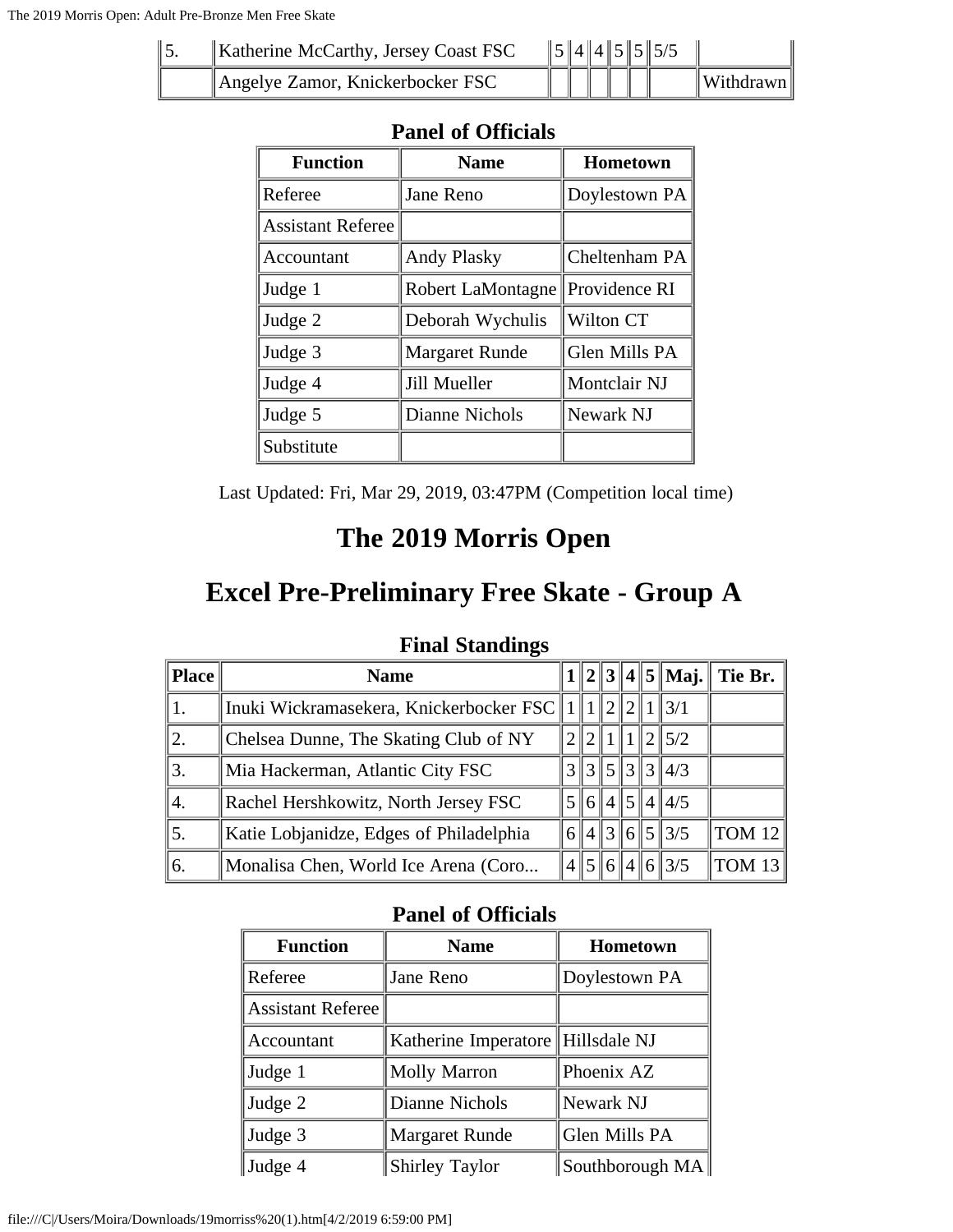| Katherine McCarthy, Jersey Coast FSC |  |  | $\ 5\ 4\ 4\ 5\ 5\ 5/5$ |                      |
|--------------------------------------|--|--|------------------------|----------------------|
| Angelye Zamor, Knickerbocker FSC     |  |  |                        | $\ W\$ ithdrawn $\ $ |

| <b>Function</b>          | <b>Name</b>           | <b>Hometown</b> |
|--------------------------|-----------------------|-----------------|
| Referee                  | Jane Reno             | Doylestown PA   |
| <b>Assistant Referee</b> |                       |                 |
| Accountant               | <b>Andy Plasky</b>    | Cheltenham PA   |
| Judge 1                  | Robert LaMontagne     | Providence RI   |
| Judge 2                  | Deborah Wychulis      | Wilton CT       |
| Judge 3                  | <b>Margaret Runde</b> | Glen Mills PA   |
| Judge 4                  | Jill Mueller          | Montclair NJ    |
| Judge 5                  | Dianne Nichols        | Newark NJ       |
| Substitute               |                       |                 |

Last Updated: Fri, Mar 29, 2019, 03:47PM (Competition local time)

# **The 2019 Morris Open**

# **Excel Pre-Preliminary Free Skate - Group A**

|  | <b>Final Standings</b> |
|--|------------------------|
|--|------------------------|

| Place      | <b>Name</b>                                                             |  |  |                           | $1  2  3  4  5  $ Maj. Tie Br. |
|------------|-------------------------------------------------------------------------|--|--|---------------------------|--------------------------------|
|            | Inuki Wickramasekera, Knickerbocker FSC    1    1    2    2    1    3/1 |  |  |                           |                                |
| 12.        | Chelsea Dunne, The Skating Club of NY                                   |  |  | 1215/2                    |                                |
| 3.         | Mia Hackerman, Atlantic City FSC                                        |  |  | $3\, 3\, 5\, 3\, 3\, 4/3$ |                                |
| 4.         | Rachel Hershkowitz, North Jersey FSC                                    |  |  | $\frac{5}{6}$ 6 4 5 4 4 5 |                                |
| $\vert$ 5. | Katie Lobjanidze, Edges of Philadelphia                                 |  |  | 6  4  3  6  5  3/5        | TOM 12                         |
| ∥6.        | Monalisa Chen, World Ice Arena (Coro                                    |  |  | 4  5  6  4  6  3/5        | TOM 13                         |

| <b>Function</b>   | <b>Name</b>                       | Hometown          |
|-------------------|-----------------------------------|-------------------|
| Referee           | Jane Reno                         | Doylestown PA     |
| Assistant Referee |                                   |                   |
| Accountant        | Katherine Imperatore Hillsdale NJ |                   |
| Judge 1           | <b>Molly Marron</b>               | Phoenix AZ        |
| Judge 2           | Dianne Nichols                    | Newark NJ         |
| Judge 3           | <b>Margaret Runde</b>             | Glen Mills PA     |
| Judge 4           | <b>Shirley Taylor</b>             | Southborough $MA$ |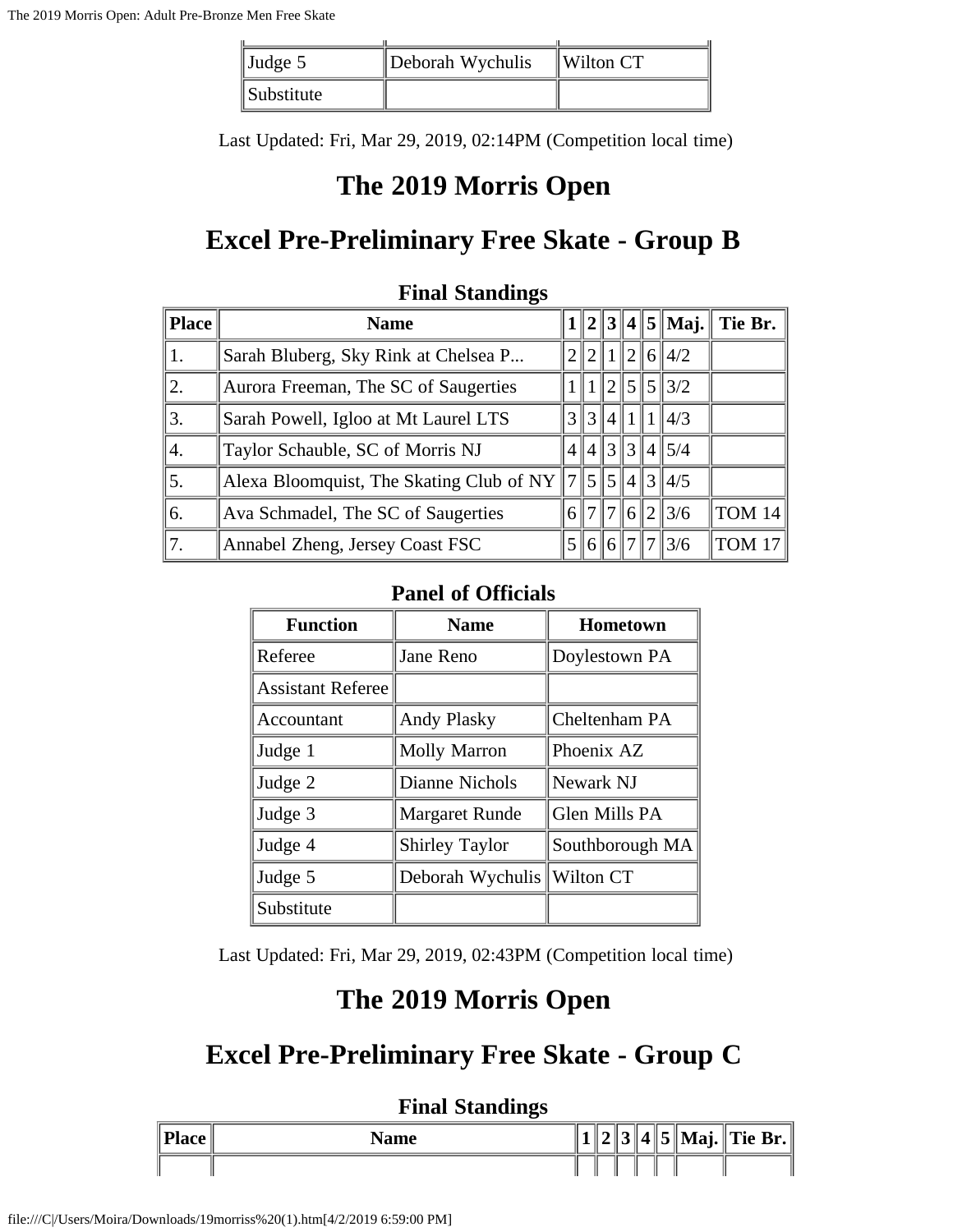| $\vert$ Judge 5   | Deborah Wychulis | $\parallel$ Wilton CT |
|-------------------|------------------|-----------------------|
| <i>Substitute</i> |                  |                       |

Last Updated: Fri, Mar 29, 2019, 02:14PM (Competition local time)

### **The 2019 Morris Open**

## **Excel Pre-Preliminary Free Skate - Group B**

| Place <sup>y</sup> | <b>Name</b>                                                     |  |               |  | $1  2  3  4  5  $ Maj.    | Tie Br.           |
|--------------------|-----------------------------------------------------------------|--|---------------|--|---------------------------|-------------------|
|                    | Sarah Bluberg, Sky Rink at Chelsea P                            |  |               |  | 2  2  1  2  6  4/2        |                   |
| 2.                 | Aurora Freeman, The SC of Saugerties                            |  |               |  | $1 \  2 \  5 \  5 \  3/2$ |                   |
| 3.                 | Sarah Powell, Igloo at Mt Laurel LTS                            |  |               |  | 3  3  4  1  1  4/3        |                   |
| 4.                 | Taylor Schauble, SC of Morris NJ                                |  |               |  | 4  4  3  3  4  5/4        |                   |
| 5.                 | Alexa Bloomquist, The Skating Club of NY $  7  5  5  4  3  4/5$ |  |               |  |                           |                   |
| 6.                 | Ava Schmadel, The SC of Saugerties                              |  | 6  7  7  6  2 |  | $\frac{3}{6}$             | TOM 14            |
| 17.                | Annabel Zheng, Jersey Coast FSC                                 |  | 5 6 6 7       |  | 3/6                       | TOM <sub>17</sub> |

#### **Final Standings**

### **Panel of Officials**

| <b>Function</b>          | <b>Name</b>           | <b>Hometown</b> |
|--------------------------|-----------------------|-----------------|
| Referee                  | Jane Reno             | Doylestown PA   |
| <b>Assistant Referee</b> |                       |                 |
| Accountant               | <b>Andy Plasky</b>    | Cheltenham PA   |
| Judge 1                  | <b>Molly Marron</b>   | Phoenix AZ      |
| Judge 2                  | Dianne Nichols        | Newark NJ       |
| Judge 3                  | <b>Margaret Runde</b> | Glen Mills PA   |
| Judge 4                  | <b>Shirley Taylor</b> | Southborough MA |
| Judge 5                  | Deborah Wychulis      | Wilton CT       |
| Substitute               |                       |                 |

Last Updated: Fri, Mar 29, 2019, 02:43PM (Competition local time)

### **The 2019 Morris Open**

## **Excel Pre-Preliminary Free Skate - Group C**

|                   | <b>Final Standings</b> |  |  |  |                              |
|-------------------|------------------------|--|--|--|------------------------------|
| $Place \parallel$ | Name                   |  |  |  | $ 2  3  4  5  $ Maj. Tie Br. |
|                   |                        |  |  |  |                              |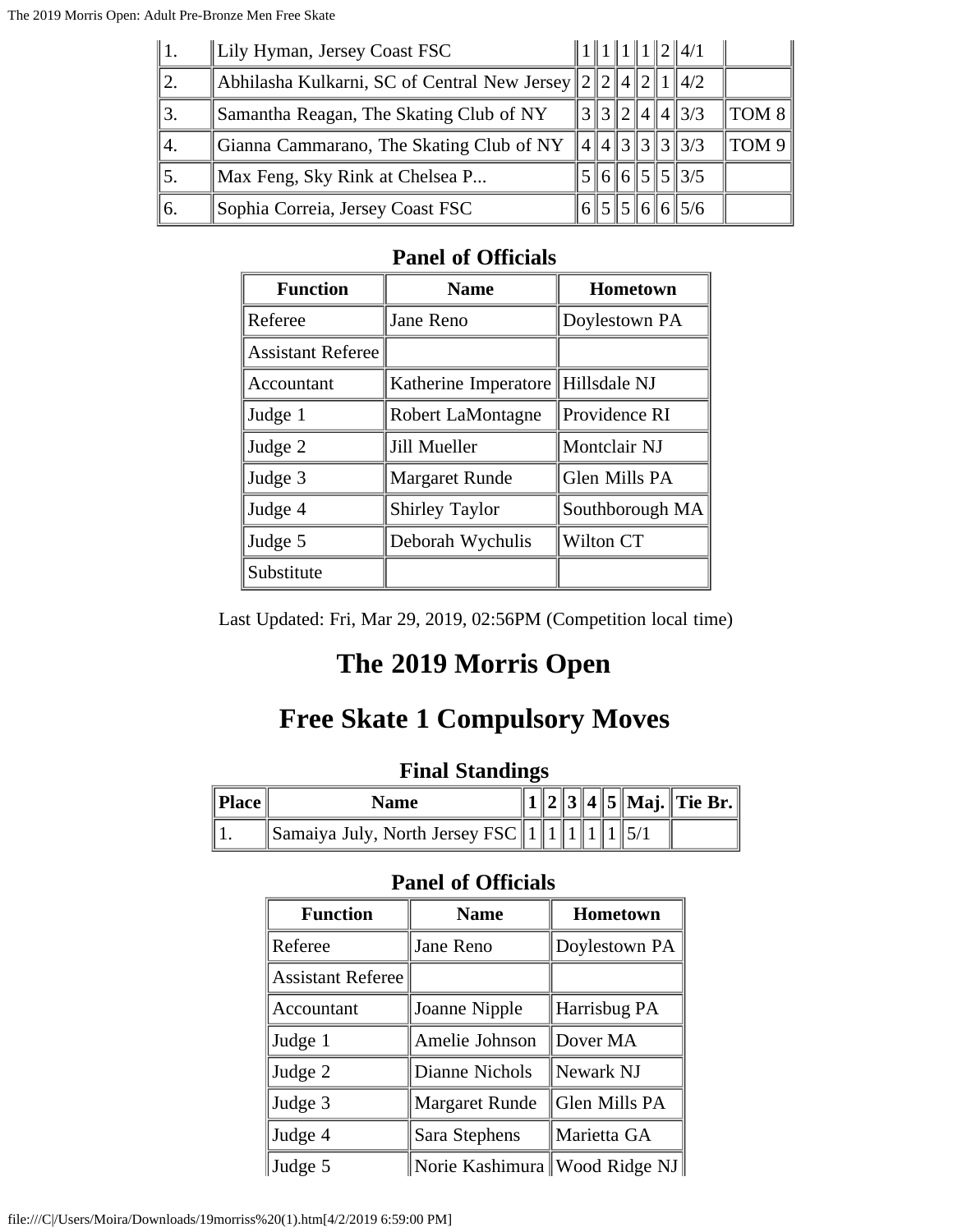| $\parallel$ 1. | Lily Hyman, Jersey Coast FSC                                  |  |  | 1  1  1  1  2  4/1      |                               |
|----------------|---------------------------------------------------------------|--|--|-------------------------|-------------------------------|
| 12.            | Abhilasha Kulkarni, SC of Central New Jersey $22 2 4 2 1 4/2$ |  |  |                         |                               |
| 3.             | Samantha Reagan, The Skating Club of NY                       |  |  | 3 3 2 4 4 3/3           | $\parallel$ TOM 8 $\parallel$ |
| 4.             | Gianna Cammarano, The Skating Club of NY                      |  |  | $\ 4\ 4\ 3\ 3\ 3\ 3/3$  | $^{\dagger}$ TOM 9            |
| 15.            | Max Feng, Sky Rink at Chelsea P                               |  |  | $\ 6\ 6\ 5\ 5\ 3/5$     |                               |
| 6.             | Sophia Correia, Jersey Coast FSC                              |  |  | $\frac{5}{5}$ 5 6 6 5/6 |                               |

| <b>Function</b>          | <b>Name</b>           | <b>Hometown</b> |
|--------------------------|-----------------------|-----------------|
| Referee                  | Jane Reno             | Doylestown PA   |
| <b>Assistant Referee</b> |                       |                 |
| Accountant               | Katherine Imperatore  | Hillsdale NJ    |
| Judge 1                  | Robert LaMontagne     | Providence RI   |
| Judge 2                  | Jill Mueller          | Montclair NJ    |
| Judge 3                  | <b>Margaret Runde</b> | Glen Mills PA   |
| Judge 4                  | <b>Shirley Taylor</b> | Southborough MA |
| Judge 5                  | Deborah Wychulis      | Wilton CT       |
| Substitute               |                       |                 |

Last Updated: Fri, Mar 29, 2019, 02:56PM (Competition local time)

# **The 2019 Morris Open**

## **Free Skate 1 Compulsory Moves**

### **Final Standings**

| $\ $ Place $\ $ | Name                                                       |  |  |  | 1    2    3    4    5    Maj.    Tie Br. |
|-----------------|------------------------------------------------------------|--|--|--|------------------------------------------|
|                 | $\ \text{Samaiya July, North Jersey FSC}\ 1\ 1\ 1\ 1\ 5/1$ |  |  |  |                                          |

| <b>Function</b>          | <b>Name</b>                     | <b>Hometown</b> |  |  |
|--------------------------|---------------------------------|-----------------|--|--|
| Referee                  | Jane Reno                       | Doylestown PA   |  |  |
| <b>Assistant Referee</b> |                                 |                 |  |  |
| Accountant               | Joanne Nipple                   | Harrisbug PA    |  |  |
| Judge 1                  | Amelie Johnson                  | Dover MA        |  |  |
| Judge 2                  | Dianne Nichols                  | Newark NJ       |  |  |
| Judge 3                  | <b>Margaret Runde</b>           | Glen Mills PA   |  |  |
| Judge 4                  | Sara Stephens                   | Marietta GA     |  |  |
| Judge 5                  | Norie Kashimura   Wood Ridge NJ |                 |  |  |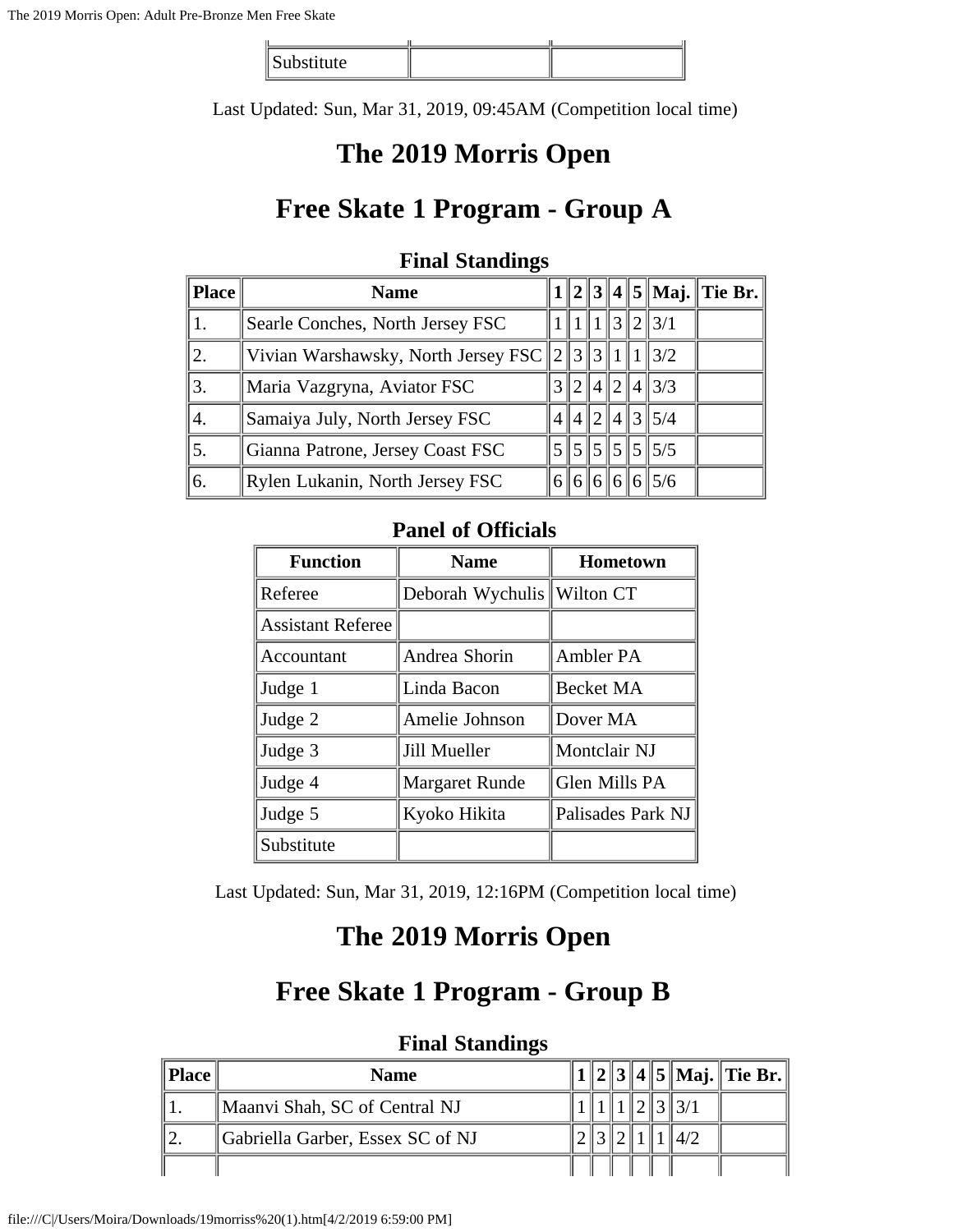| stitute.<br>publication |  |
|-------------------------|--|

Last Updated: Sun, Mar 31, 2019, 09:45AM (Competition local time)

## **The 2019 Morris Open**

### **Free Skate 1 Program - Group A**

| <b>Place</b> | <b>Name</b>                                                |             |  |                     | $1  2  3  4  5  $ Maj. Tie Br. |
|--------------|------------------------------------------------------------|-------------|--|---------------------|--------------------------------|
| 1.           | Searle Conches, North Jersey FSC                           |             |  | $\ 1\ 1\ 3\ 2\ 3/1$ |                                |
| 2.           | Vivian Warshawsky, North Jersey FSC $\ 2\ 3\ 3\ 1\ 1\ 3/2$ |             |  |                     |                                |
| 3.           | Maria Vazgryna, Aviator FSC                                | 2    4    2 |  | $4\frac{3}{3}$      |                                |
| 4.           | Samaiya July, North Jersey FSC                             |             |  | $14$ 2 4 3 5/4      |                                |
| 5.           | Gianna Patrone, Jersey Coast FSC                           |             |  |                     |                                |
| 6.           | Rylen Lukanin, North Jersey FSC                            |             |  | 6  6  6  6  5/6     |                                |

### **Final Standings**

#### **Panel of Officials**

| <b>Function</b>          | <b>Name</b>                  | <b>Hometown</b>   |
|--------------------------|------------------------------|-------------------|
| Referee                  | Deborah Wychulis   Wilton CT |                   |
| <b>Assistant Referee</b> |                              |                   |
| Accountant               | Andrea Shorin                | Ambler PA         |
| Judge 1                  | Linda Bacon                  | Becket MA         |
| Judge 2                  | Amelie Johnson               | Dover MA          |
| Judge 3                  | Jill Mueller                 | Montclair NJ      |
| Judge 4                  | <b>Margaret Runde</b>        | Glen Mills PA     |
| Judge 5                  | Kyoko Hikita                 | Palisades Park NJ |
| Substitute               |                              |                   |

Last Updated: Sun, Mar 31, 2019, 12:16PM (Competition local time)

### **The 2019 Morris Open**

### **Free Skate 1 Program - Group B**

| ∥Place ∥ | Name                             |  |  |  | 2 3 4 5 Maj. Tie Br. |
|----------|----------------------------------|--|--|--|----------------------|
|          | Maanvi Shah, SC of Central NJ    |  |  |  |                      |
|          | Gabriella Garber, Essex SC of NJ |  |  |  |                      |
|          |                                  |  |  |  |                      |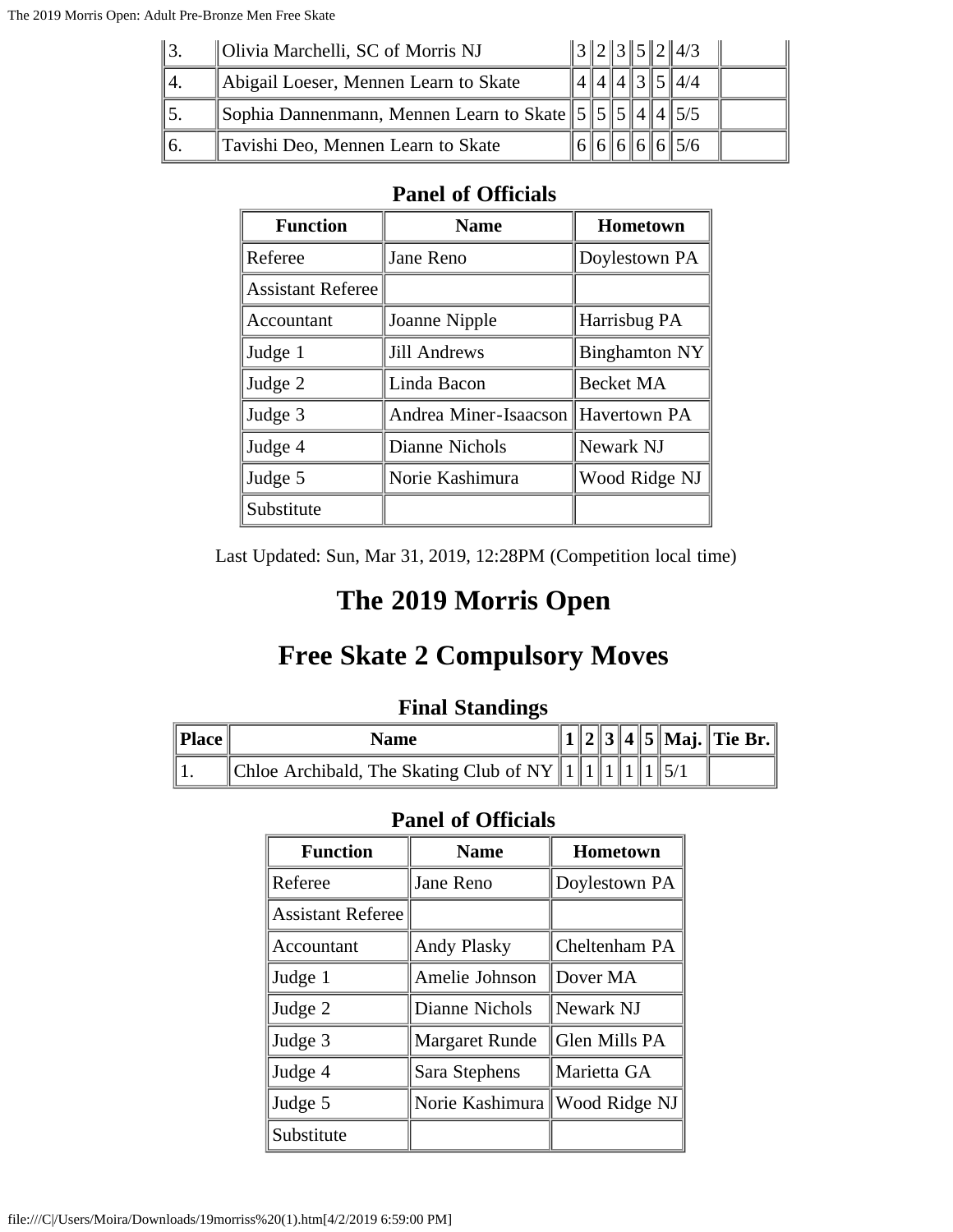| ∥3. | Olivia Marchelli, SC of Morris NJ                               |  |  | $\ 3\ 2\ 3\ 5\ 2\ 4/3$ |  |
|-----|-----------------------------------------------------------------|--|--|------------------------|--|
| ٦4. | Abigail Loeser, Mennen Learn to Skate                           |  |  | $\ 4\ 4\ 4\ 3\ 5\ 4/4$ |  |
|     | Sophia Dannenmann, Mennen Learn to Skate $\ 5\ 5\ 5\ 4\ 4\ 5/5$ |  |  |                        |  |
| 16. | Tavishi Deo, Mennen Learn to Skate                              |  |  | 66665/6                |  |

| <b>Function</b>          | <b>Name</b>                        | <b>Hometown</b>      |
|--------------------------|------------------------------------|----------------------|
| Referee                  | Jane Reno                          | Doylestown PA        |
| <b>Assistant Referee</b> |                                    |                      |
| Accountant               | Joanne Nipple                      | Harrisbug PA         |
| Judge 1                  | Jill Andrews                       | <b>Binghamton NY</b> |
| Judge 2                  | Linda Bacon                        | Becket MA            |
| Judge 3                  | Andrea Miner-Isaacson Havertown PA |                      |
| Judge 4                  | Dianne Nichols                     | Newark NJ            |
| Judge 5                  | Norie Kashimura                    | Wood Ridge NJ        |
| Substitute               |                                    |                      |

Last Updated: Sun, Mar 31, 2019, 12:28PM (Competition local time)

## **The 2019 Morris Open**

## **Free Skate 2 Compulsory Moves**

### **Final Standings**

| Place | <b>Name</b>                                                                        |  |  |  | 1  2  3  4  5  Maj.  Tie Br. |
|-------|------------------------------------------------------------------------------------|--|--|--|------------------------------|
|       | Chloe Archibald, The Skating Club of NY   $1$    $1$    $1$    $1$    $1$    $5/1$ |  |  |  |                              |

| <b>Function</b>          | <b>Name</b>           | Hometown      |
|--------------------------|-----------------------|---------------|
| Referee                  | Jane Reno             | Doylestown PA |
| <b>Assistant Referee</b> |                       |               |
| Accountant               | <b>Andy Plasky</b>    | Cheltenham PA |
| Judge 1                  | Amelie Johnson        | Dover MA      |
| Judge 2                  | Dianne Nichols        | Newark NJ     |
| Judge 3                  | <b>Margaret Runde</b> | Glen Mills PA |
| Judge 4                  | Sara Stephens         | Marietta GA   |
| Judge 5                  | Norie Kashimura       | Wood Ridge NJ |
| Substitute               |                       |               |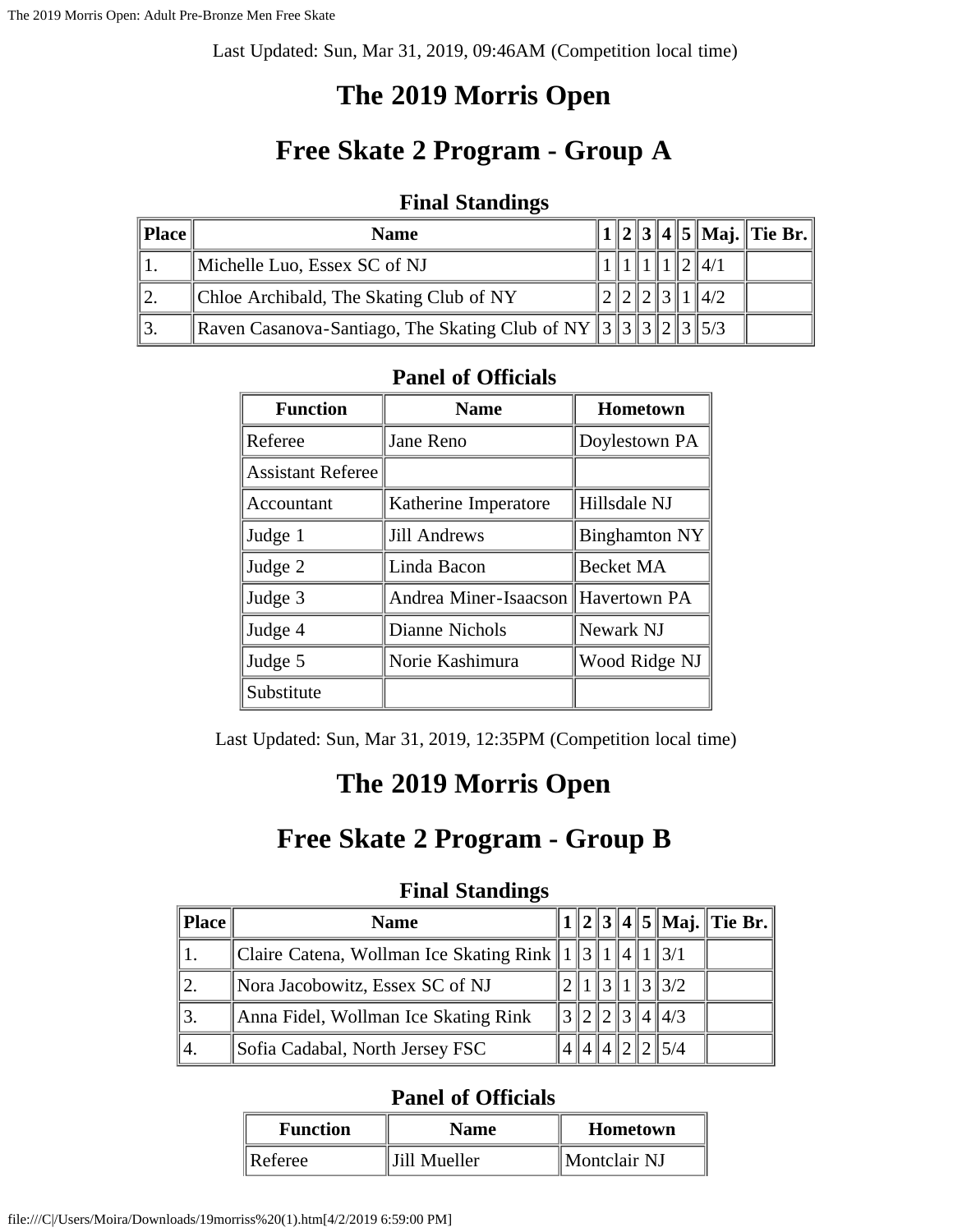Last Updated: Sun, Mar 31, 2019, 09:46AM (Competition local time)

# **The 2019 Morris Open**

# **Free Skate 2 Program - Group A**

#### **Final Standings**

| Place | <b>Name</b>                                                            |  |  |                 | 1    2    3    4    5    Maj.    Tie Br. |
|-------|------------------------------------------------------------------------|--|--|-----------------|------------------------------------------|
|       | Michelle Luo, Essex SC of NJ                                           |  |  | 4/1             |                                          |
| ٦2.   | Chloe Archibald, The Skating Club of NY                                |  |  | $\parallel$ 4/2 |                                          |
| ∥3.   | Raven Casanova-Santiago, The Skating Club of NY $\ 3\ 3\ 3\ 2\ 3\ 5/3$ |  |  |                 |                                          |

#### **Panel of Officials**

| <b>Function</b>          | <b>Name</b>                        | Hometown             |
|--------------------------|------------------------------------|----------------------|
| Referee                  | Jane Reno                          | Doylestown PA        |
| <b>Assistant Referee</b> |                                    |                      |
| Accountant               | Katherine Imperatore               | Hillsdale NJ         |
| Judge 1                  | <b>Jill Andrews</b>                | <b>Binghamton NY</b> |
| Judge 2                  | Linda Bacon                        | <b>Becket MA</b>     |
| Judge 3                  | Andrea Miner-Isaacson Havertown PA |                      |
| Judge 4                  | Dianne Nichols                     | Newark NJ            |
| Judge 5                  | Norie Kashimura                    | Wood Ridge NJ        |
| Substitute               |                                    |                      |

Last Updated: Sun, Mar 31, 2019, 12:35PM (Competition local time)

## **The 2019 Morris Open**

### **Free Skate 2 Program - Group B**

#### **Final Standings**

|     | <b>Name</b>                                                             |  |  |                               | $\ 1\ 2\ 3\ 4\ 5\ $ Maj. Tie Br. |
|-----|-------------------------------------------------------------------------|--|--|-------------------------------|----------------------------------|
|     | Claire Catena, Wollman Ice Skating Rink    1    3    1    4    1    3/1 |  |  |                               |                                  |
|     | Nora Jacobowitz, Essex SC of NJ                                         |  |  | $\parallel$ 3 $\parallel$ 3/2 |                                  |
|     | Anna Fidel, Wollman Ice Skating Rink                                    |  |  | $\ 3\ 4\ 4/3$                 |                                  |
| '4. | Sofia Cadabal, North Jersey FSC                                         |  |  | 5/4                           |                                  |

| <b>Function</b>     | <b>Name</b>  | Hometown     |
|---------------------|--------------|--------------|
| $\parallel$ Referee | Jill Mueller | Montclair NJ |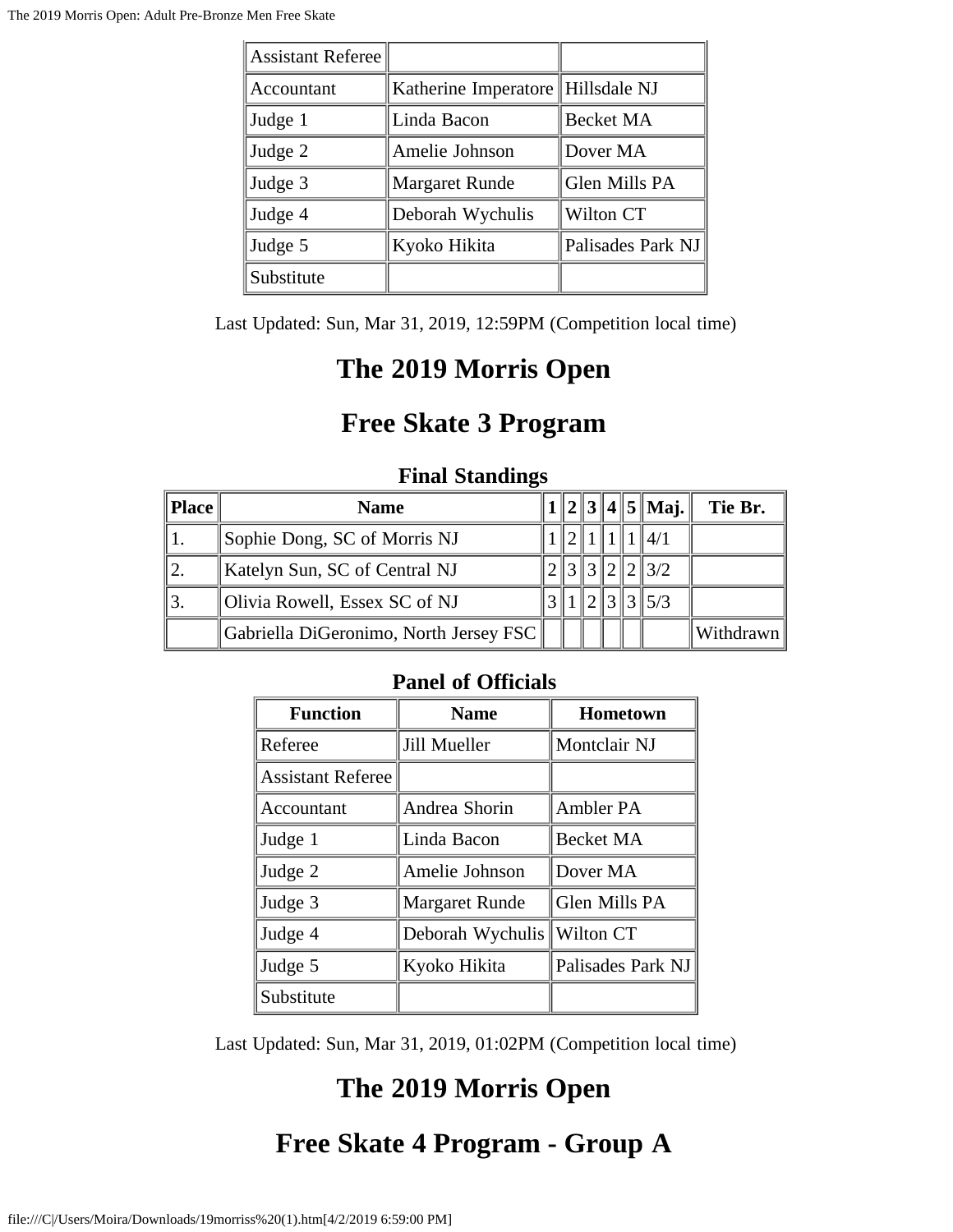| <b>Assistant Referee</b> |                                     |                   |
|--------------------------|-------------------------------------|-------------------|
| Accountant               | Katherine Imperatore   Hillsdale NJ |                   |
| Judge 1                  | Linda Bacon                         | <b>Becket MA</b>  |
| Judge 2                  | Amelie Johnson                      | Dover MA          |
| Judge 3                  | <b>Margaret Runde</b>               | Glen Mills PA     |
| Judge 4                  | Deborah Wychulis                    | Wilton CT         |
| Judge 5                  | Kyoko Hikita                        | Palisades Park NJ |
| Substitute               |                                     |                   |

Last Updated: Sun, Mar 31, 2019, 12:59PM (Competition local time)

## **The 2019 Morris Open**

# **Free Skate 3 Program**

### **Final Standings**

| Place | <b>Name</b>                            |  |  | $\ 2\ 3\ 4\ 5\ $ Maj. | Tie Br.   |
|-------|----------------------------------------|--|--|-----------------------|-----------|
|       | Sophie Dong, SC of Morris NJ           |  |  |                       |           |
|       | Katelyn Sun, SC of Central NJ          |  |  | 213/2                 |           |
|       | Olivia Rowell, Essex SC of NJ          |  |  | 131315/3              |           |
|       | Gabriella DiGeronimo, North Jersey FSC |  |  |                       | Withdrawn |

### **Panel of Officials**

| <b>Function</b>          | <b>Name</b>           | <b>Hometown</b>   |
|--------------------------|-----------------------|-------------------|
| Referee                  | Jill Mueller          | Montclair NJ      |
| <b>Assistant Referee</b> |                       |                   |
| Accountant               | Andrea Shorin         | Ambler PA         |
| Judge 1                  | Linda Bacon           | <b>Becket MA</b>  |
| Judge 2                  | Amelie Johnson        | Dover MA          |
| Judge 3                  | <b>Margaret Runde</b> | Glen Mills PA     |
| Judge 4                  | Deborah Wychulis      | Wilton CT         |
| Judge 5                  | Kyoko Hikita          | Palisades Park NJ |
| Substitute               |                       |                   |

Last Updated: Sun, Mar 31, 2019, 01:02PM (Competition local time)

# **The 2019 Morris Open**

# **Free Skate 4 Program - Group A**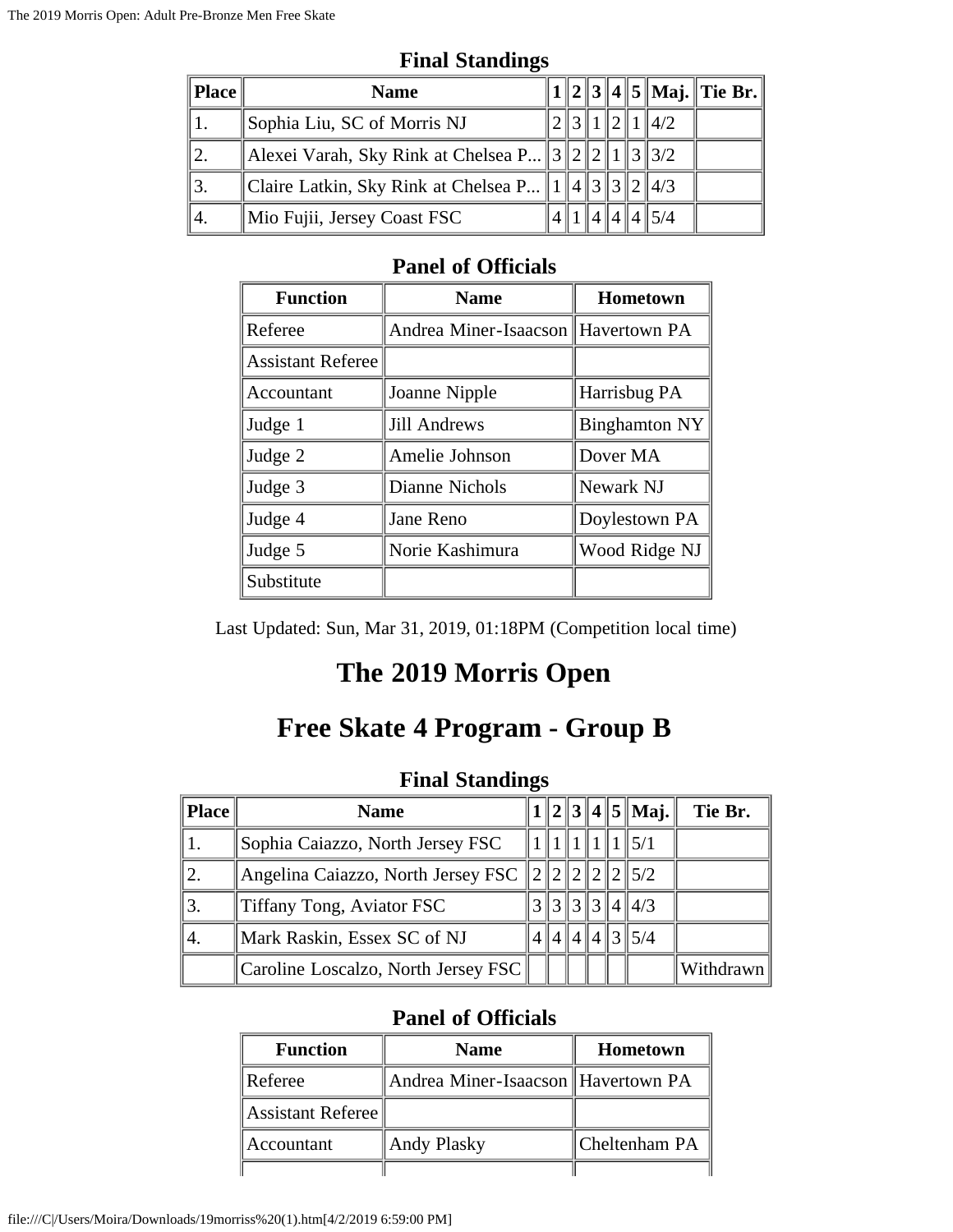| Place | <b>Name</b>                                                          |  |  |              | 1  2  3  4  5  Maj.  Tie Br. |
|-------|----------------------------------------------------------------------|--|--|--------------|------------------------------|
|       | Sophia Liu, SC of Morris NJ                                          |  |  | 1  2  1  4/2 |                              |
|       | Alexei Varah, Sky Rink at Chelsea P 3 2 2 1 3 3/2                    |  |  |              |                              |
|       | Claire Latkin, Sky Rink at Chelsea P    1    4    3    3    2    4/3 |  |  |              |                              |
| 44.   | $\parallel$ Mio Fujii, Jersey Coast FSC                              |  |  | $4\,$ 5/4    |                              |

#### **Final Standings**

#### **Panel of Officials**

| <b>Function</b>          | <b>Name</b>                        | <b>Hometown</b>      |
|--------------------------|------------------------------------|----------------------|
| Referee                  | Andrea Miner-Isaacson Havertown PA |                      |
| <b>Assistant Referee</b> |                                    |                      |
| Accountant               | Joanne Nipple                      | Harrisbug PA         |
| Judge 1                  | <b>Jill Andrews</b>                | <b>Binghamton NY</b> |
| Judge 2                  | Amelie Johnson                     | Dover MA             |
| Judge 3                  | Dianne Nichols                     | Newark NJ            |
| Judge 4                  | Jane Reno                          | Doylestown PA        |
| Judge 5                  | Norie Kashimura                    | Wood Ridge NJ        |
| Substitute               |                                    |                      |

Last Updated: Sun, Mar 31, 2019, 01:18PM (Competition local time)

## **The 2019 Morris Open**

### **Free Skate 4 Program - Group B**

#### **Final Standings**

| Place | <b>Name</b>                         |            |  | $1  2  3  4  5  $ Maj. | Tie Br.   |
|-------|-------------------------------------|------------|--|------------------------|-----------|
|       | Sophia Caiazzo, North Jersey FSC    |            |  |                        |           |
|       | Angelina Caiazzo, North Jersey FSC  |            |  | $\parallel$ 5/2        |           |
|       | Tiffany Tong, Aviator FSC           |            |  | $\ 3\ 3\ 3\ 4\ 4/3$    |           |
| 4.    | Mark Raskin, Essex SC of NJ         | 4  4  4  3 |  | $\parallel$ 5/4        |           |
|       | Caroline Loscalzo, North Jersey FSC |            |  |                        | Withdrawn |

| <b>Function</b>   | <b>Name</b>                        | <b>Hometown</b> |
|-------------------|------------------------------------|-----------------|
| Referee           | Andrea Miner-Isaacson Havertown PA |                 |
| Assistant Referee |                                    |                 |
| Accountant        | Andy Plasky                        | Cheltenham PA   |
|                   |                                    |                 |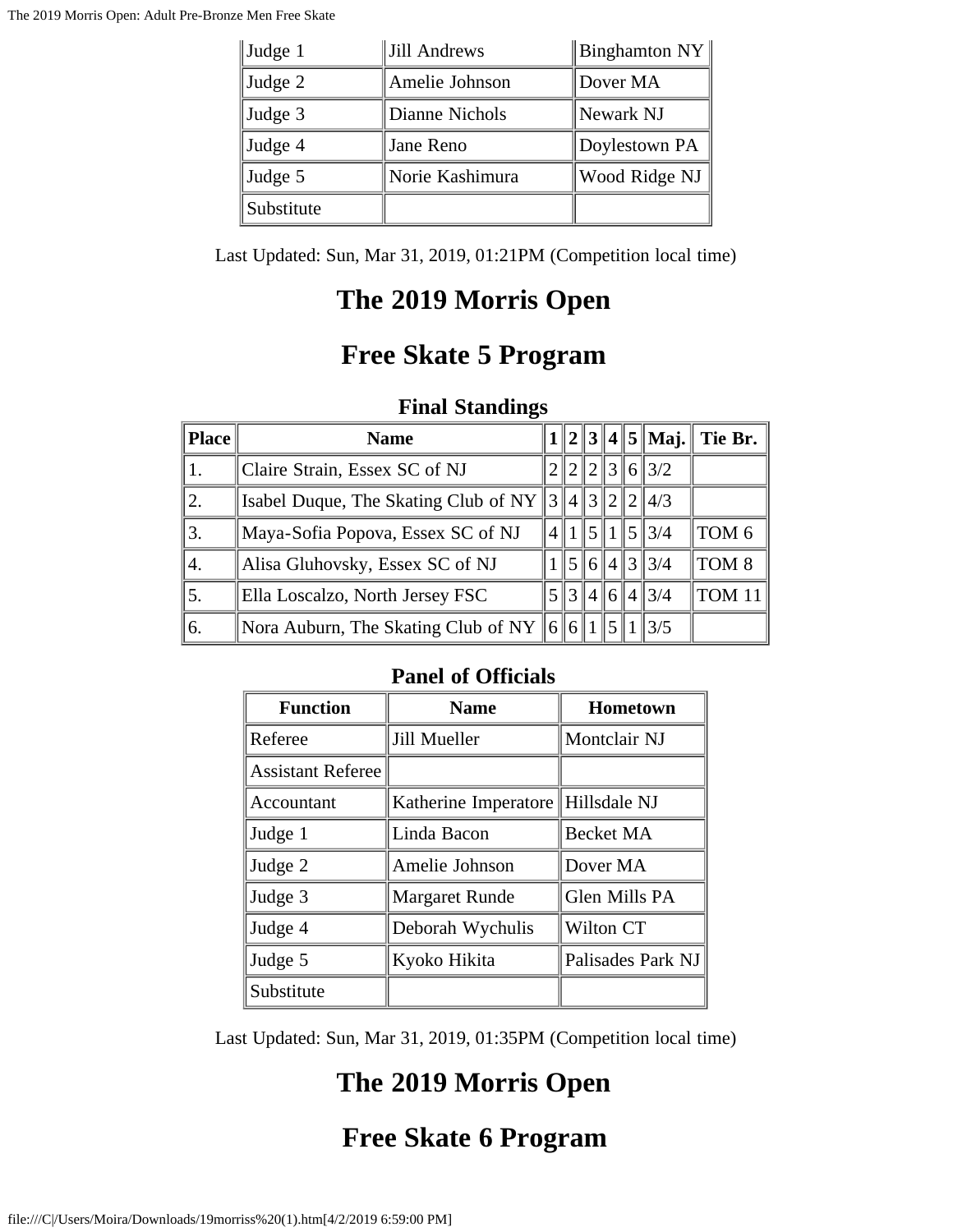| $\vert$ Judge 1 | Jill Andrews    | $\parallel$ Binghamton NY $\parallel$ |
|-----------------|-----------------|---------------------------------------|
| Judge 2         | Amelie Johnson  | Dover MA                              |
| Judge 3         | Dianne Nichols  | Newark NJ                             |
| Judge 4         | Jane Reno       | Doylestown PA                         |
| Judge 5         | Norie Kashimura | Wood Ridge NJ                         |
| Substitute      |                 |                                       |

Last Updated: Sun, Mar 31, 2019, 01:21PM (Competition local time)

## **The 2019 Morris Open**

### **Free Skate 5 Program**

### **Final Standings**

| Place | <b>Name</b>                                                 |                |  |  | $  2  3  4  5  $ Maj. | Tie Br.          |
|-------|-------------------------------------------------------------|----------------|--|--|-----------------------|------------------|
|       | Claire Strain, Essex SC of NJ                               |                |  |  | 2  2  3  6  3/2       |                  |
| 2.    | Isabel Duque, The Skating Club of NY $\ 3\ 4\ 3\ 2\ 2\ 4/3$ |                |  |  |                       |                  |
| 3.    | Maya-Sofia Popova, Essex SC of NJ                           | $\overline{4}$ |  |  | $\ 1\ 5\ 1\ 5\ 3/4$   | TOM <sub>6</sub> |
| 4.    | Alisa Gluhovsky, Essex SC of NJ                             |                |  |  | 5 6 4 3 3/4           | TOM <sub>8</sub> |
| 5.    | Ella Loscalzo, North Jersey FSC                             |                |  |  | 3 4 6 4 3/4           | TOM 11           |
| 6.    | Nora Auburn, The Skating Club of NY $  6  6  1$             |                |  |  | $\parallel$ 3/5       |                  |

#### **Panel of Officials**

| <b>Function</b>          | <b>Name</b>                       | Hometown          |
|--------------------------|-----------------------------------|-------------------|
| Referee                  | Jill Mueller                      | Montclair NJ      |
| <b>Assistant Referee</b> |                                   |                   |
| Accountant               | Katherine Imperatore Hillsdale NJ |                   |
| Judge 1                  | Linda Bacon                       | <b>Becket MA</b>  |
| Judge 2                  | Amelie Johnson                    | Dover MA          |
| Judge 3                  | <b>Margaret Runde</b>             | Glen Mills PA     |
| Judge 4                  | Deborah Wychulis                  | Wilton CT         |
| Judge 5                  | Kyoko Hikita                      | Palisades Park NJ |
| Substitute               |                                   |                   |

Last Updated: Sun, Mar 31, 2019, 01:35PM (Competition local time)

# **The 2019 Morris Open**

### **Free Skate 6 Program**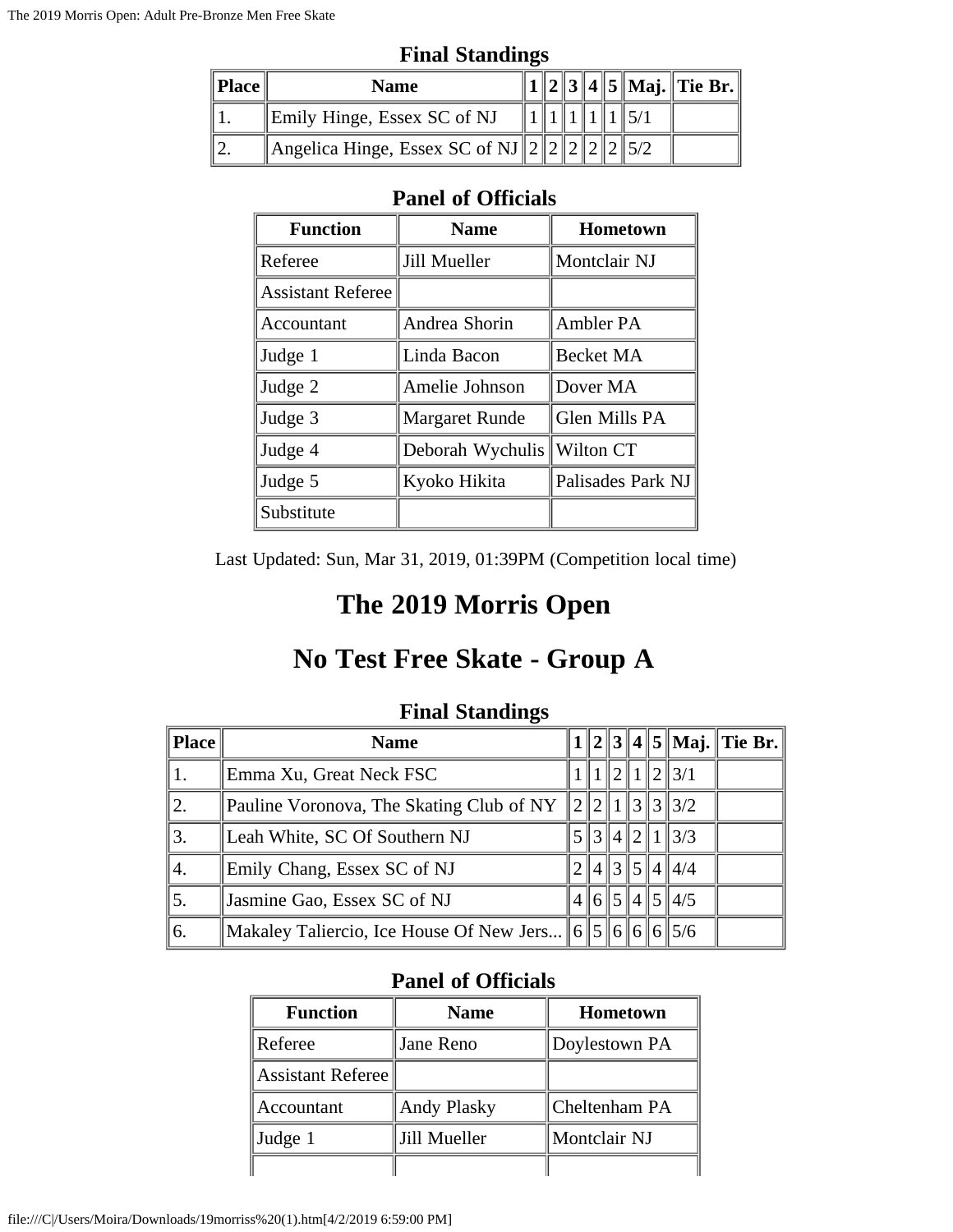|                 | $\blacksquare$ matrix $\blacksquare$                  |  |  |  |  |  |  |                                     |  |
|-----------------|-------------------------------------------------------|--|--|--|--|--|--|-------------------------------------|--|
| $\ $ Place $\ $ | <b>Name</b>                                           |  |  |  |  |  |  | 2    3    4    5    Maj.    Tie Br. |  |
|                 | Emily Hinge, Essex SC of NJ                           |  |  |  |  |  |  |                                     |  |
|                 | Angelica Hinge, Essex SC of NJ $\ 2\ 2\ 2\ 2\ 2\ 5/2$ |  |  |  |  |  |  |                                     |  |

**Final Standings**

#### **Panel of Officials**

| <b>Function</b>          | <b>Name</b>           | <b>Hometown</b>   |
|--------------------------|-----------------------|-------------------|
| Referee                  | Jill Mueller          | Montclair NJ      |
| <b>Assistant Referee</b> |                       |                   |
| Accountant               | Andrea Shorin         | Ambler PA         |
| Judge 1                  | Linda Bacon           | <b>Becket MA</b>  |
| Judge 2                  | Amelie Johnson        | Dover MA          |
| Judge 3                  | <b>Margaret Runde</b> | Glen Mills PA     |
| Judge 4                  | Deborah Wychulis      | Wilton CT         |
| Judge 5                  | Kyoko Hikita          | Palisades Park NJ |
| Substitute               |                       |                   |

Last Updated: Sun, Mar 31, 2019, 01:39PM (Competition local time)

## **The 2019 Morris Open**

# **No Test Free Skate - Group A**

| <b>Place</b> | <b>Name</b>                                                        |  |  |                      | $1  2  3  4  5  $ Maj. Tie Br. |
|--------------|--------------------------------------------------------------------|--|--|----------------------|--------------------------------|
|              | Emma Xu, Great Neck FSC                                            |  |  | 2  1  2  3/1         |                                |
| ۱2.          | Pauline Voronova, The Skating Club of NY                           |  |  | $\ 2\ 1\ 3\ 3\ 3/2$  |                                |
| '3.          | Leah White, SC Of Southern NJ                                      |  |  | 5 3 4 2 1 3/3        |                                |
| '4.          | Emily Chang, Essex SC of NJ                                        |  |  | 2  4  3  5  4  4/4   |                                |
| 5.           | Jasmine Gao, Essex SC of NJ                                        |  |  | $4\ 6\ 5\ 4\ 5\ 4/5$ |                                |
| 6.           | Makaley Taliercio, Ice House Of New Jers   6   5   6   6   6   5/6 |  |  |                      |                                |

#### **Final Standings**

| <b>Function</b>          | <b>Name</b>        | <b>Hometown</b> |
|--------------------------|--------------------|-----------------|
| Referee                  | Jane Reno          | Doylestown PA   |
| <b>Assistant Referee</b> |                    |                 |
| Accountant               | <b>Andy Plasky</b> | Cheltenham PA   |
| Judge 1                  | Jill Mueller       | Montclair NJ    |
|                          |                    |                 |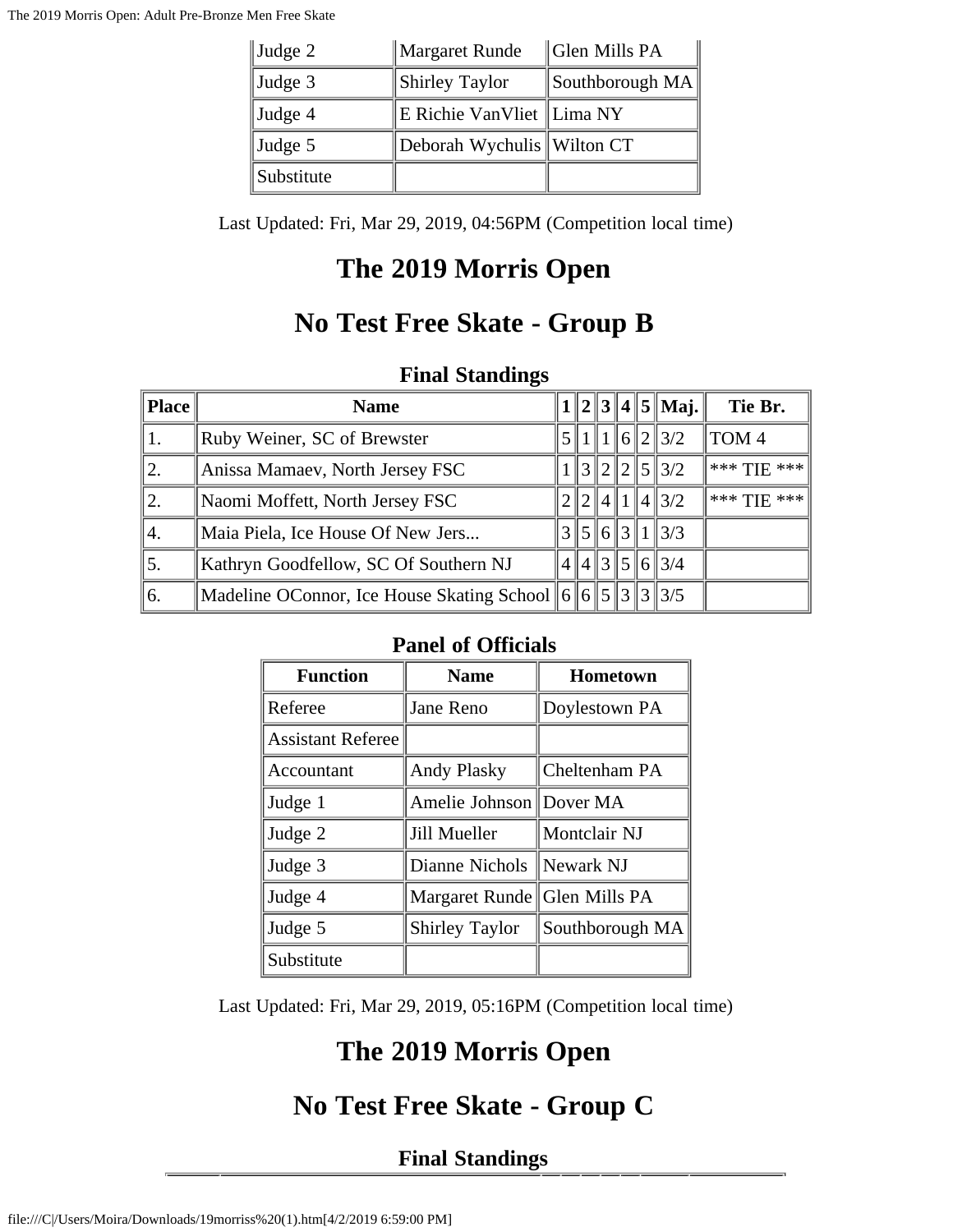| Judge 2    | Margaret Runde             | Glen Mills PA   |
|------------|----------------------------|-----------------|
| Judge 3    | <b>Shirley Taylor</b>      | Southborough MA |
| Judge 4    | E Richie VanVliet Lima NY  |                 |
| Judge 5    | Deborah Wychulis Wilton CT |                 |
| Substitute |                            |                 |

Last Updated: Fri, Mar 29, 2019, 04:56PM (Competition local time)

## **The 2019 Morris Open**

## **No Test Free Skate - Group B**

#### **Final Standings**

| Place   | <b>Name</b>                                                                   |  |  | $  2  3  4  5  $ Maj. | Tie Br.     |
|---------|-------------------------------------------------------------------------------|--|--|-----------------------|-------------|
| 1.      | Ruby Weiner, SC of Brewster                                                   |  |  | 5  1  1  6  2  3/2    | TOM 4       |
| 12.     | Anissa Mamaev, North Jersey FSC                                               |  |  | $\ 3\ 2\ 2\ 5\ 3/2$   | *** TIE *** |
| 12.     | Naomi Moffett, North Jersey FSC                                               |  |  | 2  2  4  1  4  3/2    | *** TIE *** |
| $\P$ 4. | Maia Piela, Ice House Of New Jers                                             |  |  | $3\,5\,6\,3\,1\,3/3$  |             |
| 5.      | Kathryn Goodfellow, SC Of Southern NJ                                         |  |  | 4  4  3  5  6  3/4    |             |
| 6.      | Madeline OConnor, Ice House Skating School    6    5    3    3    3    3    3 |  |  |                       |             |

### **Panel of Officials**

| <b>Function</b>          | <b>Name</b>                     | <b>Hometown</b> |  |  |
|--------------------------|---------------------------------|-----------------|--|--|
| Referee                  | Jane Reno                       | Doylestown PA   |  |  |
| <b>Assistant Referee</b> |                                 |                 |  |  |
| Accountant               | <b>Andy Plasky</b>              | Cheltenham PA   |  |  |
| Judge 1                  | Amelie Johnson   Dover MA       |                 |  |  |
| Judge 2                  | Jill Mueller                    | Montclair NJ    |  |  |
| Judge 3                  | Dianne Nichols    Newark NJ     |                 |  |  |
| Judge 4                  | Margaret Runde    Glen Mills PA |                 |  |  |
| Judge 5                  | <b>Shirley Taylor</b>           | Southborough MA |  |  |
| Substitute               |                                 |                 |  |  |

Last Updated: Fri, Mar 29, 2019, 05:16PM (Competition local time)

# **The 2019 Morris Open**

## **No Test Free Skate - Group C**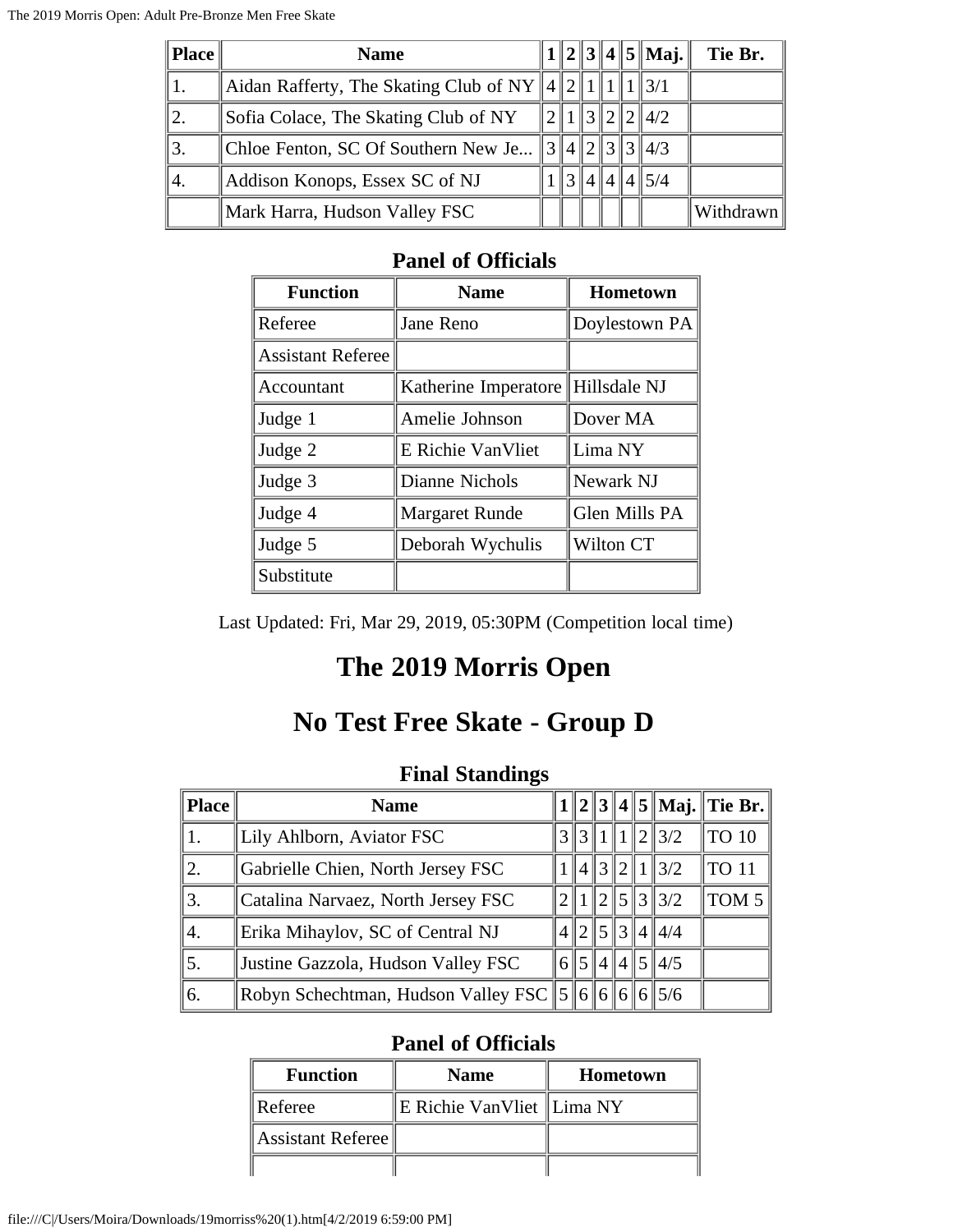| Place | <b>Name</b>                                                   |  |  | $1  2  3  4  5  $ Maj. | Tie Br.   |
|-------|---------------------------------------------------------------|--|--|------------------------|-----------|
|       | Aidan Rafferty, The Skating Club of NY $  4  2  1  1  1  3/1$ |  |  |                        |           |
|       | Sofia Colace, The Skating Club of NY                          |  |  | 1  3  2  2  4/2        |           |
|       | Chloe Fenton, SC Of Southern New Je $\ 3\ 4\ 2\ 3\ 3\ 4/3$    |  |  |                        |           |
| 14.   | Addison Konops, Essex SC of NJ                                |  |  | 4  4  5/4              |           |
|       | Mark Harra, Hudson Valley FSC                                 |  |  |                        | Withdrawn |

| <b>Function</b>          | <b>Name</b>                       | Hometown      |
|--------------------------|-----------------------------------|---------------|
| Referee                  | Jane Reno                         | Doylestown PA |
| <b>Assistant Referee</b> |                                   |               |
| Accountant               | Katherine Imperatore Hillsdale NJ |               |
| Judge 1                  | Amelie Johnson                    | Dover MA      |
| Judge 2                  | E Richie VanVliet                 | Lima NY       |
| Judge 3                  | Dianne Nichols                    | Newark NJ     |
| Judge 4                  | <b>Margaret Runde</b>             | Glen Mills PA |
| Judge 5                  | Deborah Wychulis                  | Wilton CT     |
| Substitute               |                                   |               |

Last Updated: Fri, Mar 29, 2019, 05:30PM (Competition local time)

# **The 2019 Morris Open**

### **No Test Free Skate - Group D**

### **Final Standings**

| Place | <b>Name</b>                                       |  |                       |  |                      | $1  2  3  4  5  $ Maj. Tie Br. |
|-------|---------------------------------------------------|--|-----------------------|--|----------------------|--------------------------------|
|       | Lily Ahlborn, Aviator FSC                         |  |                       |  | 3  3  1  1  2  3/2   | TO 10                          |
| 2.    | Gabrielle Chien, North Jersey FSC                 |  |                       |  | 4  3  2  1  3/2      | <b>TO 11</b>                   |
| 3.    | Catalina Narvaez, North Jersey FSC                |  |                       |  | 5  3  3/2            | TOM 5                          |
| 4.    | Erika Mihaylov, SC of Central NJ                  |  |                       |  | $4\ 2\ 5\ 3\ 4\ 4/4$ |                                |
| 5.    | Justine Gazzola, Hudson Valley FSC                |  | $6\frac{15}{4}$ 4 4 5 |  | 4/5                  |                                |
| 6.    | Robyn Schechtman, Hudson Valley FSC 5 6 6 6 6 5/6 |  |                       |  |                      |                                |

| <b>Function</b>   | <b>Name</b>                 | <b>Hometown</b> |
|-------------------|-----------------------------|-----------------|
| Referee           | E Richie VanVliet   Lima NY |                 |
| Assistant Referee |                             |                 |
|                   |                             |                 |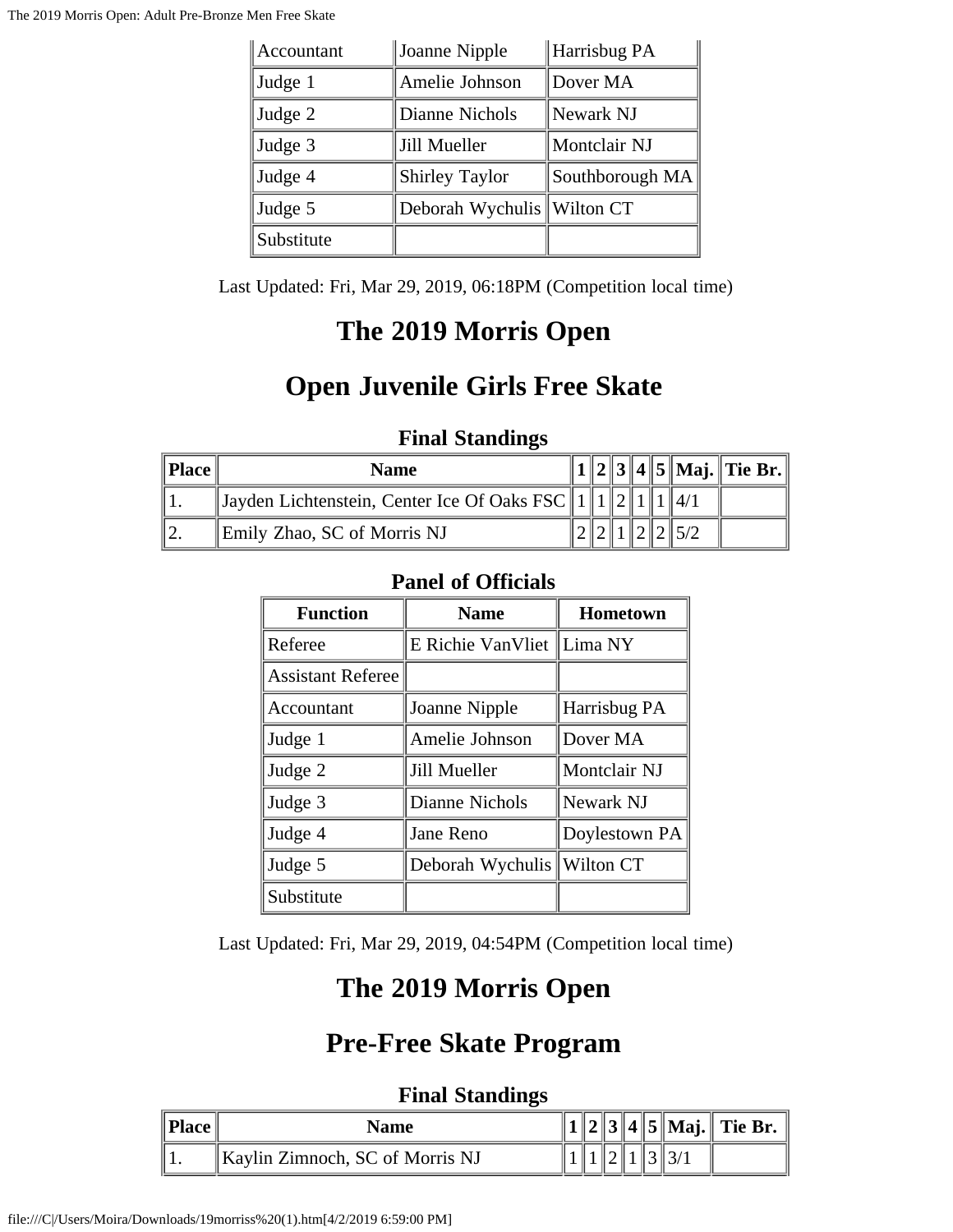| Accountant | Joanne Nipple              | Harrisbug PA    |
|------------|----------------------------|-----------------|
| Judge 1    | Amelie Johnson             | Dover MA        |
| Judge 2    | Dianne Nichols             | Newark NJ       |
| Judge 3    | Jill Mueller               | Montclair NJ    |
| Judge 4    | <b>Shirley Taylor</b>      | Southborough MA |
| Judge 5    | Deborah Wychulis Wilton CT |                 |
| Substitute |                            |                 |

Last Updated: Fri, Mar 29, 2019, 06:18PM (Competition local time)

## **The 2019 Morris Open**

## **Open Juvenile Girls Free Skate**

### **Final Standings**

| Place | Name                                                  |  |  |  | $1  2  3  4  5  $ Maj. Tie Br. |
|-------|-------------------------------------------------------|--|--|--|--------------------------------|
|       | Jayden Lichtenstein, Center Ice Of Oaks FSC    1    1 |  |  |  |                                |
|       | Emily Zhao, SC of Morris NJ                           |  |  |  |                                |

### **Panel of Officials**

| <b>Function</b>          | <b>Name</b>               | Hometown      |  |  |
|--------------------------|---------------------------|---------------|--|--|
| Referee                  | E Richie VanVliet Lima NY |               |  |  |
| <b>Assistant Referee</b> |                           |               |  |  |
| Accountant               | Joanne Nipple             | Harrisbug PA  |  |  |
| Judge 1                  | Amelie Johnson            | Dover MA      |  |  |
| Judge 2                  | Jill Mueller              | Montclair NJ  |  |  |
| Judge 3                  | Dianne Nichols            | Newark NJ     |  |  |
| Judge 4                  | Jane Reno                 | Doylestown PA |  |  |
| Judge 5                  | Deborah Wychulis          | Wilton CT     |  |  |
| Substitute               |                           |               |  |  |

Last Updated: Fri, Mar 29, 2019, 04:54PM (Competition local time)

# **The 2019 Morris Open**

### **Pre-Free Skate Program**

| Place | <b>Name</b>                     |  |  |  | 2    3    4    5    Maj.    Tie Br. |
|-------|---------------------------------|--|--|--|-------------------------------------|
|       | Kaylin Zimnoch, SC of Morris NJ |  |  |  |                                     |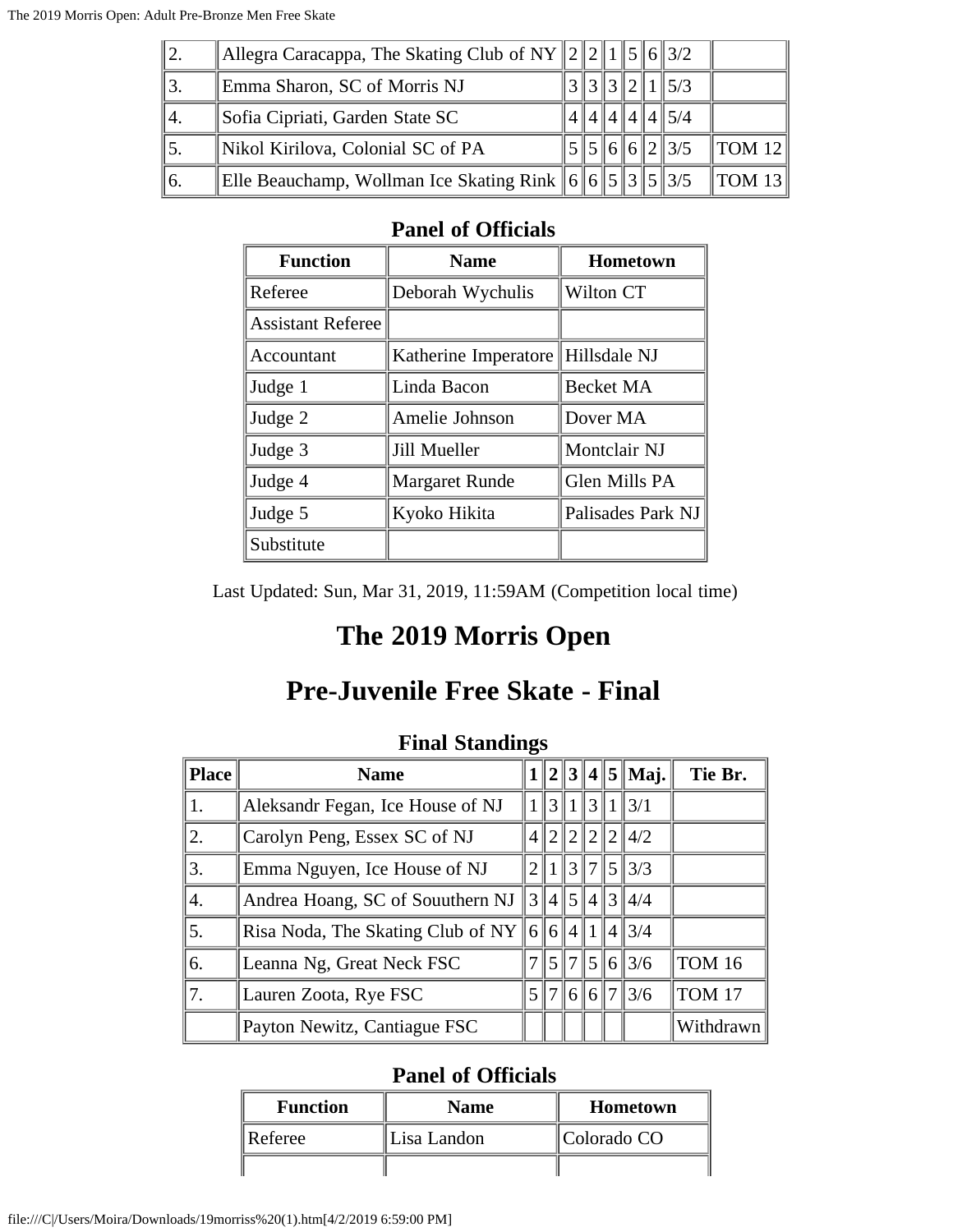| $\parallel$ 2. | Allegra Caracappa, The Skating Club of NY $  2  2  1  5  6  3/2$ |  |  |                        |                                |
|----------------|------------------------------------------------------------------|--|--|------------------------|--------------------------------|
|                | Emma Sharon, SC of Morris NJ                                     |  |  | $\ 3\ 3\ 2\ 1\ 5/3$    |                                |
| 44.            | Sofia Cipriati, Garden State SC                                  |  |  | 4  4  4  4  5/4        |                                |
|                | Nikol Kirilova, Colonial SC of PA                                |  |  | $\ 5\ 5\ 6\ 6\ 2\ 3/5$ | $\parallel$ TOM 12 $\parallel$ |
| 16.            | Elle Beauchamp, Wollman Ice Skating Rink $\ 6\ 6\ 5\ 3\ 5\ 3/5$  |  |  |                        | TOM 13                         |

| <b>Function</b>          | <b>Name</b>           | <b>Hometown</b>   |
|--------------------------|-----------------------|-------------------|
| Referee                  | Deborah Wychulis      | Wilton CT         |
| <b>Assistant Referee</b> |                       |                   |
| Accountant               | Katherine Imperatore  | Hillsdale NJ      |
| Judge 1                  | Linda Bacon           | <b>Becket MA</b>  |
| Judge 2                  | Amelie Johnson        | Dover MA          |
| Judge 3                  | Jill Mueller          | Montclair NJ      |
| Judge 4                  | <b>Margaret Runde</b> | Glen Mills PA     |
| Judge 5                  | Kyoko Hikita          | Palisades Park NJ |
| Substitute               |                       |                   |

Last Updated: Sun, Mar 31, 2019, 11:59AM (Competition local time)

### **The 2019 Morris Open**

# **Pre-Juvenile Free Skate - Final**

|       | r mai bianamin                            |                 |                |                |         |  |                                                 |               |
|-------|-------------------------------------------|-----------------|----------------|----------------|---------|--|-------------------------------------------------|---------------|
| Place | <b>Name</b>                               |                 |                |                |         |  | $1  2  3  4  5  $ Maj.                          | Tie Br.       |
| 1.    | Aleksandr Fegan, Ice House of NJ          |                 |                |                |         |  | 3  1  3  1  3/1                                 |               |
| 2.    | Carolyn Peng, Essex SC of NJ              | $\frac{4}{3}$   | $\overline{2}$ |                | 2  2  2 |  | 4/2                                             |               |
| 3.    | Emma Nguyen, Ice House of NJ              | 2 <sub>1</sub>  |                |                |         |  | 3171513/3                                       |               |
| 4.    | Andrea Hoang, SC of Souuthern NJ          | $3\vert\vert$   |                |                |         |  | $4\frac{1}{5}\frac{1}{4}\frac{3}{3}\frac{4}{4}$ |               |
| 5.    | Risa Noda, The Skating Club of NY $\ 6\ $ |                 | 6 <sup>1</sup> | $4\parallel 1$ |         |  | 1413/4                                          |               |
| 6.    | Leanna Ng, Great Neck FSC                 |                 | $\overline{5}$ | 17             |         |  | 5 6 3/6                                         | <b>TOM 16</b> |
| 7.    | Lauren Zoota, Rye FSC                     | 5 <sup>  </sup> | 7              |                |         |  | $\ 6\ 6\ 7\ 3/6$                                | <b>TOM 17</b> |
|       | Payton Newitz, Cantiague FSC              |                 |                |                |         |  |                                                 | Withdrawn     |

#### **Final Standings**

| <b>Function</b> | <b>Name</b> | Hometown    |
|-----------------|-------------|-------------|
| Referee         | Lisa Landon | Colorado CO |
|                 |             |             |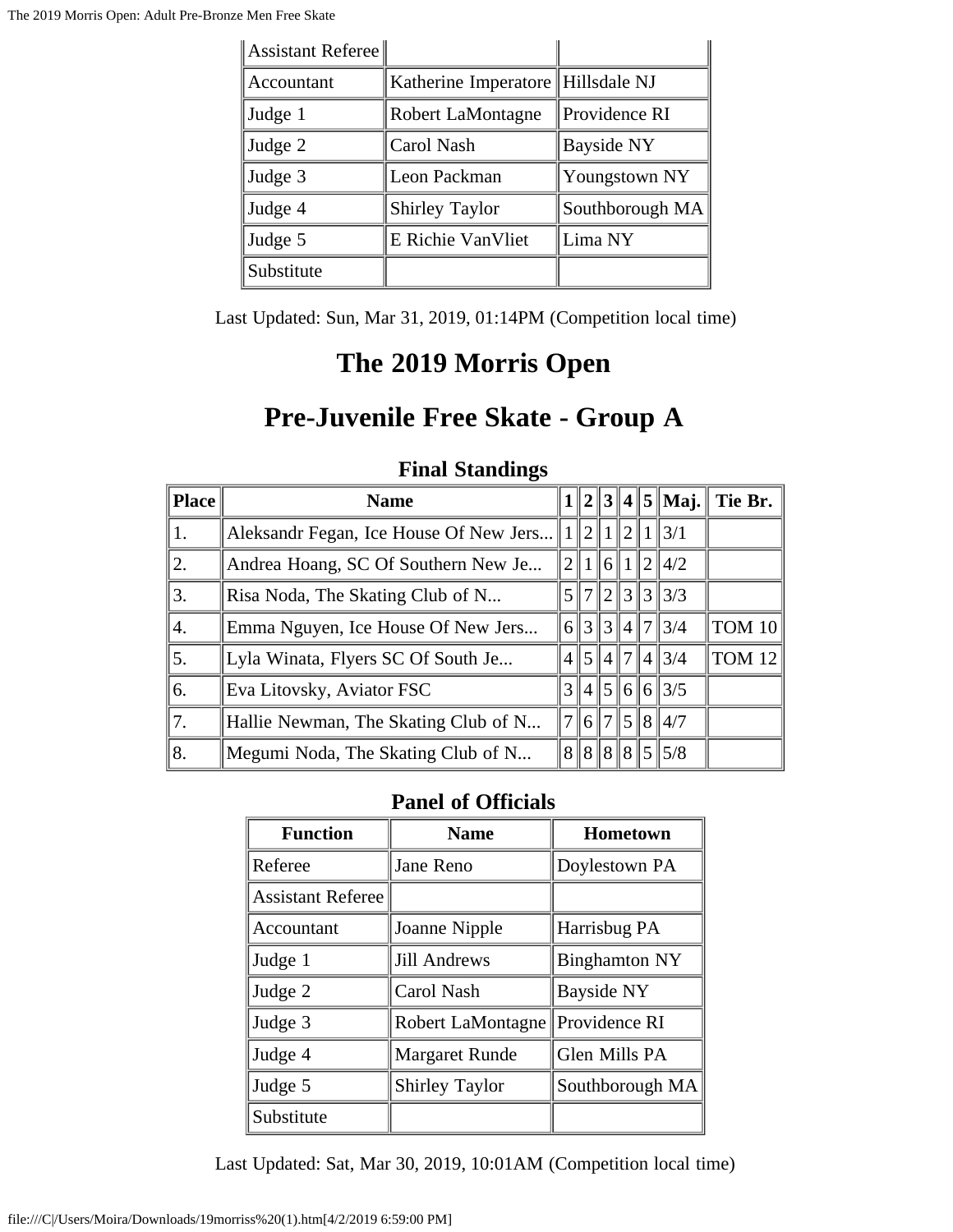| Assistant Referee |                                     |                   |
|-------------------|-------------------------------------|-------------------|
| Accountant        | Katherine Imperatore   Hillsdale NJ |                   |
| Judge 1           | Robert LaMontagne                   | Providence RI     |
| Judge 2           | Carol Nash                          | <b>Bayside NY</b> |
| Judge 3           | Leon Packman                        | Youngstown NY     |
| Judge 4           | <b>Shirley Taylor</b>               | Southborough MA   |
| Judge 5           | E Richie VanVliet                   | Lima NY           |
| Substitute        |                                     |                   |

Last Updated: Sun, Mar 31, 2019, 01:14PM (Competition local time)

### **The 2019 Morris Open**

### **Pre-Juvenile Free Skate - Group A**

|              | $\blacksquare$ matrix $\cup$ vancements |                 |                |         |     |   |                          |               |  |
|--------------|-----------------------------------------|-----------------|----------------|---------|-----|---|--------------------------|---------------|--|
| <b>Place</b> | <b>Name</b>                             |                 |                |         |     |   | $1  2  3  4  5  $ Maj.   | Tie Br.       |  |
| 1.           | Aleksandr Fegan, Ice House Of New Jers  |                 | $2\parallel$ 1 |         | 121 | 1 | $\frac{3}{1}$            |               |  |
| 2.           | Andrea Hoang, SC Of Southern New Je     |                 |                | $\ 6\ $ |     |   | 2  4/2                   |               |  |
| 3.           | Risa Noda, The Skating Club of N        |                 | 51712          |         |     |   | 31313/3                  |               |  |
| 4.           | Emma Nguyen, Ice House Of New Jers      |                 |                |         |     |   | 6  3  3  4  7  3/4       | <b>TOM 10</b> |  |
| 5.           | Lyla Winata, Flyers SC Of South Je      |                 |                |         |     |   | $4\frac{1}{5}$ 4 7 4 3/4 | <b>TOM 12</b> |  |
| 6.           | Eva Litovsky, Aviator FSC               |                 |                |         |     |   | 3  4  5  6  6  3/5       |               |  |
| 17.          | Hallie Newman, The Skating Club of N    | 7 <sup>  </sup> | 617            |         |     |   | 151814/7                 |               |  |
| 8.           | Megumi Noda, The Skating Club of N      |                 |                |         |     |   | 8  8  8  8  5  5/8       |               |  |

#### **Final Standings**

#### **Panel of Officials**

| <b>Function</b>          | <b>Name</b>           | <b>Hometown</b>      |
|--------------------------|-----------------------|----------------------|
| Referee                  | Jane Reno             | Doylestown PA        |
| <b>Assistant Referee</b> |                       |                      |
| Accountant               | Joanne Nipple         | Harrisbug PA         |
| Judge 1                  | <b>Jill Andrews</b>   | <b>Binghamton NY</b> |
| Judge 2                  | Carol Nash            | Bayside NY           |
| Judge 3                  | Robert LaMontagne     | Providence RI        |
| Judge 4                  | <b>Margaret Runde</b> | Glen Mills PA        |
| Judge 5                  | <b>Shirley Taylor</b> | Southborough MA      |
| Substitute               |                       |                      |

Last Updated: Sat, Mar 30, 2019, 10:01AM (Competition local time)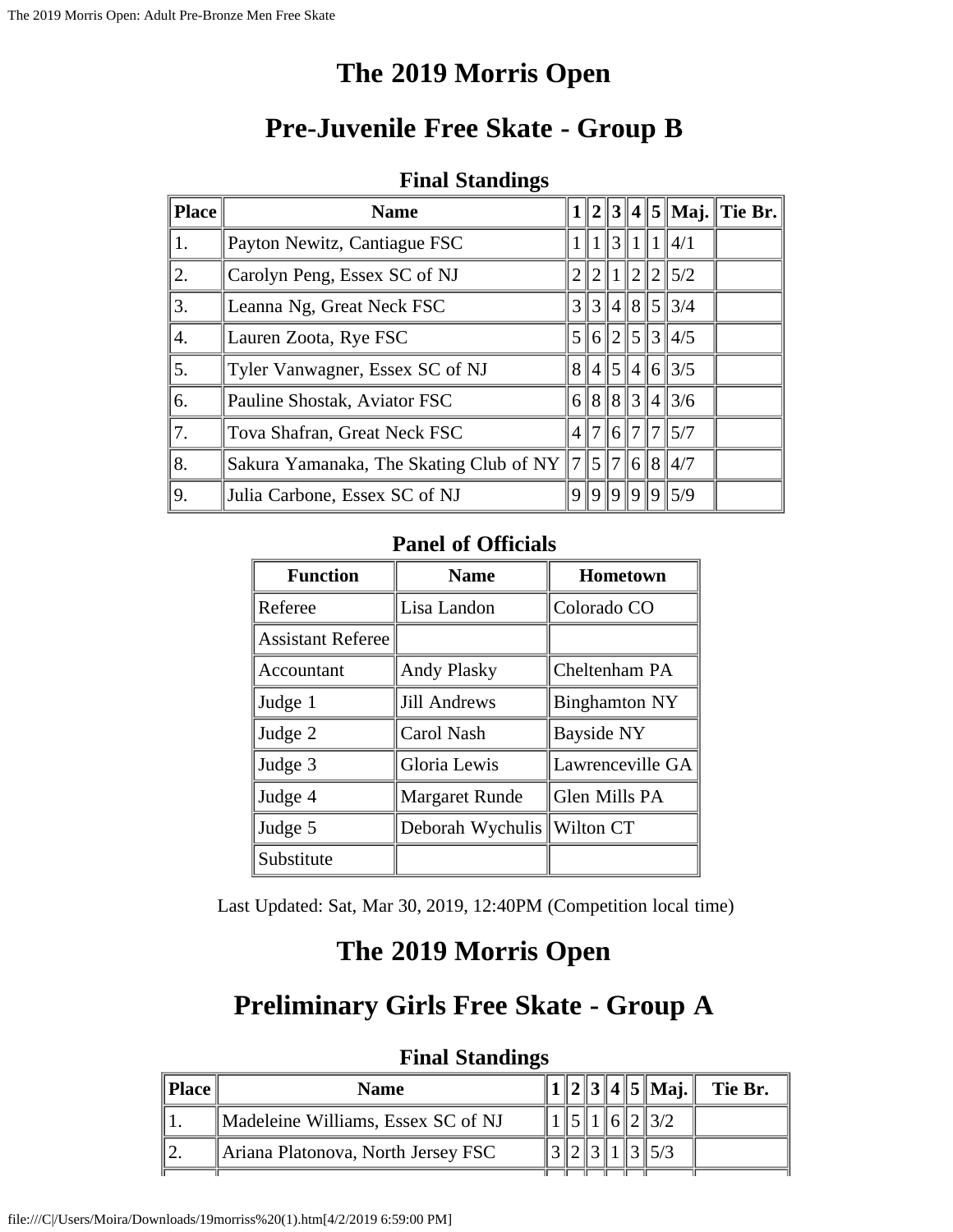## **The 2019 Morris Open**

## **Pre-Juvenile Free Skate - Group B**

#### **Final Standings**

| <b>Place</b>     | <b>Name</b>                               |   |                |           |   |               |                     | $  2  3  4  5  $ Maj. Tie Br. |
|------------------|-------------------------------------------|---|----------------|-----------|---|---------------|---------------------|-------------------------------|
| 1.               | Payton Newitz, Cantiague FSC              |   |                | $1$   $3$ |   |               | 1  1  4/1           |                               |
| 2.               | Carolyn Peng, Essex SC of NJ              |   | $\overline{2}$ |           |   |               | 121215/2            |                               |
| 3.               | Leanna Ng, Great Neck FSC                 | 3 |                |           |   |               | 314853/4            |                               |
| $\overline{4}$ . | Lauren Zoota, Rye FSC                     |   | 6  2           |           |   |               | $\ 5\ 3\ 4/5$       |                               |
| 5.               | Tyler Vanwagner, Essex SC of NJ           | 8 |                |           |   |               | $\ 4\ 5\ 4\ 6\ 3/5$ |                               |
| 6.               | Pauline Shostak, Aviator FSC              |   |                |           |   |               | 688343/6            |                               |
| 7.               | Tova Shafran, Great Neck FSC              | 4 | 171            | 6 7       |   | $\mathbb{I}7$ | $\parallel$ 5/7     |                               |
| 8.               | Sakura Yamanaka, The Skating Club of NY 7 |   | $\frac{15}{7}$ |           |   |               | $\ 6\ 8\ 4/7$       |                               |
| 9.               | Julia Carbone, Essex SC of NJ             | Q | $\ 0\ $        | Q         | Q |               | 915/9               |                               |

#### **Panel of Officials**

| <b>Function</b>          | <b>Name</b>           | <b>Hometown</b>      |
|--------------------------|-----------------------|----------------------|
| Referee                  | Lisa Landon           | Colorado CO          |
| <b>Assistant Referee</b> |                       |                      |
| Accountant               | <b>Andy Plasky</b>    | Cheltenham PA        |
| Judge 1                  | <b>Jill Andrews</b>   | <b>Binghamton NY</b> |
| Judge 2                  | Carol Nash            | Bayside NY           |
| Judge 3                  | Gloria Lewis          | Lawrenceville GA     |
| Judge 4                  | <b>Margaret Runde</b> | Glen Mills PA        |
| Judge 5                  | Deborah Wychulis      | Wilton CT            |
| Substitute               |                       |                      |

Last Updated: Sat, Mar 30, 2019, 12:40PM (Competition local time)

### **The 2019 Morris Open**

### **Preliminary Girls Free Skate - Group A**

| $\ $ Place $\ $ | <b>Name</b>                        |  |  | $\ 2\ 3\ 4\ 5\ $ Maj. | Tie Br. |
|-----------------|------------------------------------|--|--|-----------------------|---------|
|                 | Madeleine Williams, Essex SC of NJ |  |  |                       |         |
|                 | Ariana Platonova, North Jersey FSC |  |  |                       |         |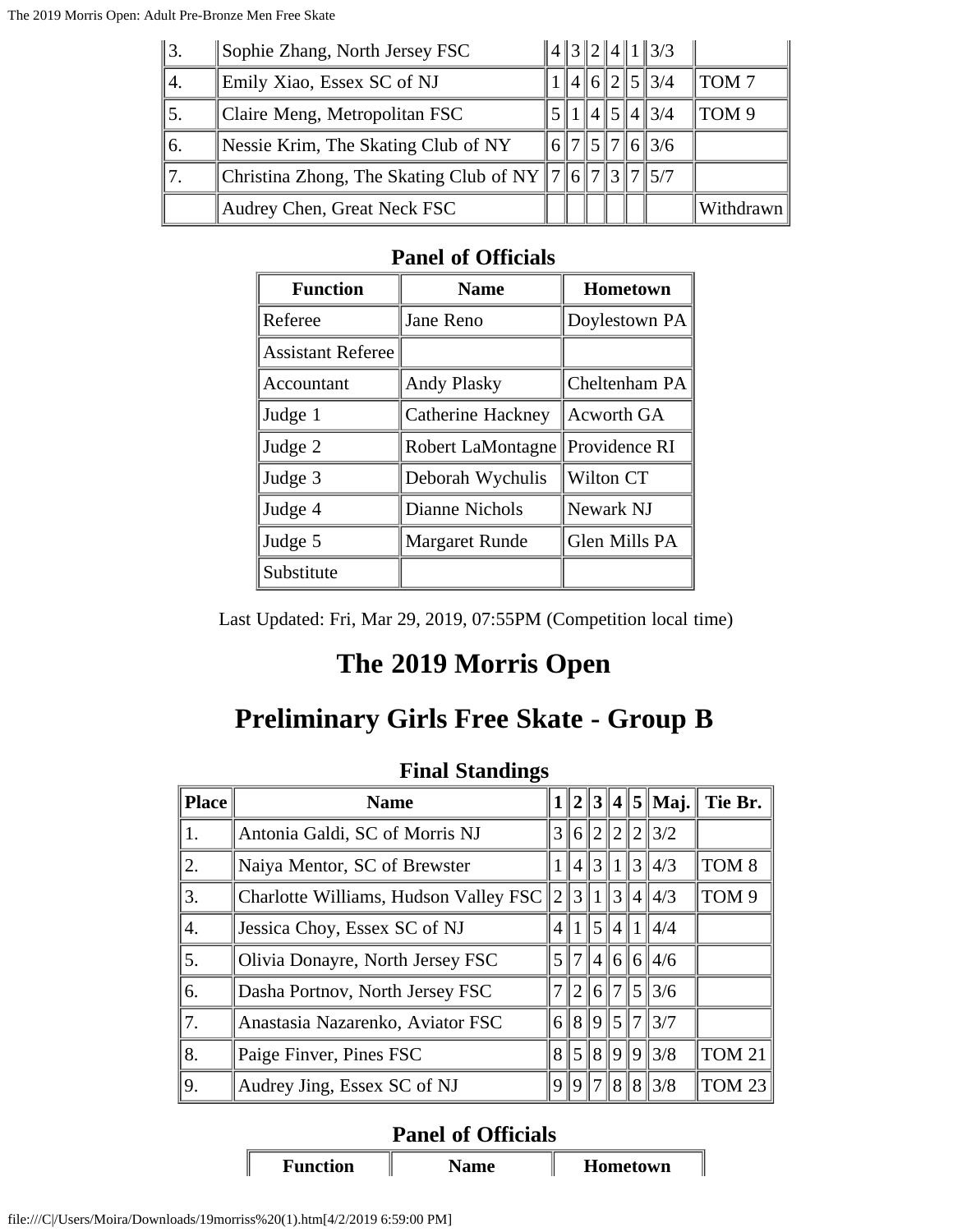| $\parallel$ 3. | Sophie Zhang, North Jersey FSC                                          |  |  | $\ 4\ 3\ 2\ 4\ 1\ 3/3$ |                  |
|----------------|-------------------------------------------------------------------------|--|--|------------------------|------------------|
| 14.            | Emily Xiao, Essex SC of NJ                                              |  |  | 4  6  2  5  3/4        | TOM <sub>7</sub> |
| 5.             | Claire Meng, Metropolitan FSC                                           |  |  | $\ 1\ 4\ 5\ 4\ 3/4$    | TOM <sub>9</sub> |
| 66.            | Nessie Krim, The Skating Club of NY                                     |  |  | $\ 6\ 7\ 5\ 7\ 6\ 3/6$ |                  |
|                | Christina Zhong, The Skating Club of NY    7    6    7    3    7    5/7 |  |  |                        |                  |
|                | Audrey Chen, Great Neck FSC                                             |  |  |                        | Withdrawn        |

| <b>Function</b>          | <b>Name</b>           | Hometown          |
|--------------------------|-----------------------|-------------------|
| Referee                  | Jane Reno             | Doylestown PA     |
| <b>Assistant Referee</b> |                       |                   |
| Accountant               | <b>Andy Plasky</b>    | Cheltenham PA     |
| Judge 1                  | Catherine Hackney     | <b>Acworth GA</b> |
| Judge 2                  | Robert LaMontagne     | Providence RI     |
| Judge 3                  | Deborah Wychulis      | Wilton CT         |
| Judge 4                  | Dianne Nichols        | Newark NJ         |
| Judge 5                  | <b>Margaret Runde</b> | Glen Mills PA     |
| Substitute               |                       |                   |

Last Updated: Fri, Mar 29, 2019, 07:55PM (Competition local time)

### **The 2019 Morris Open**

# **Preliminary Girls Free Skate - Group B**

| Place | <b>Name</b>                           |                |                |                         |                |  | $1  2  3  4  5  $ Maj. | Tie Br.          |  |  |
|-------|---------------------------------------|----------------|----------------|-------------------------|----------------|--|------------------------|------------------|--|--|
| 1.    | Antonia Galdi, SC of Morris NJ        | $3\parallel$   | 6              | 2                       | $\overline{2}$ |  | $2\frac{3}{2}$         |                  |  |  |
| 2.    | Naiya Mentor, SC of Brewster          |                | $\overline{4}$ | $\mathcal{R}$           | 1              |  | $3\frac{1}{4}$         | TOM <sub>8</sub> |  |  |
| 3.    | Charlotte Williams, Hudson Valley FSC | $\mathbb{I}2$  | 3              |                         | 3              |  | 4  4/3                 | TOM <sub>9</sub> |  |  |
| 4.    | Jessica Choy, Essex SC of NJ          |                |                | $\vert 5 \vert$         |                |  | 4  1  4/4              |                  |  |  |
| 5.    | Olivia Donayre, North Jersey FSC      | $\mathfrak{z}$ | $\sqrt{7}$     | $\ 4\ $                 |                |  | 6  6  4/6              |                  |  |  |
| 6.    | Dasha Portnov, North Jersey FSC       |                | $\overline{2}$ | 6 <sup>1</sup>          | 7              |  | 513/6                  |                  |  |  |
| 7.    | Anastasia Nazarenko, Aviator FSC      | 6 <sup>1</sup> | 8              |                         | 9 5            |  | 713/7                  |                  |  |  |
| 8.    | Paige Finver, Pines FSC               | 8 <sup>1</sup> | <sup>5</sup>   | $\vert 8 \vert \vert 9$ |                |  | 913/8                  | <b>TOM 21</b>    |  |  |
| 9.    | Audrey Jing, Essex SC of NJ           | 9              | 9              |                         |                |  | 8  8  3/8              | <b>TOM 23</b>    |  |  |

#### **Final Standings**

### **Panel of Officials**

**Function Name Hometown**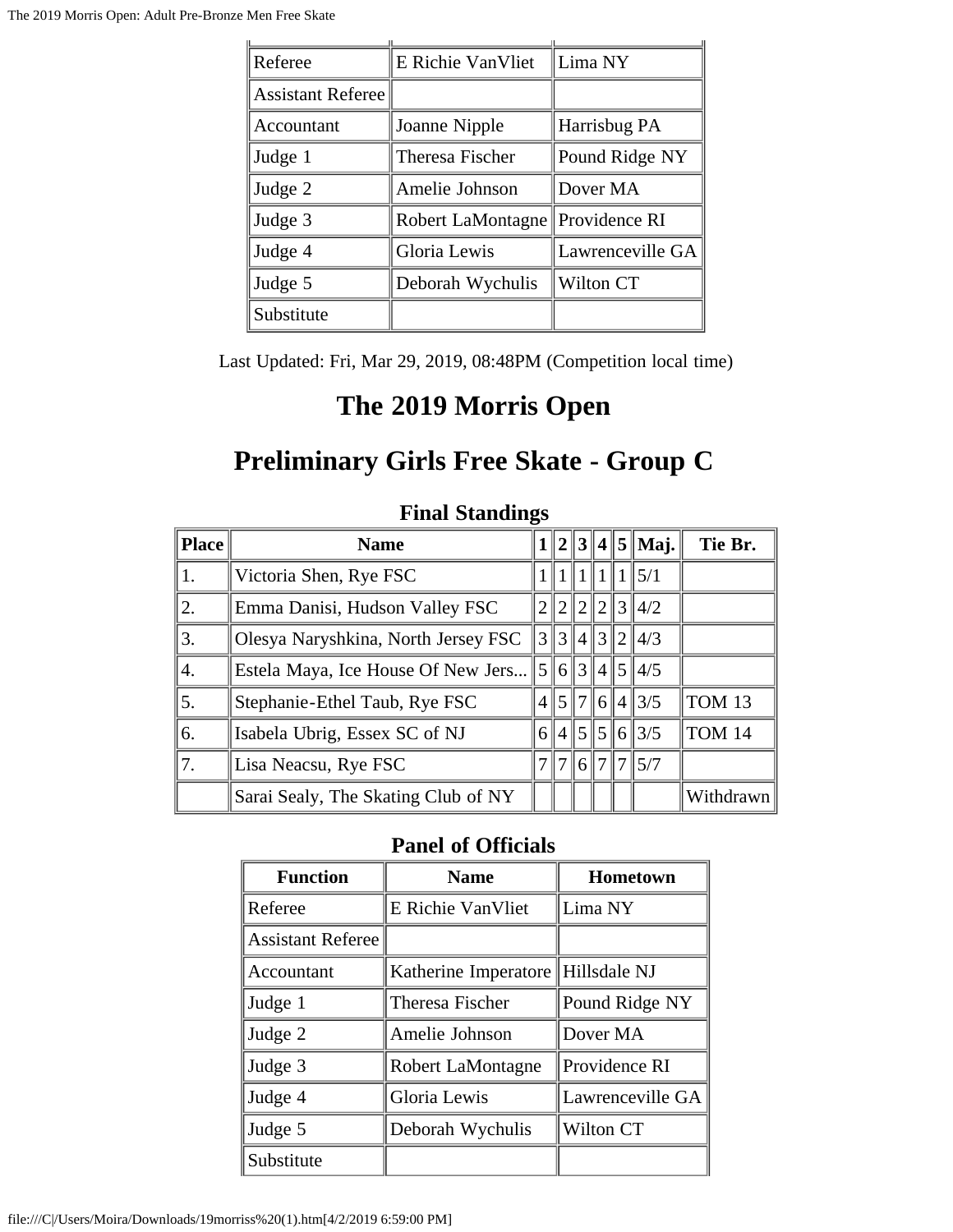| Referee                  | E Richie VanVliet                 | Lima NY          |  |  |
|--------------------------|-----------------------------------|------------------|--|--|
| <b>Assistant Referee</b> |                                   |                  |  |  |
| Accountant               | Joanne Nipple                     | Harrisbug PA     |  |  |
| Judge 1                  | Theresa Fischer                   | Pound Ridge NY   |  |  |
| Judge 2                  | Amelie Johnson                    | Dover MA         |  |  |
| Judge 3                  | Robert LaMontagne   Providence RI |                  |  |  |
| Judge 4                  | Gloria Lewis                      | Lawrenceville GA |  |  |
| Judge 5                  | Deborah Wychulis                  | Wilton CT        |  |  |
| Substitute               |                                   |                  |  |  |

Last Updated: Fri, Mar 29, 2019, 08:48PM (Competition local time)

## **The 2019 Morris Open**

# **Preliminary Girls Free Skate - Group C**

| <b>Place</b> | <b>Name</b>                         |               |                |                |  |  | $1  2  3  4  5  $ Maj.   | Tie Br.            |
|--------------|-------------------------------------|---------------|----------------|----------------|--|--|--------------------------|--------------------|
| 1.           | Victoria Shen, Rye FSC              |               |                |                |  |  | $\parallel$ 5/1          |                    |
| 2.           | Emma Danisi, Hudson Valley FSC      |               | $\overline{2}$ | $\overline{2}$ |  |  | 2  3  4/2                |                    |
| 3.           | Olesya Naryshkina, North Jersey FSC | $\frac{3}{3}$ |                |                |  |  | 4  3  2  4/3             |                    |
| 4.           | Estela Maya, Ice House Of New Jers  | 5             |                |                |  |  | 6  3  4  5  4/5          |                    |
| 5.           | Stephanie-Ethel Taub, Rye FSC       |               |                |                |  |  | $4\frac{1}{5}$ 7 6 4 3/5 | $\parallel$ TOM 13 |
| 6.           | Isabela Ubrig, Essex SC of NJ       |               | 6 4            |                |  |  | $\ 5\ 5\ 6\ 3/5$         | TOM 14             |
| 7.           | Lisa Neacsu, Rye FSC                |               | 7              |                |  |  | 6  7  7  5/7             |                    |
|              | Sarai Sealy, The Skating Club of NY |               |                |                |  |  |                          | Withdrawn          |

#### **Final Standings**

| <b>Function</b>          | <b>Name</b>                       | Hometown         |
|--------------------------|-----------------------------------|------------------|
| Referee                  | E Richie VanVliet                 | Lima NY          |
| <b>Assistant Referee</b> |                                   |                  |
| Accountant               | Katherine Imperatore Hillsdale NJ |                  |
| Judge 1                  | Theresa Fischer                   | Pound Ridge NY   |
| Judge 2                  | Amelie Johnson                    | Dover MA         |
| Judge 3                  | Robert LaMontagne                 | Providence RI    |
| Judge 4                  | Gloria Lewis                      | Lawrenceville GA |
| Judge 5                  | Deborah Wychulis                  | Wilton CT        |
| Substitute               |                                   |                  |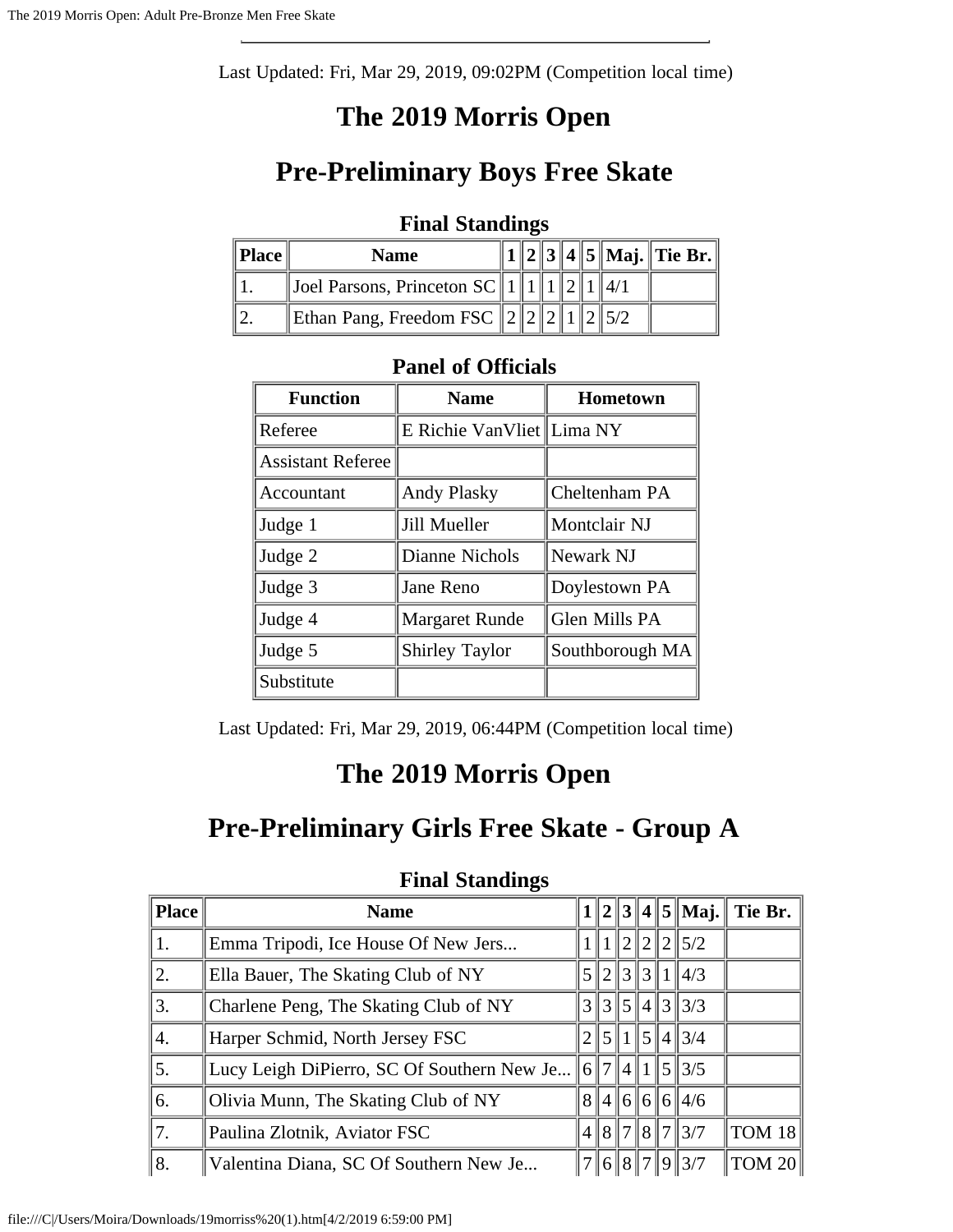Last Updated: Fri, Mar 29, 2019, 09:02PM (Competition local time)

## **The 2019 Morris Open**

## **Pre-Preliminary Boys Free Skate**

#### **Final Standings**

| <b>Place</b> | <b>Name</b>                      |  |  |  | $  2  3  4  5  $ Maj. Tie Br. |
|--------------|----------------------------------|--|--|--|-------------------------------|
|              | Joel Parsons, Princeton $SC$   1 |  |  |  |                               |
|              | Ethan Pang, Freedom FSC $\ 2\ 2$ |  |  |  |                               |

#### **Panel of Officials**

| <b>Function</b>          | <b>Name</b>               | Hometown        |
|--------------------------|---------------------------|-----------------|
| Referee                  | E Richie VanVliet Lima NY |                 |
| <b>Assistant Referee</b> |                           |                 |
| Accountant               | <b>Andy Plasky</b>        | Cheltenham PA   |
| Judge 1                  | Jill Mueller              | Montclair NJ    |
| Judge 2                  | Dianne Nichols            | Newark NJ       |
| Judge 3                  | Jane Reno                 | Doylestown PA   |
| Judge 4                  | <b>Margaret Runde</b>     | Glen Mills PA   |
| Judge 5                  | <b>Shirley Taylor</b>     | Southborough MA |
| Substitute               |                           |                 |

Last Updated: Fri, Mar 29, 2019, 06:44PM (Competition local time)

# **The 2019 Morris Open**

### **Pre-Preliminary Girls Free Skate - Group A**

| <b>Place</b> | <b>Name</b>                                                       |                |             |       |                           | $1  2  3  4  5  $ Maj. Tie Br. |
|--------------|-------------------------------------------------------------------|----------------|-------------|-------|---------------------------|--------------------------------|
| 1.           | Emma Tripodi, Ice House Of New Jers                               |                |             |       | $\ 1\ 2\ 2\ 2\ 5/2$       |                                |
| 2.           | Ella Bauer, The Skating Club of NY                                | $\mathfrak{S}$ | $ 2\rangle$ | 31311 | $\parallel$ 4/3           |                                |
| 3.           | Charlene Peng, The Skating Club of NY                             |                |             |       | $3\, 3\, 5\, 4\, 3\, 3/3$ |                                |
| 4.           | Harper Schmid, North Jersey FSC                                   |                |             |       | 2  5  1  5  4  3/4        |                                |
| 5.           | Lucy Leigh DiPierro, SC Of Southern New Je $  6  7  4  1  5  3/5$ |                |             |       |                           |                                |
| 6.           | Olivia Munn, The Skating Club of NY                               |                |             |       | 8 4 6 6 6 4/6             |                                |
| 7.           | Paulina Zlotnik, Aviator FSC                                      |                |             |       | 4  8  7  8  7  3/7        | TOM $18$                       |
| ∥8.          | Valentina Diana, SC Of Southern New Je                            |                |             |       | 7  6  8  7  9  3/7        | TOM~20                         |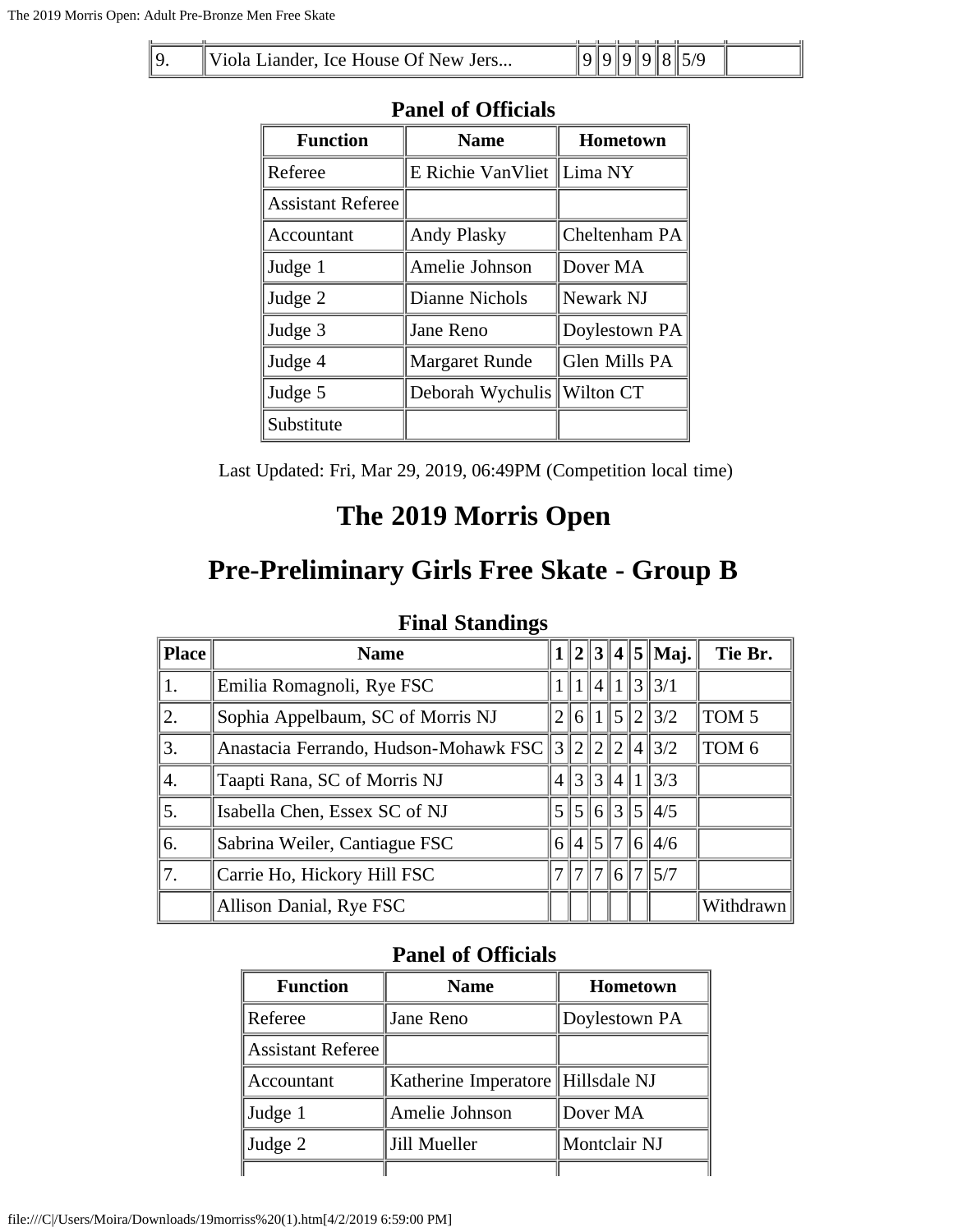| ∥ Q | Viola Liander, Ice House Of New Jers |  |  |  |  |
|-----|--------------------------------------|--|--|--|--|

| I ANU VI VIIIUAIS        |                             |                 |  |  |  |  |  |
|--------------------------|-----------------------------|-----------------|--|--|--|--|--|
| <b>Function</b>          | <b>Name</b>                 | <b>Hometown</b> |  |  |  |  |  |
| Referee                  | E Richie VanVliet   Lima NY |                 |  |  |  |  |  |
| <b>Assistant Referee</b> |                             |                 |  |  |  |  |  |
| Accountant               | <b>Andy Plasky</b>          | Cheltenham PA   |  |  |  |  |  |
| Judge 1                  | Amelie Johnson              | Dover MA        |  |  |  |  |  |
| Judge 2                  | Dianne Nichols              | Newark NJ       |  |  |  |  |  |
| Judge 3                  | Jane Reno                   | Doylestown PA   |  |  |  |  |  |
| Judge 4                  | <b>Margaret Runde</b>       | Glen Mills PA   |  |  |  |  |  |
| Judge 5                  | Deborah Wychulis            | Wilton CT       |  |  |  |  |  |
| Substitute               |                             |                 |  |  |  |  |  |

Last Updated: Fri, Mar 29, 2019, 06:49PM (Competition local time)

### **The 2019 Morris Open**

### **Pre-Preliminary Girls Free Skate - Group B**

### **Final Standings**

| Place | <b>Name</b>                                       |  |  | $1  2  3  4  5  $ Maj. | Tie Br.          |
|-------|---------------------------------------------------|--|--|------------------------|------------------|
| 1.    | Emilia Romagnoli, Rye FSC                         |  |  | 1  4  1  3  3/1        |                  |
| 2.    | Sophia Appelbaum, SC of Morris NJ                 |  |  | $2\ 6\ 1\ 5\ 2\ 3/2$   | TOM <sub>5</sub> |
| 3.    | Anastacia Ferrando, Hudson-Mohawk FSC 3 2 2 4 3/2 |  |  |                        | TOM <sub>6</sub> |
| 4.    | Taapti Rana, SC of Morris NJ                      |  |  | $\ 3\ 3\ 4\ 1\ 3/3$    |                  |
| 5.    | Isabella Chen, Essex SC of NJ                     |  |  | 5  5  6  3  5  4/5     |                  |
| 6.    | Sabrina Weiler, Cantiague FSC                     |  |  | 6  4  5  7  6  4/6     |                  |
| 7.    | Carrie Ho, Hickory Hill FSC                       |  |  | 7  7  7  6  7  5/7     |                  |
|       | Allison Danial, Rye FSC                           |  |  |                        | Withdrawn        |

| <b>Function</b>   | <b>Name</b>                       | Hometown      |
|-------------------|-----------------------------------|---------------|
| Referee           | Jane Reno                         | Doylestown PA |
| Assistant Referee |                                   |               |
| Accountant        | Katherine Imperatore Hillsdale NJ |               |
| Judge 1           | Amelie Johnson                    | Dover MA      |
| Judge 2           | Jill Mueller                      | Montclair NJ  |
|                   |                                   |               |